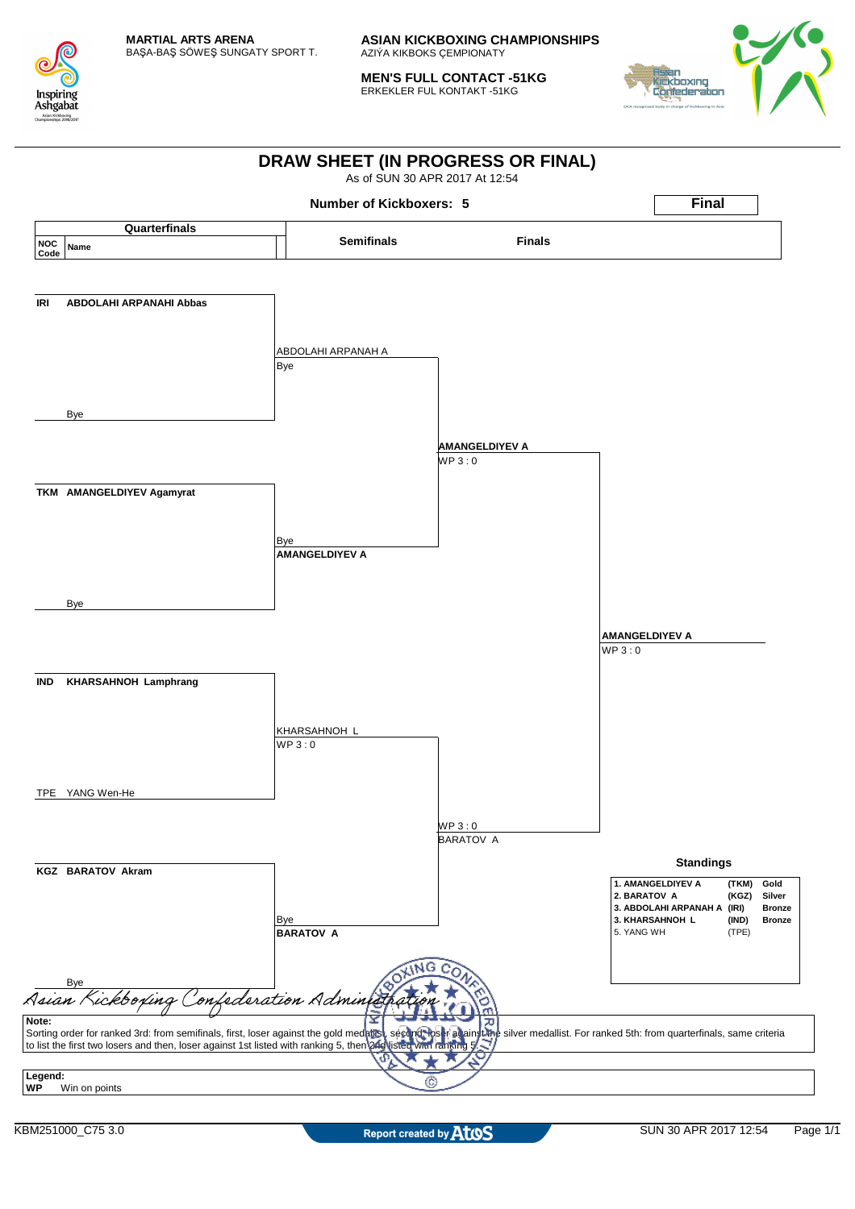

**MEN'S FULL CONTACT -51KG** ERKEKLER FUL KONTAKT -51KG



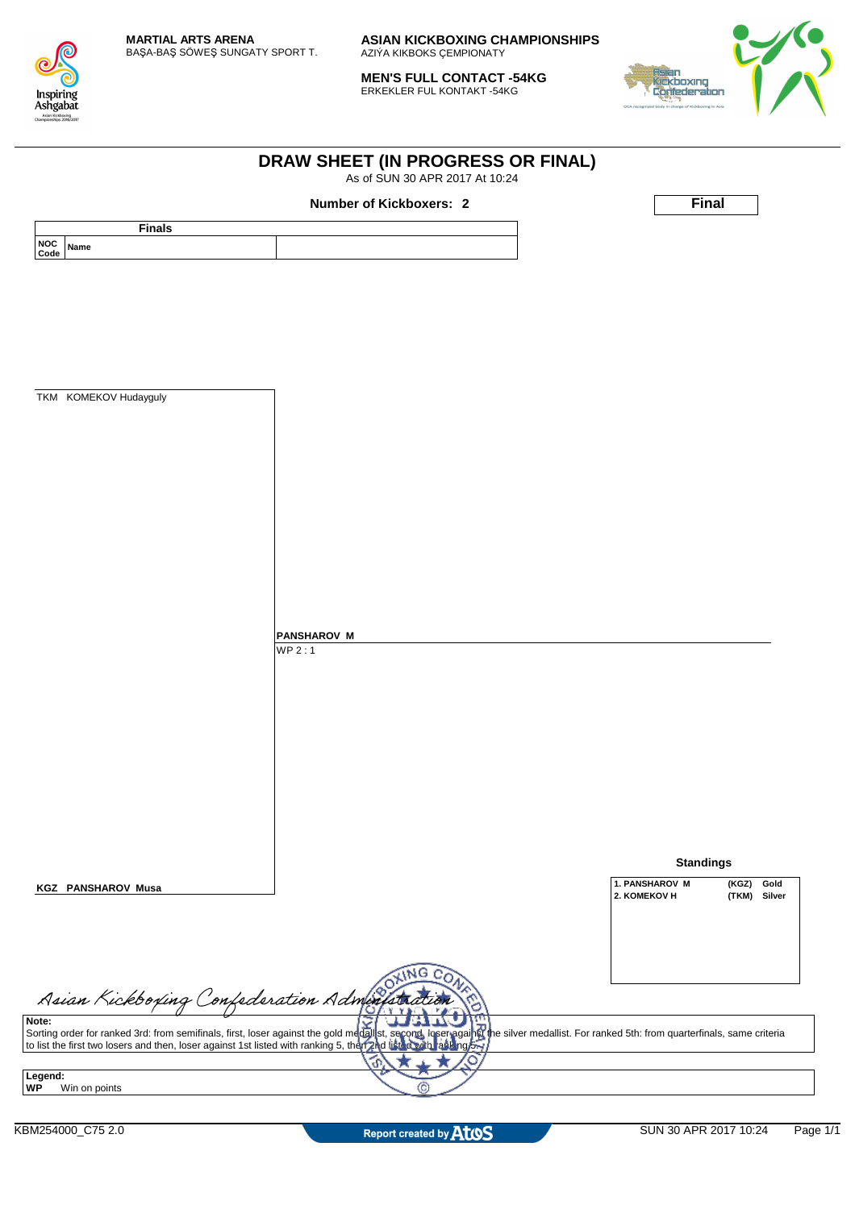

**MEN'S FULL CONTACT -54KG** ERKEKLER FUL KONTAKT -54KG

**DRAW SHEET (IN PROGRESS OR FINAL)** As of SUN 30 APR 2017 At 10:24



|                                          | <b>Number of Kickboxers: 2</b>                                                                                                                                                                                                       | <b>Final</b>                    |
|------------------------------------------|--------------------------------------------------------------------------------------------------------------------------------------------------------------------------------------------------------------------------------------|---------------------------------|
| <b>Finals</b>                            |                                                                                                                                                                                                                                      |                                 |
| NOC<br>Code<br>Name                      |                                                                                                                                                                                                                                      |                                 |
|                                          |                                                                                                                                                                                                                                      |                                 |
|                                          |                                                                                                                                                                                                                                      |                                 |
|                                          |                                                                                                                                                                                                                                      |                                 |
|                                          |                                                                                                                                                                                                                                      |                                 |
|                                          |                                                                                                                                                                                                                                      |                                 |
|                                          |                                                                                                                                                                                                                                      |                                 |
|                                          |                                                                                                                                                                                                                                      |                                 |
| TKM KOMEKOV Hudayguly                    |                                                                                                                                                                                                                                      |                                 |
|                                          |                                                                                                                                                                                                                                      |                                 |
|                                          |                                                                                                                                                                                                                                      |                                 |
|                                          |                                                                                                                                                                                                                                      |                                 |
|                                          |                                                                                                                                                                                                                                      |                                 |
|                                          |                                                                                                                                                                                                                                      |                                 |
|                                          |                                                                                                                                                                                                                                      |                                 |
|                                          |                                                                                                                                                                                                                                      |                                 |
|                                          |                                                                                                                                                                                                                                      |                                 |
|                                          |                                                                                                                                                                                                                                      |                                 |
|                                          |                                                                                                                                                                                                                                      |                                 |
|                                          |                                                                                                                                                                                                                                      |                                 |
|                                          |                                                                                                                                                                                                                                      |                                 |
|                                          | <b>PANSHAROV M</b>                                                                                                                                                                                                                   |                                 |
|                                          | WP 2:1                                                                                                                                                                                                                               |                                 |
|                                          |                                                                                                                                                                                                                                      |                                 |
|                                          |                                                                                                                                                                                                                                      |                                 |
|                                          |                                                                                                                                                                                                                                      |                                 |
|                                          |                                                                                                                                                                                                                                      |                                 |
|                                          |                                                                                                                                                                                                                                      |                                 |
|                                          |                                                                                                                                                                                                                                      |                                 |
|                                          |                                                                                                                                                                                                                                      |                                 |
|                                          |                                                                                                                                                                                                                                      |                                 |
|                                          |                                                                                                                                                                                                                                      |                                 |
|                                          |                                                                                                                                                                                                                                      |                                 |
|                                          |                                                                                                                                                                                                                                      | <b>Standings</b>                |
|                                          |                                                                                                                                                                                                                                      | 1. PANSHAROV M<br>(KGZ)<br>Gold |
| <b>KGZ PANSHAROV Musa</b>                |                                                                                                                                                                                                                                      | 2. KOMEKOV H<br>(TKM)<br>Silver |
|                                          |                                                                                                                                                                                                                                      |                                 |
|                                          |                                                                                                                                                                                                                                      |                                 |
|                                          |                                                                                                                                                                                                                                      |                                 |
|                                          | ING<br>e                                                                                                                                                                                                                             |                                 |
|                                          |                                                                                                                                                                                                                                      |                                 |
| Asian Kickboxing Confederation Administr |                                                                                                                                                                                                                                      |                                 |
|                                          | Note:<br>Sorting order for ranked 3rd: from semifinals, first, loser against the gold medallist, second, loser against<br>to list the first two losers and then, loser against 1st listed with ranking 5, then 2nd list of the silve |                                 |
|                                          |                                                                                                                                                                                                                                      |                                 |
|                                          | O<br>P                                                                                                                                                                                                                               |                                 |
|                                          |                                                                                                                                                                                                                                      |                                 |
| Legend:<br>Win on points                 | С                                                                                                                                                                                                                                    |                                 |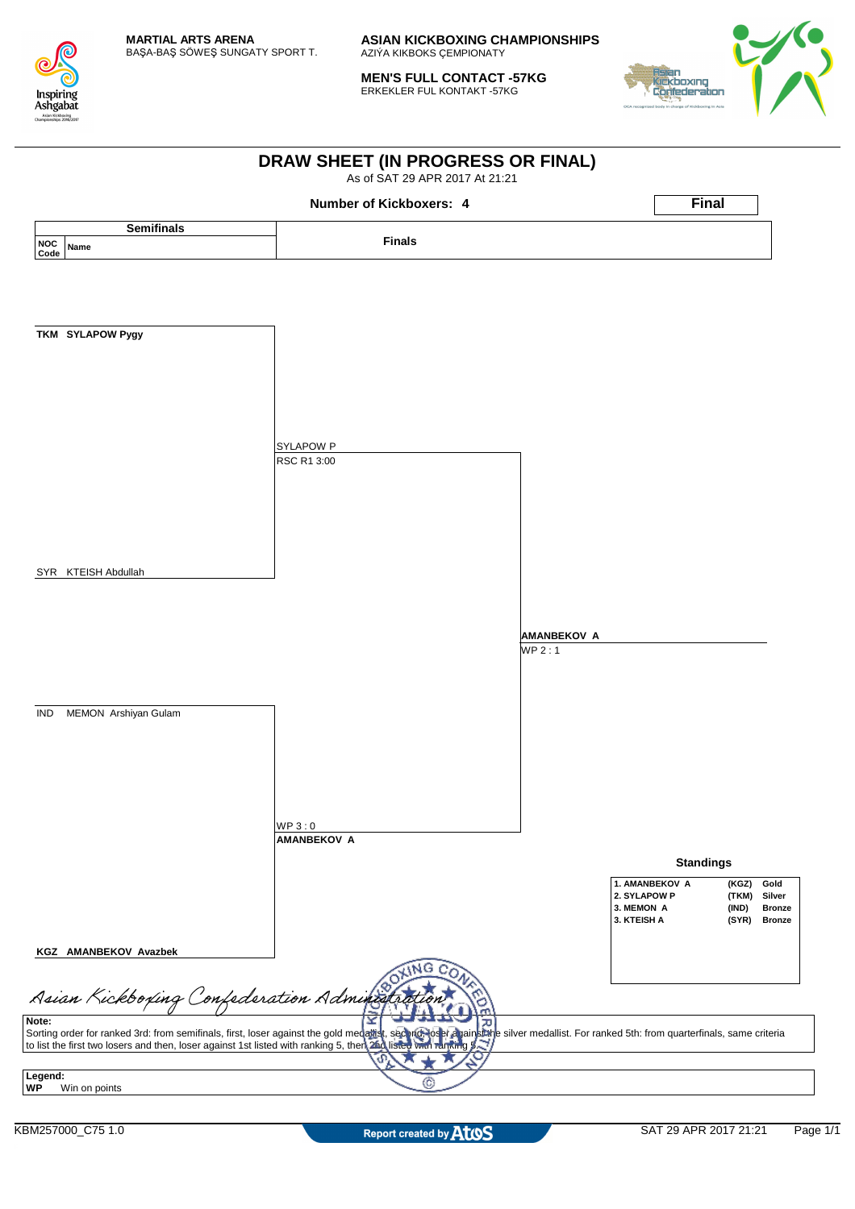

**MEN'S FULL CONTACT -57KG** ERKEKLER FUL KONTAKT -57KG



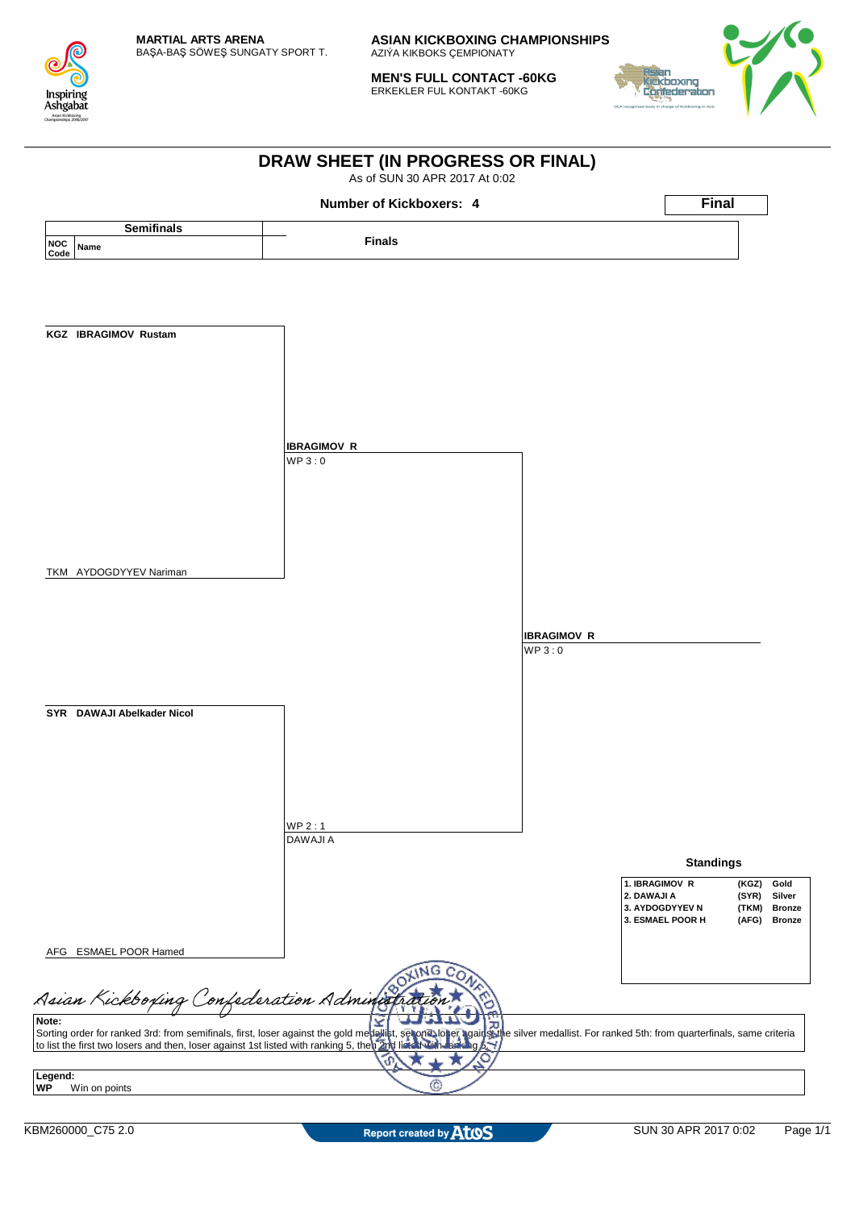

**MEN'S FULL CONTACT -60KG** ERKEKLER FUL KONTAKT -60KG



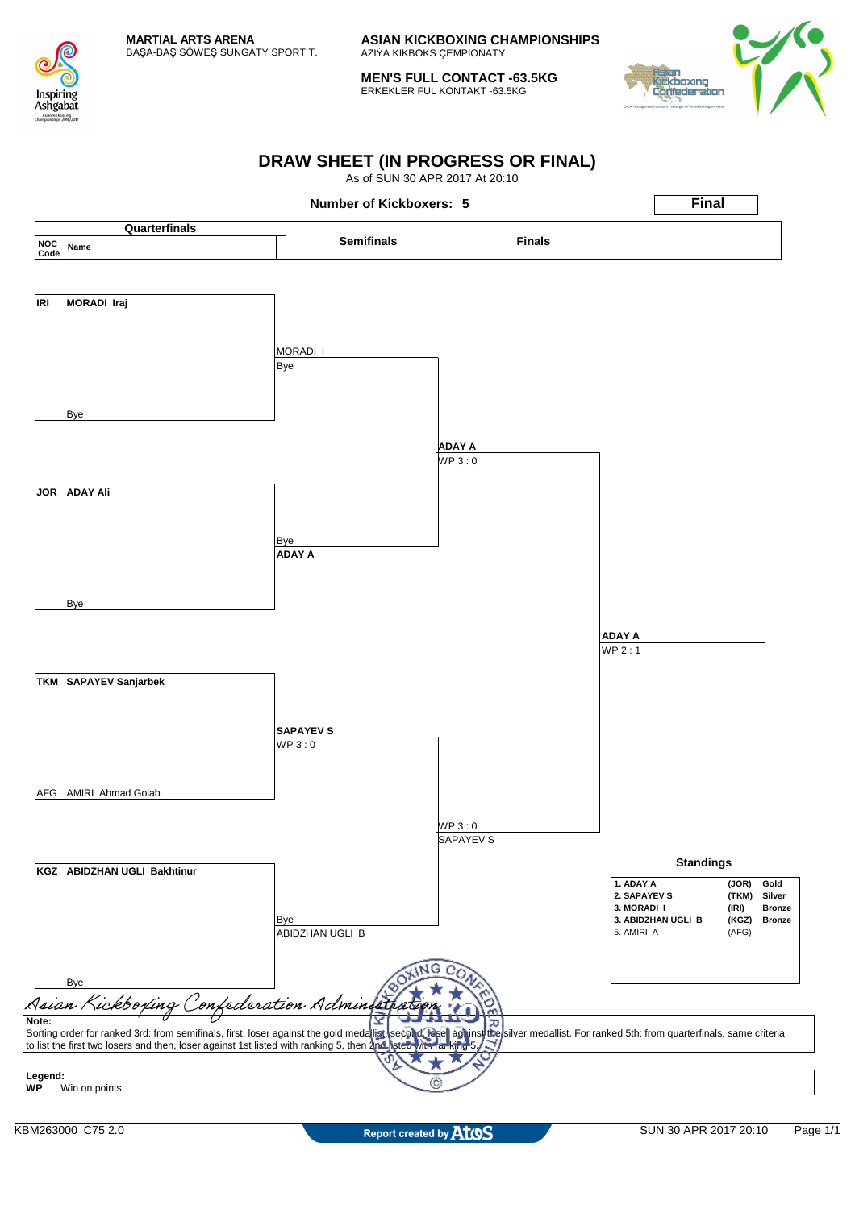

**MEN'S FULL CONTACT -63.5KG** ERKEKLER FUL KONTAKT -63.5KG



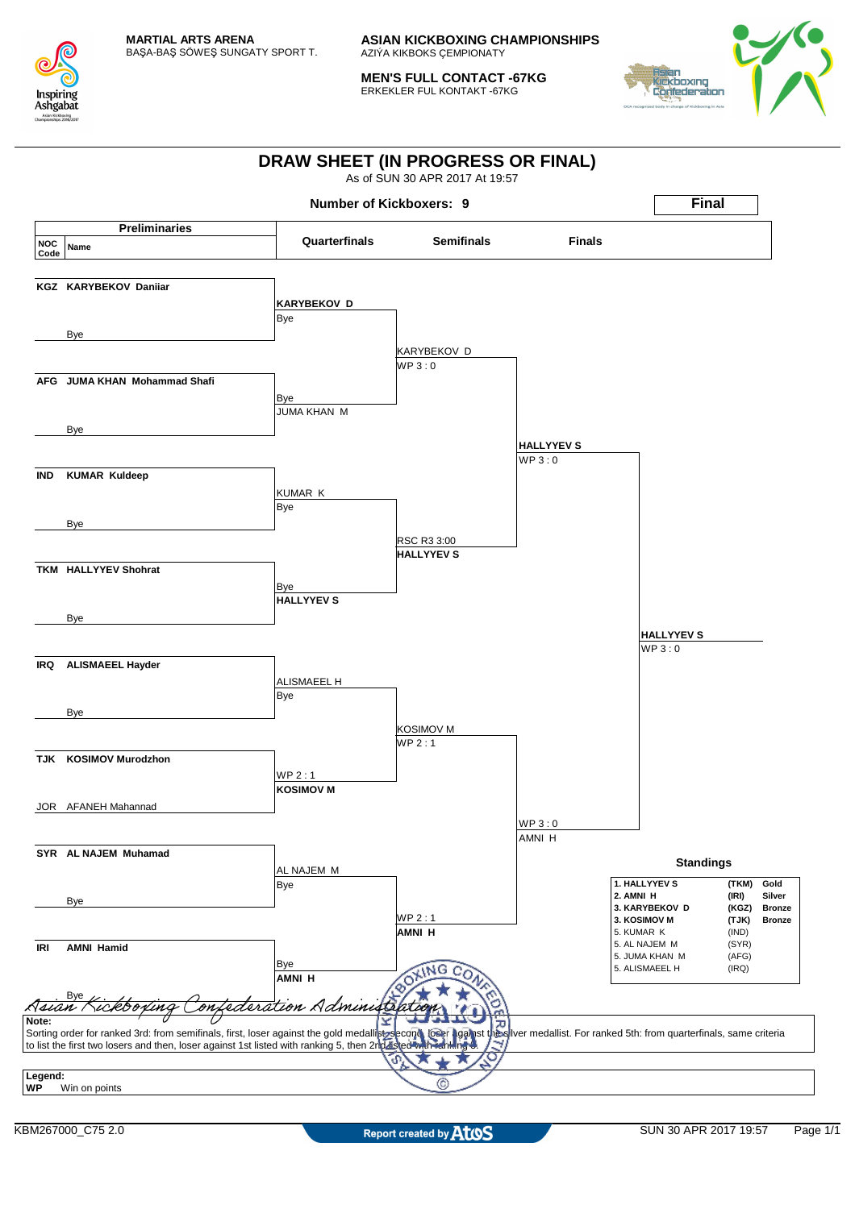

**MEN'S FULL CONTACT -67KG** ERKEKLER FUL KONTAKT -67KG



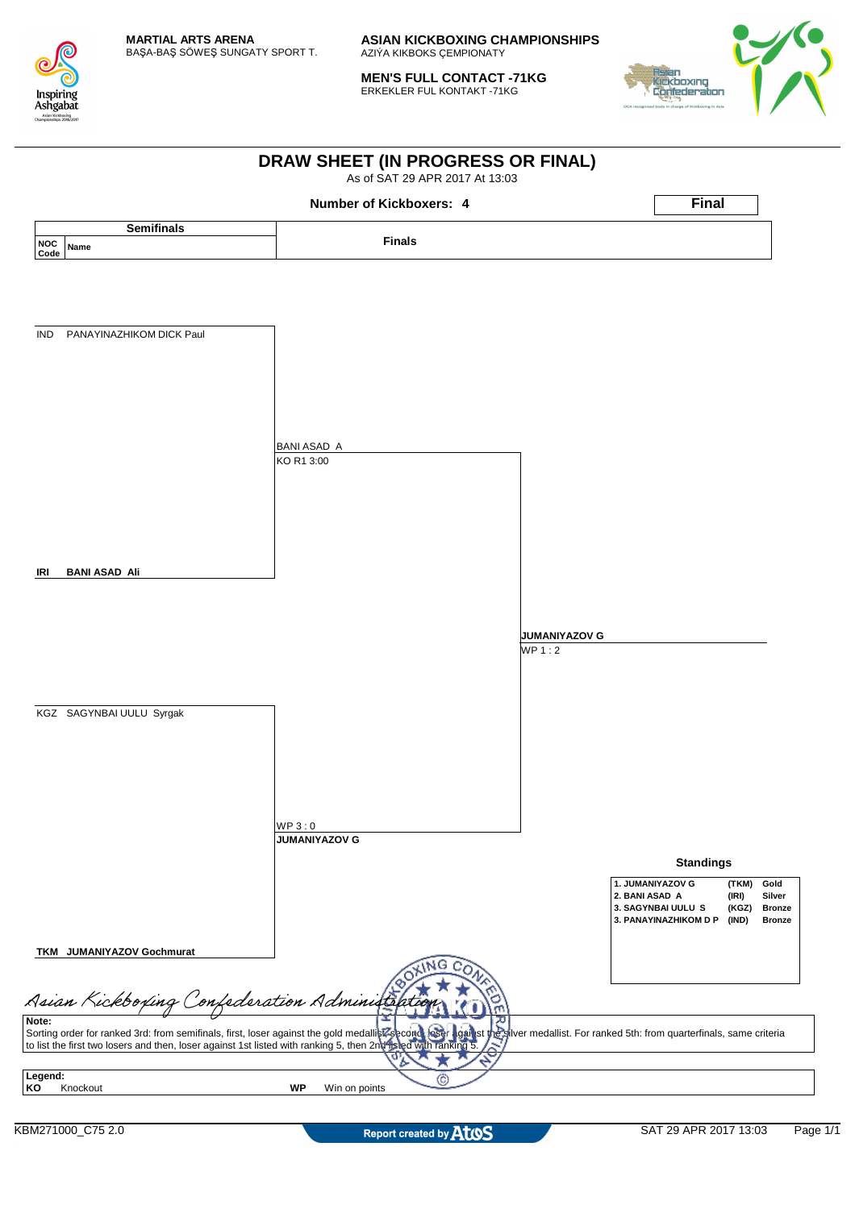

**MEN'S FULL CONTACT -71KG** ERKEKLER FUL KONTAKT -71KG



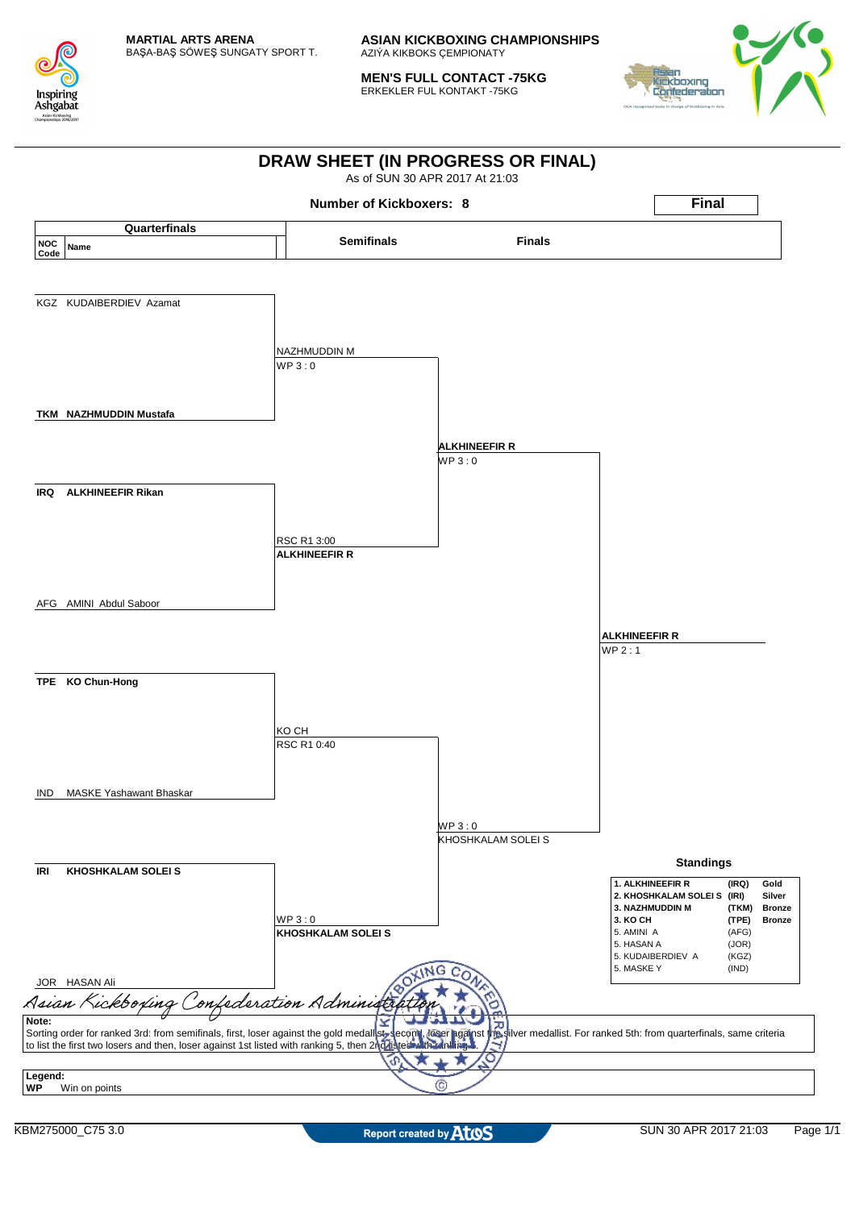

**MEN'S FULL CONTACT -75KG** ERKEKLER FUL KONTAKT -75KG



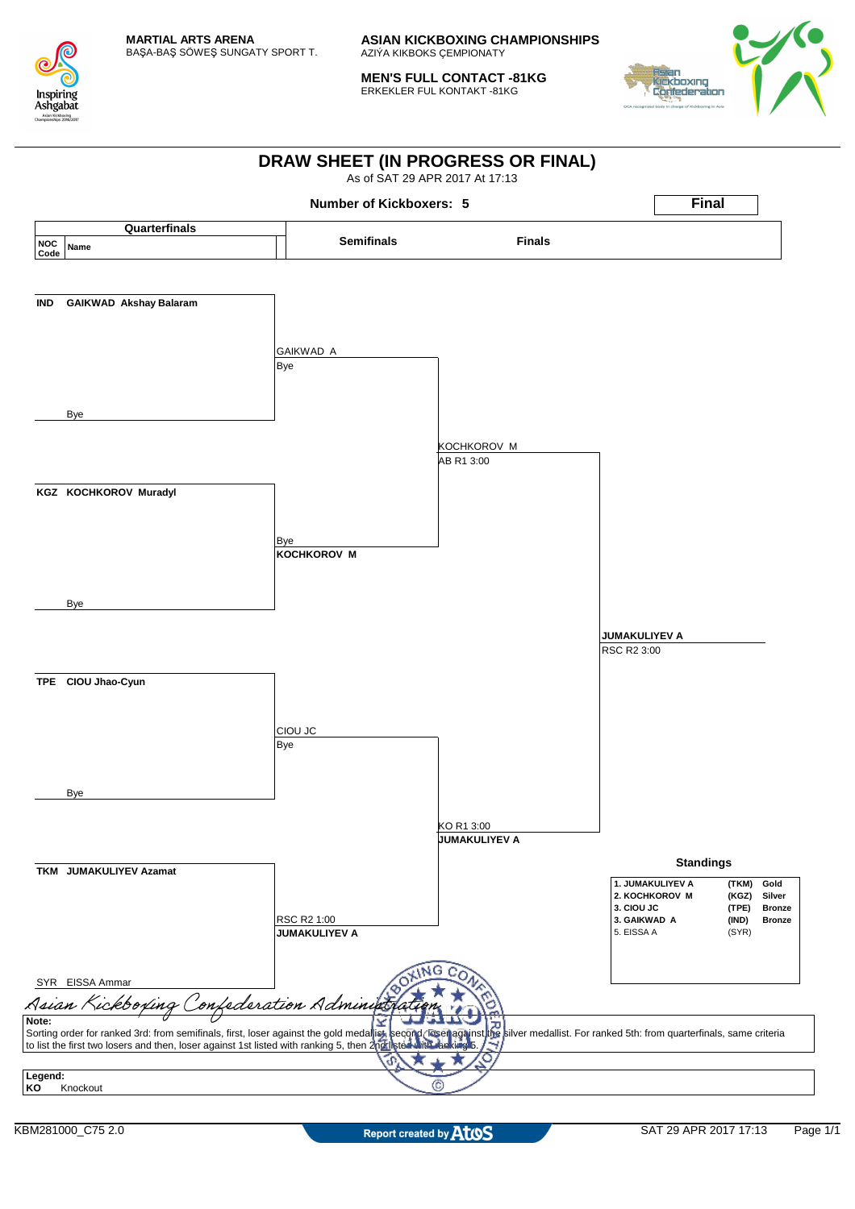

**MEN'S FULL CONTACT -81KG** ERKEKLER FUL KONTAKT -81KG



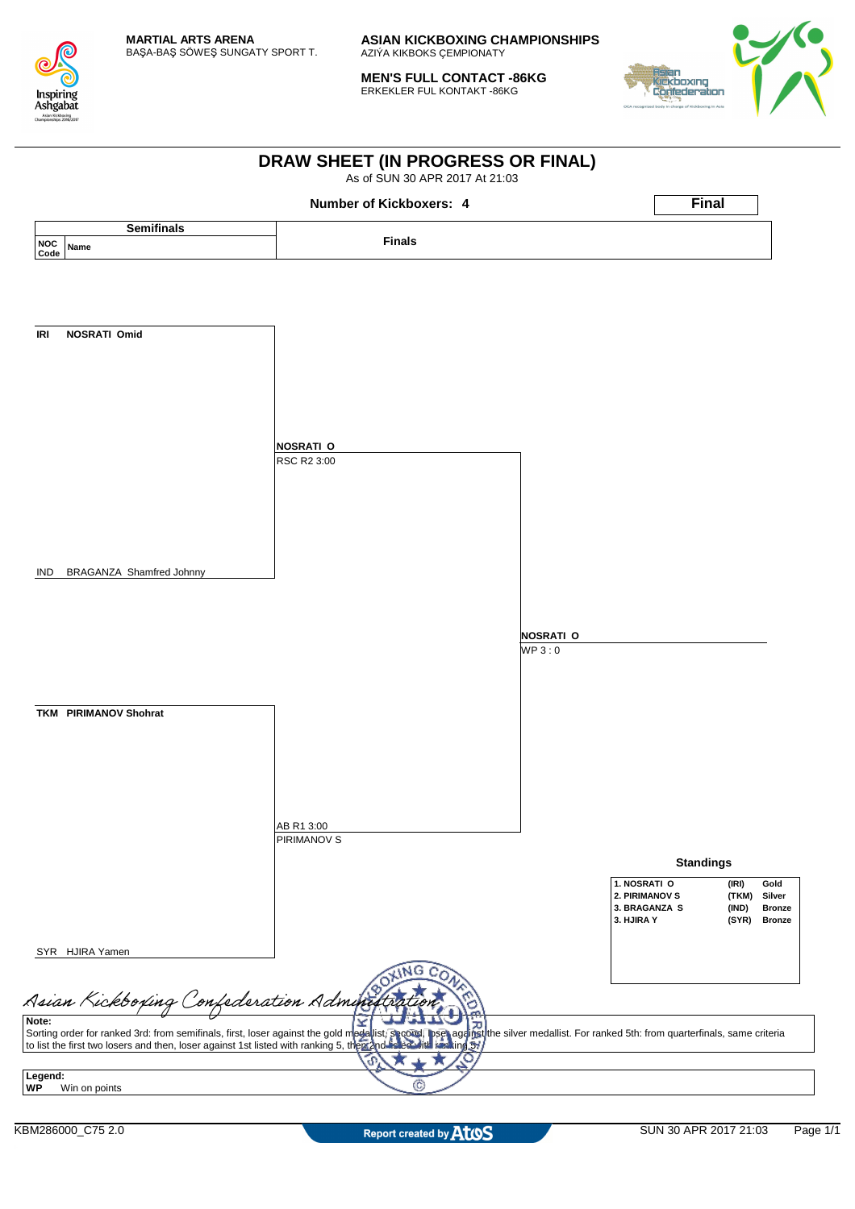

**MEN'S FULL CONTACT -86KG** ERKEKLER FUL KONTAKT -86KG



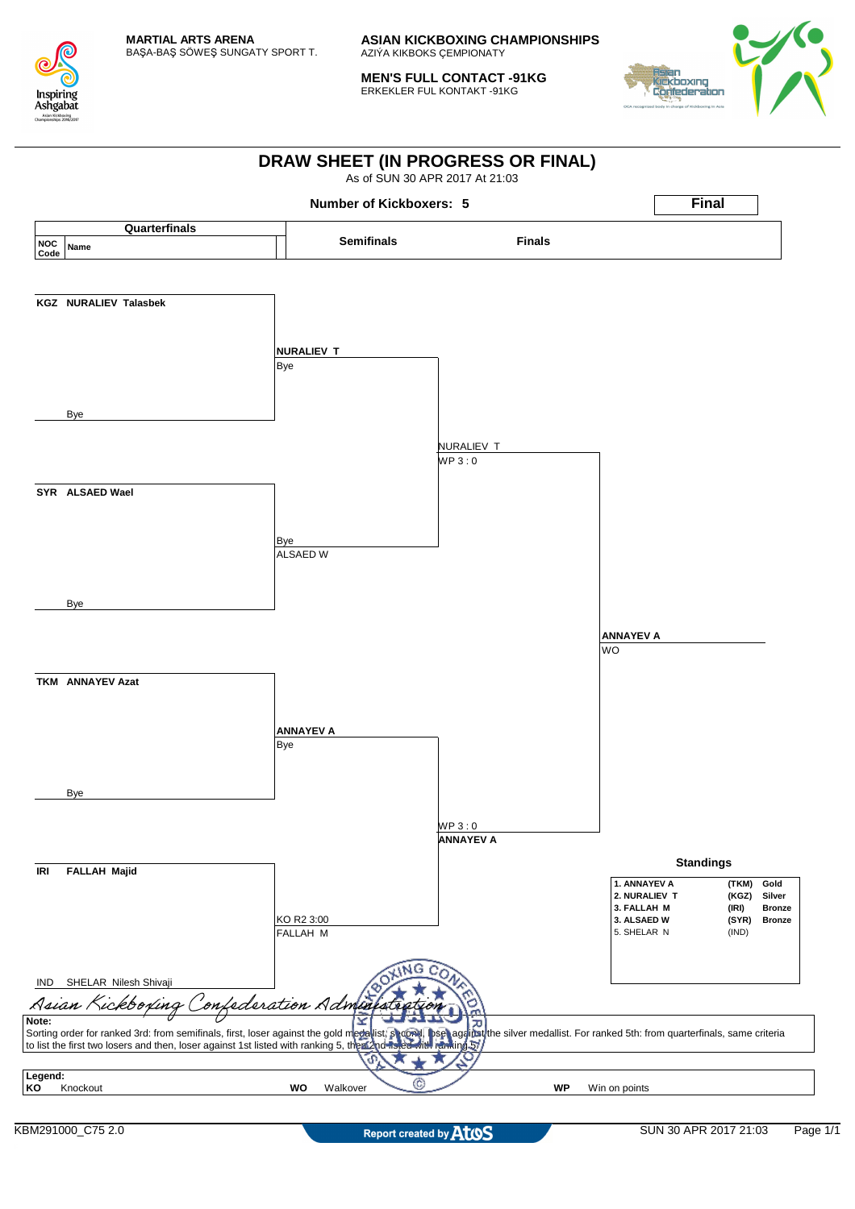

**MEN'S FULL CONTACT -91KG** ERKEKLER FUL KONTAKT -91KG



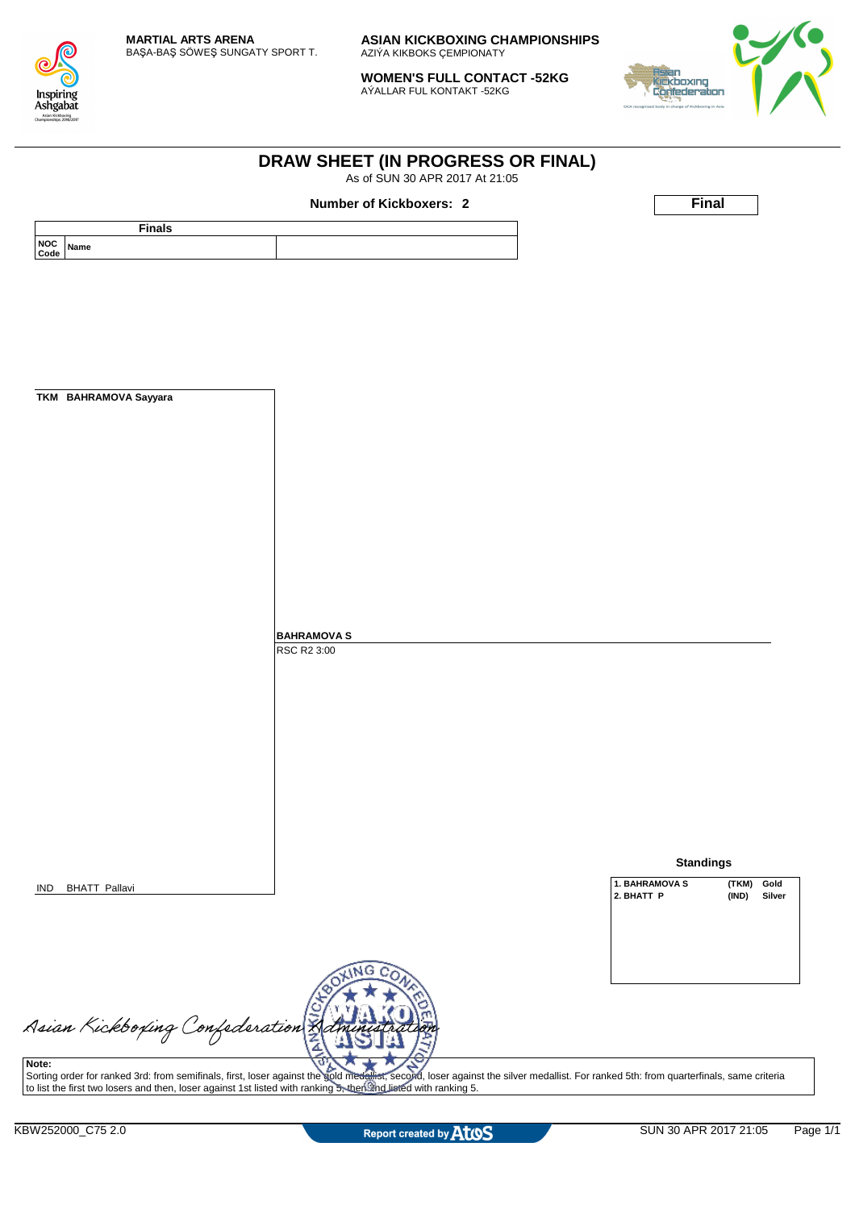

**WOMEN'S FULL CONTACT -52KG** AÝALLAR FUL KONTAKT -52KG

**DRAW SHEET (IN PROGRESS OR FINAL)** As of SUN 30 APR 2017 At 21:05



| <b>Finals</b>                           | Number of Kickboxers: 2                                                                                                                                                                   |                |                  |                 |
|-----------------------------------------|-------------------------------------------------------------------------------------------------------------------------------------------------------------------------------------------|----------------|------------------|-----------------|
| NOC Name                                |                                                                                                                                                                                           |                |                  |                 |
| Code                                    |                                                                                                                                                                                           |                |                  |                 |
|                                         |                                                                                                                                                                                           |                |                  |                 |
|                                         |                                                                                                                                                                                           |                |                  |                 |
|                                         |                                                                                                                                                                                           |                |                  |                 |
|                                         |                                                                                                                                                                                           |                |                  |                 |
|                                         |                                                                                                                                                                                           |                |                  |                 |
|                                         |                                                                                                                                                                                           |                |                  |                 |
|                                         |                                                                                                                                                                                           |                |                  |                 |
| TKM BAHRAMOVA Sayyara                   |                                                                                                                                                                                           |                |                  |                 |
|                                         |                                                                                                                                                                                           |                |                  |                 |
|                                         |                                                                                                                                                                                           |                |                  |                 |
|                                         |                                                                                                                                                                                           |                |                  |                 |
|                                         |                                                                                                                                                                                           |                |                  |                 |
|                                         |                                                                                                                                                                                           |                |                  |                 |
|                                         |                                                                                                                                                                                           |                |                  |                 |
|                                         |                                                                                                                                                                                           |                |                  |                 |
|                                         |                                                                                                                                                                                           |                |                  |                 |
|                                         |                                                                                                                                                                                           |                |                  |                 |
|                                         |                                                                                                                                                                                           |                |                  |                 |
|                                         |                                                                                                                                                                                           |                |                  |                 |
|                                         |                                                                                                                                                                                           |                |                  |                 |
|                                         | <b>BAHRAMOVA S</b><br>RSC R2 3:00                                                                                                                                                         |                |                  |                 |
|                                         |                                                                                                                                                                                           |                |                  |                 |
|                                         |                                                                                                                                                                                           |                |                  |                 |
|                                         |                                                                                                                                                                                           |                |                  |                 |
|                                         |                                                                                                                                                                                           |                |                  |                 |
|                                         |                                                                                                                                                                                           |                |                  |                 |
|                                         |                                                                                                                                                                                           |                |                  |                 |
|                                         |                                                                                                                                                                                           |                |                  |                 |
|                                         |                                                                                                                                                                                           |                |                  |                 |
|                                         |                                                                                                                                                                                           |                |                  |                 |
|                                         |                                                                                                                                                                                           |                |                  |                 |
|                                         |                                                                                                                                                                                           |                |                  |                 |
|                                         |                                                                                                                                                                                           |                | <b>Standings</b> |                 |
| <b>BHATT Pallavi</b><br>IND             |                                                                                                                                                                                           | 1. BAHRAMOVA S |                  | (TKM)<br>Gold   |
|                                         |                                                                                                                                                                                           | 2. BHATT P     |                  | (IND)<br>Silver |
|                                         |                                                                                                                                                                                           |                |                  |                 |
|                                         |                                                                                                                                                                                           |                |                  |                 |
|                                         |                                                                                                                                                                                           |                |                  |                 |
|                                         |                                                                                                                                                                                           |                |                  |                 |
|                                         |                                                                                                                                                                                           |                |                  |                 |
|                                         |                                                                                                                                                                                           |                |                  |                 |
|                                         |                                                                                                                                                                                           |                |                  |                 |
|                                         |                                                                                                                                                                                           |                |                  |                 |
|                                         |                                                                                                                                                                                           |                |                  |                 |
| Asian Kickboxing Confederation<br>Note: | d<br>Sorting order for ranked 3rd: from semifinals, first, loser against the gold medalist, second, loser against the silver medallist. For ranked 5th: from quarterfinals, same criteria |                |                  |                 |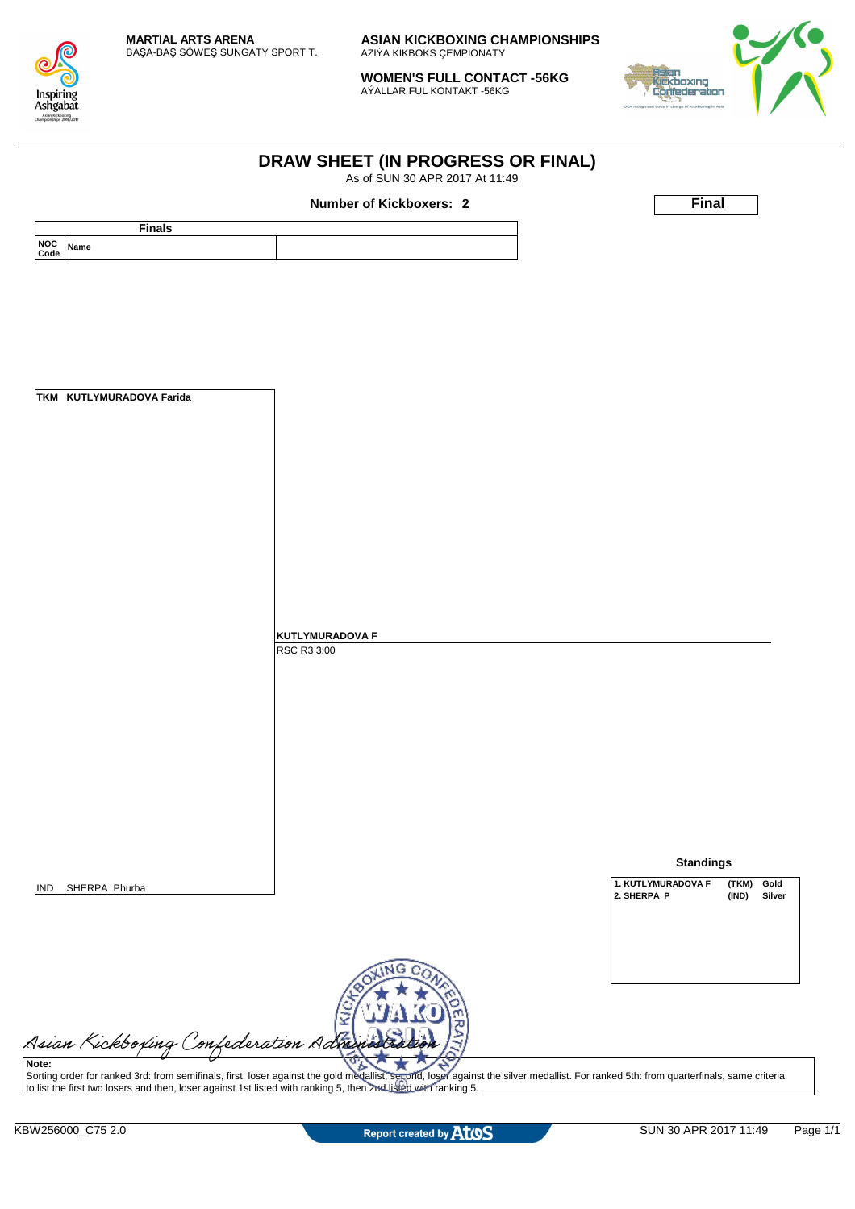

**WOMEN'S FULL CONTACT -56KG** AÝALLAR FUL KONTAKT -56KG

**DRAW SHEET (IN PROGRESS OR FINAL)** As of SUN 30 APR 2017 At 11:49



|                                          | Number of Kickboxers: 2                                                                                                                                                               | Final                               |
|------------------------------------------|---------------------------------------------------------------------------------------------------------------------------------------------------------------------------------------|-------------------------------------|
| <b>Finals</b><br><b>NOC</b><br>Name      |                                                                                                                                                                                       |                                     |
| Code                                     |                                                                                                                                                                                       |                                     |
|                                          |                                                                                                                                                                                       |                                     |
|                                          |                                                                                                                                                                                       |                                     |
|                                          |                                                                                                                                                                                       |                                     |
|                                          |                                                                                                                                                                                       |                                     |
|                                          |                                                                                                                                                                                       |                                     |
| TKM KUTLYMURADOVA Farida                 |                                                                                                                                                                                       |                                     |
|                                          |                                                                                                                                                                                       |                                     |
|                                          |                                                                                                                                                                                       |                                     |
|                                          |                                                                                                                                                                                       |                                     |
|                                          |                                                                                                                                                                                       |                                     |
|                                          |                                                                                                                                                                                       |                                     |
|                                          |                                                                                                                                                                                       |                                     |
|                                          |                                                                                                                                                                                       |                                     |
|                                          |                                                                                                                                                                                       |                                     |
|                                          |                                                                                                                                                                                       |                                     |
|                                          | <b>KUTLYMURADOVA F</b><br>RSC R3 3:00                                                                                                                                                 |                                     |
|                                          |                                                                                                                                                                                       |                                     |
|                                          |                                                                                                                                                                                       |                                     |
|                                          |                                                                                                                                                                                       |                                     |
|                                          |                                                                                                                                                                                       |                                     |
|                                          |                                                                                                                                                                                       |                                     |
|                                          |                                                                                                                                                                                       |                                     |
|                                          |                                                                                                                                                                                       |                                     |
|                                          |                                                                                                                                                                                       |                                     |
|                                          |                                                                                                                                                                                       | <b>Standings</b>                    |
| SHERPA Phurba<br>IND                     |                                                                                                                                                                                       | 1. KUTLYMURADOVA F<br>(TKM)<br>Gold |
|                                          |                                                                                                                                                                                       | 2. SHERPA P<br>(IND)<br>Silver      |
|                                          |                                                                                                                                                                                       |                                     |
|                                          |                                                                                                                                                                                       |                                     |
|                                          |                                                                                                                                                                                       |                                     |
|                                          |                                                                                                                                                                                       |                                     |
|                                          |                                                                                                                                                                                       |                                     |
| Asian Kickboxing Confederation Administr |                                                                                                                                                                                       |                                     |
|                                          | Sorting order for ranked 3rd: from semifinals, first, loser against the gold medallist, second, loser against the silver medallist. For ranked 5th: from quarterfinals, same criteria |                                     |
|                                          | to list the first two losers and then, loser against 1st listed with ranking 5, then 2nd listed with ranking 5.                                                                       |                                     |
| KBW256000_C75 2.0                        | Report created by AtOS                                                                                                                                                                | Page 1/1<br>SUN 30 APR 2017 11:49   |
|                                          |                                                                                                                                                                                       |                                     |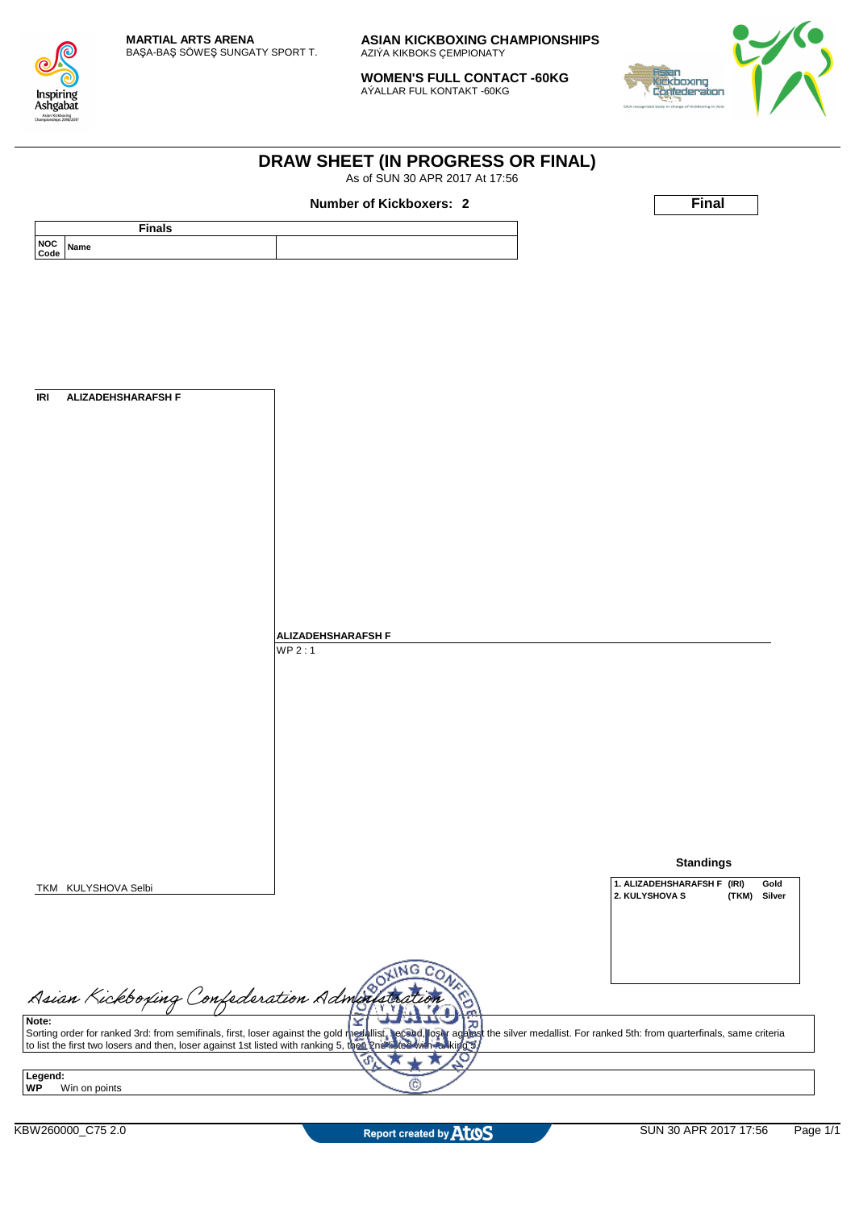

**WOMEN'S FULL CONTACT -60KG** AÝALLAR FUL KONTAKT -60KG

**DRAW SHEET (IN PROGRESS OR FINAL)** As of SUN 30 APR 2017 At 17:56



|                                           | <b>Number of Kickboxers: 2</b>                                                                                                                                                                                                    | <b>Final</b>                                                             |
|-------------------------------------------|-----------------------------------------------------------------------------------------------------------------------------------------------------------------------------------------------------------------------------------|--------------------------------------------------------------------------|
| <b>Finals</b><br><b>NOC</b><br>Name       |                                                                                                                                                                                                                                   |                                                                          |
| Code                                      |                                                                                                                                                                                                                                   |                                                                          |
|                                           |                                                                                                                                                                                                                                   |                                                                          |
|                                           |                                                                                                                                                                                                                                   |                                                                          |
|                                           |                                                                                                                                                                                                                                   |                                                                          |
|                                           |                                                                                                                                                                                                                                   |                                                                          |
|                                           |                                                                                                                                                                                                                                   |                                                                          |
| <b>ALIZADEHSHARAFSH F</b>                 |                                                                                                                                                                                                                                   |                                                                          |
|                                           |                                                                                                                                                                                                                                   |                                                                          |
|                                           |                                                                                                                                                                                                                                   |                                                                          |
|                                           |                                                                                                                                                                                                                                   |                                                                          |
|                                           |                                                                                                                                                                                                                                   |                                                                          |
|                                           |                                                                                                                                                                                                                                   |                                                                          |
|                                           |                                                                                                                                                                                                                                   |                                                                          |
|                                           |                                                                                                                                                                                                                                   |                                                                          |
|                                           |                                                                                                                                                                                                                                   |                                                                          |
|                                           |                                                                                                                                                                                                                                   |                                                                          |
|                                           |                                                                                                                                                                                                                                   |                                                                          |
|                                           | <b>ALIZADEHSHARAFSH F</b>                                                                                                                                                                                                         |                                                                          |
|                                           | WP2:1                                                                                                                                                                                                                             |                                                                          |
|                                           |                                                                                                                                                                                                                                   |                                                                          |
|                                           |                                                                                                                                                                                                                                   |                                                                          |
|                                           |                                                                                                                                                                                                                                   |                                                                          |
|                                           |                                                                                                                                                                                                                                   |                                                                          |
|                                           |                                                                                                                                                                                                                                   |                                                                          |
|                                           |                                                                                                                                                                                                                                   |                                                                          |
|                                           |                                                                                                                                                                                                                                   |                                                                          |
|                                           |                                                                                                                                                                                                                                   |                                                                          |
|                                           |                                                                                                                                                                                                                                   |                                                                          |
|                                           |                                                                                                                                                                                                                                   | <b>Standings</b>                                                         |
| TKM KULYSHOVA Selbi                       |                                                                                                                                                                                                                                   | 1. ALIZADEHSHARAFSH F (IRI)<br>Gold<br>2. KULYSHOVA S<br>(TKM)<br>Silver |
|                                           |                                                                                                                                                                                                                                   |                                                                          |
|                                           |                                                                                                                                                                                                                                   |                                                                          |
|                                           |                                                                                                                                                                                                                                   |                                                                          |
|                                           | ۱NG<br>C                                                                                                                                                                                                                          |                                                                          |
| Asian Kickboxing Confederation Administra |                                                                                                                                                                                                                                   |                                                                          |
|                                           | 고                                                                                                                                                                                                                                 |                                                                          |
|                                           | Sorting order for ranked 3rd: from semifinals, first, loser against the gold medallist, secend, loser against the silver medallist. For ranked 5th: from quarterfinals, same criteria<br>to list the first two losers and then, l |                                                                          |
|                                           | P                                                                                                                                                                                                                                 |                                                                          |
| Legend:<br>Win on points                  | C)                                                                                                                                                                                                                                |                                                                          |
|                                           |                                                                                                                                                                                                                                   |                                                                          |
|                                           |                                                                                                                                                                                                                                   |                                                                          |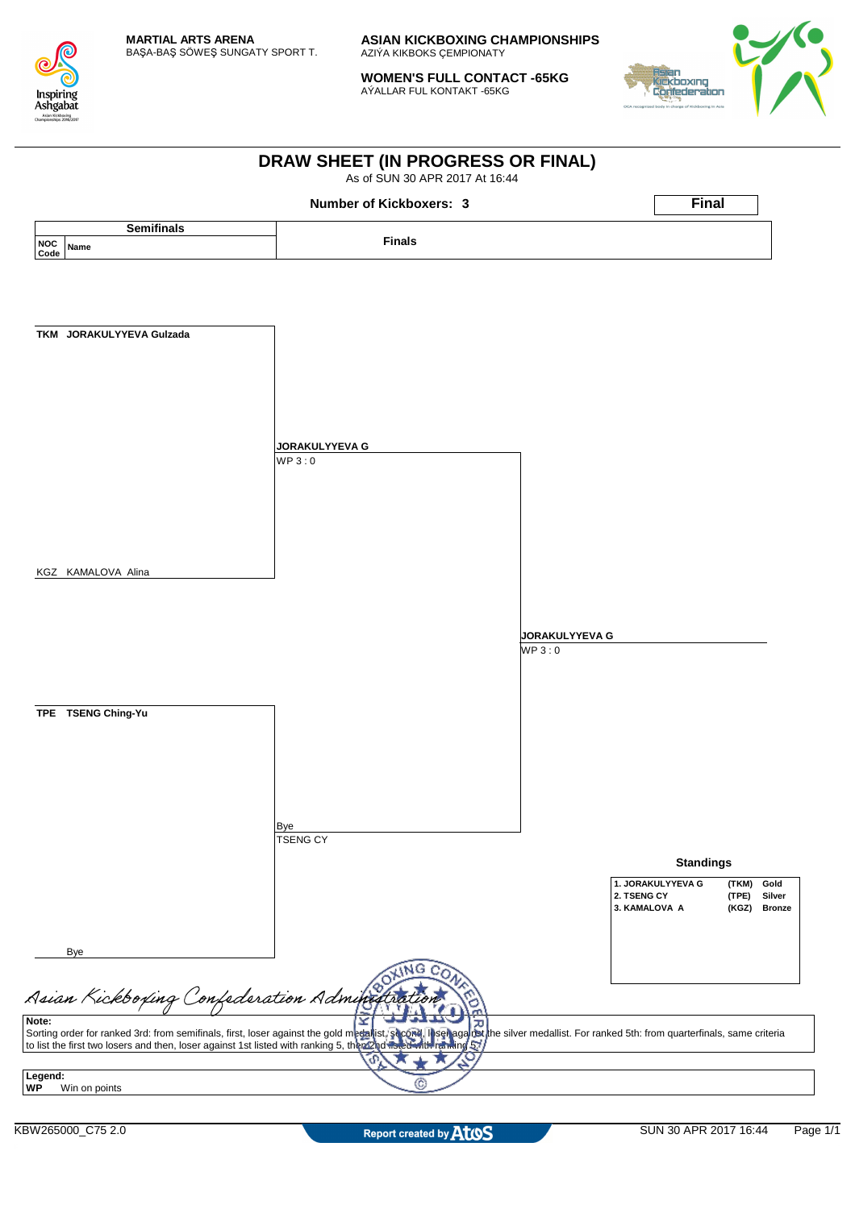

**WOMEN'S FULL CONTACT -65KG** AÝALLAR FUL KONTAKT -65KG



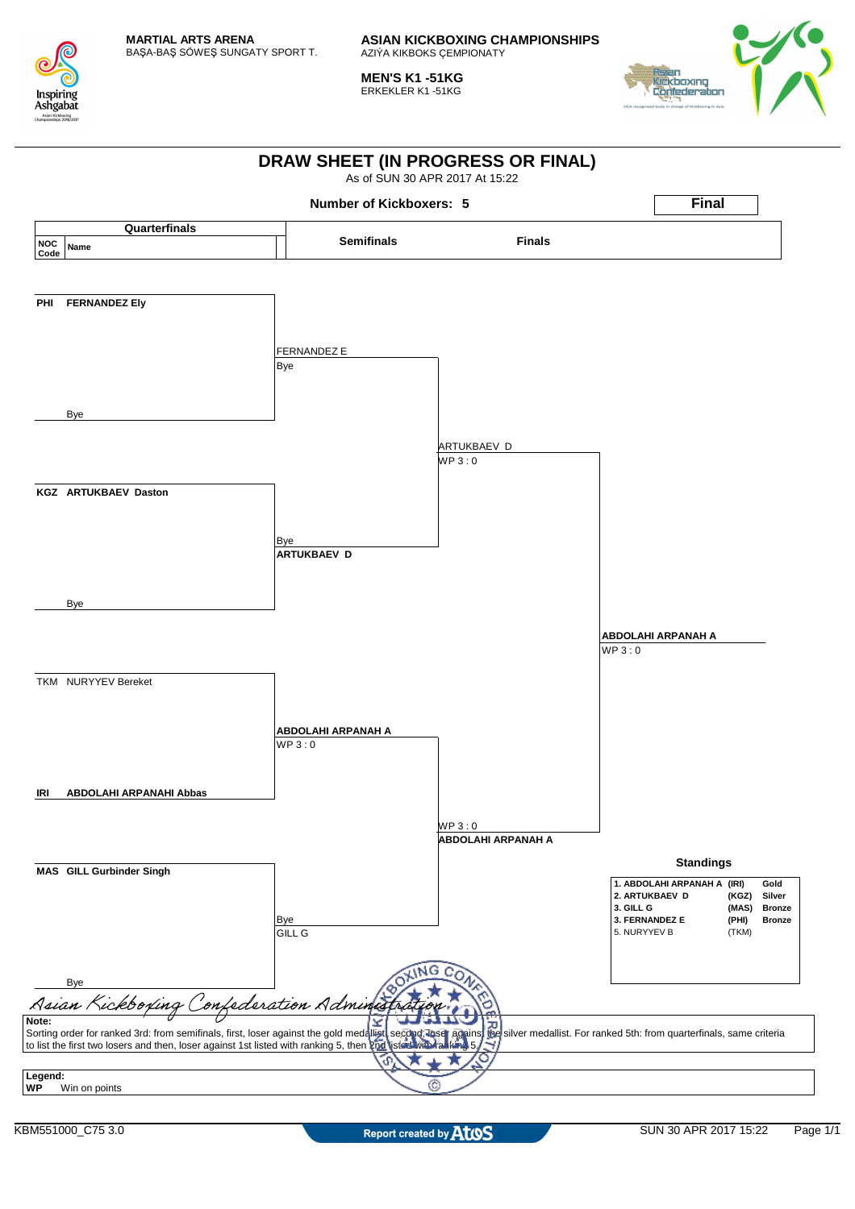

**MEN'S K1 -51KG** ERKEKLER K1 -51KG



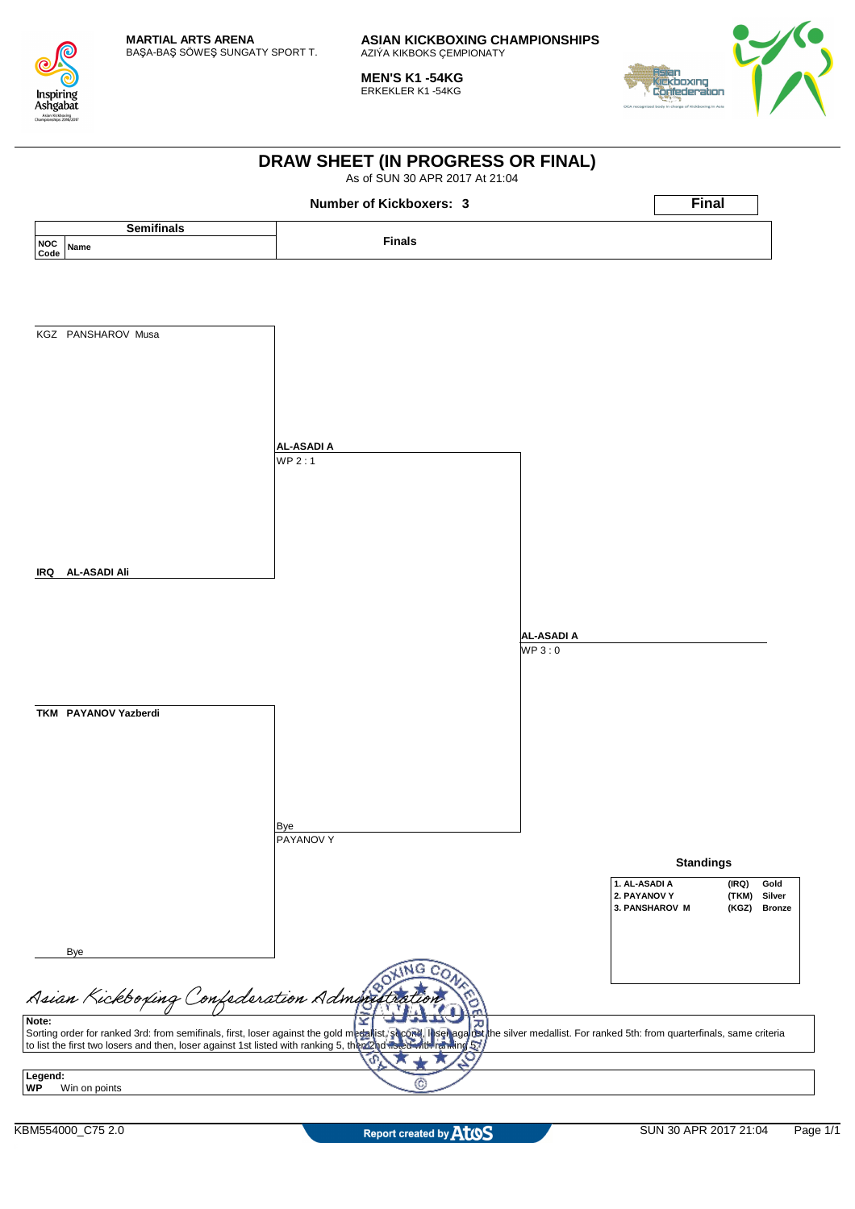

**MEN'S K1 -54KG** ERKEKLER K1 -54KG



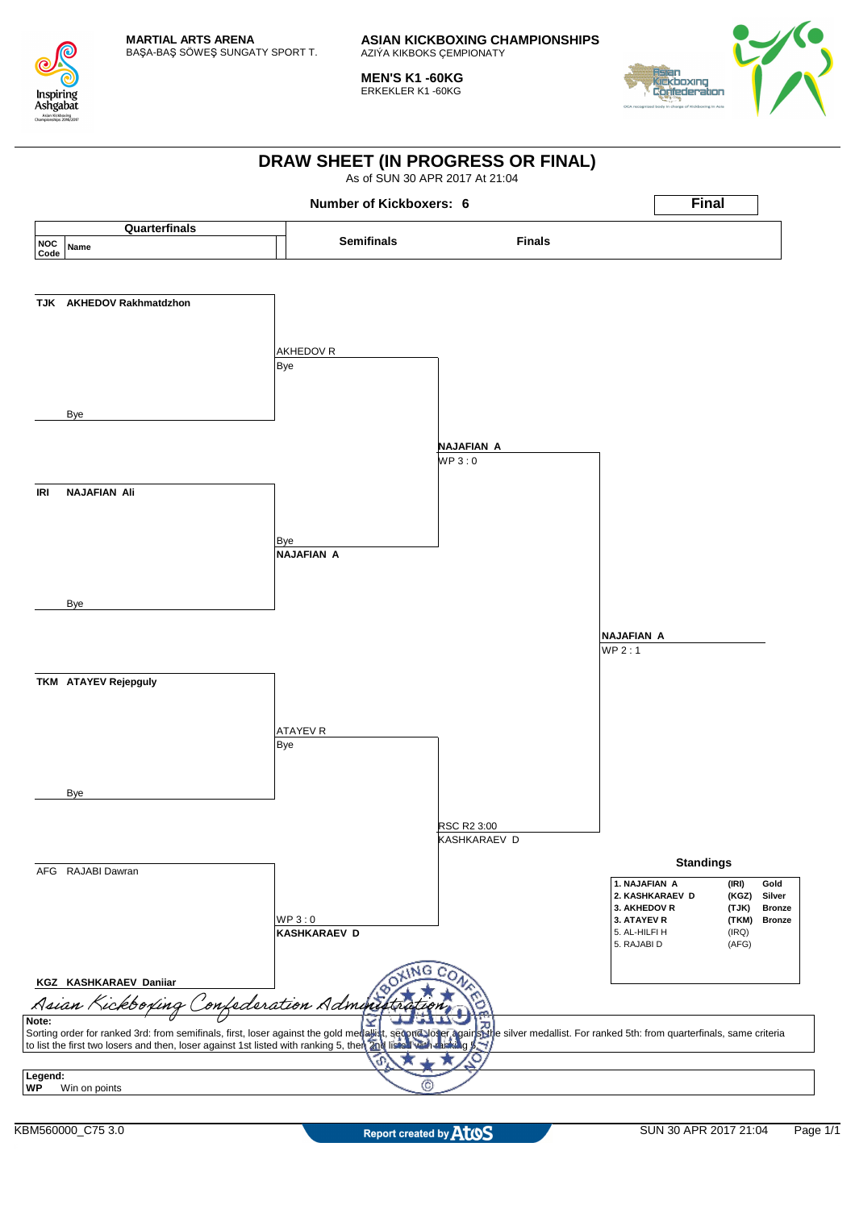

**MEN'S K1 -60KG** ERKEKLER K1 -60KG



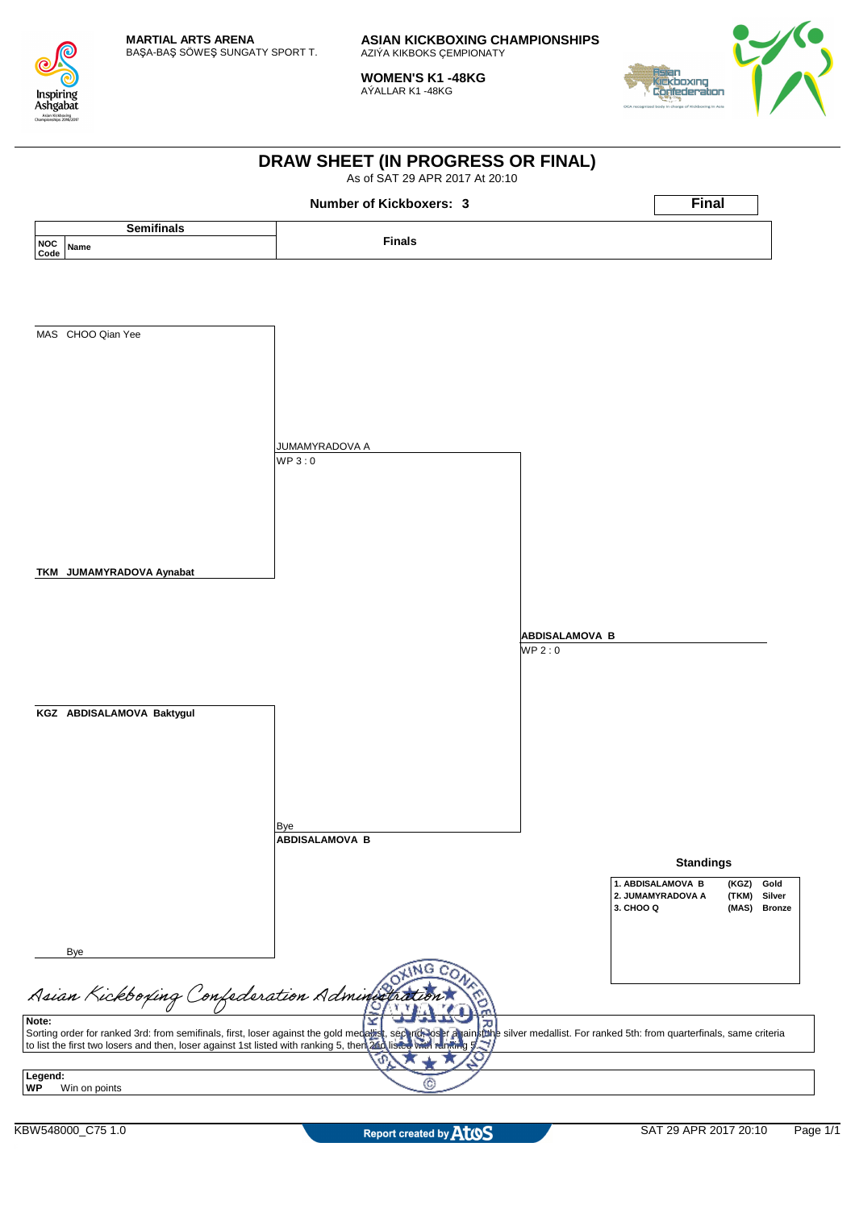

**WOMEN'S K1 -48KG** AÝALLAR K1 -48KG



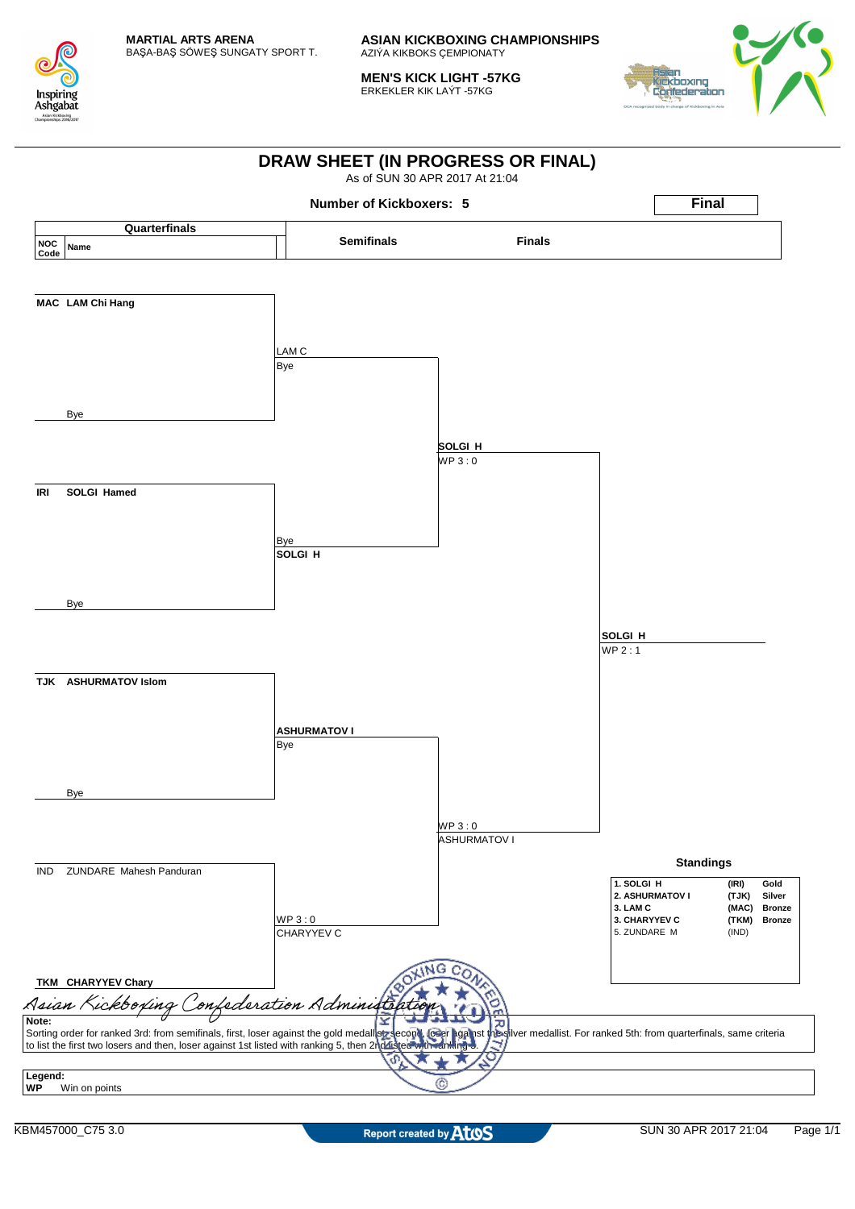

**MEN'S KICK LIGHT -57KG** ERKEKLER KIK LAÝT -57KG



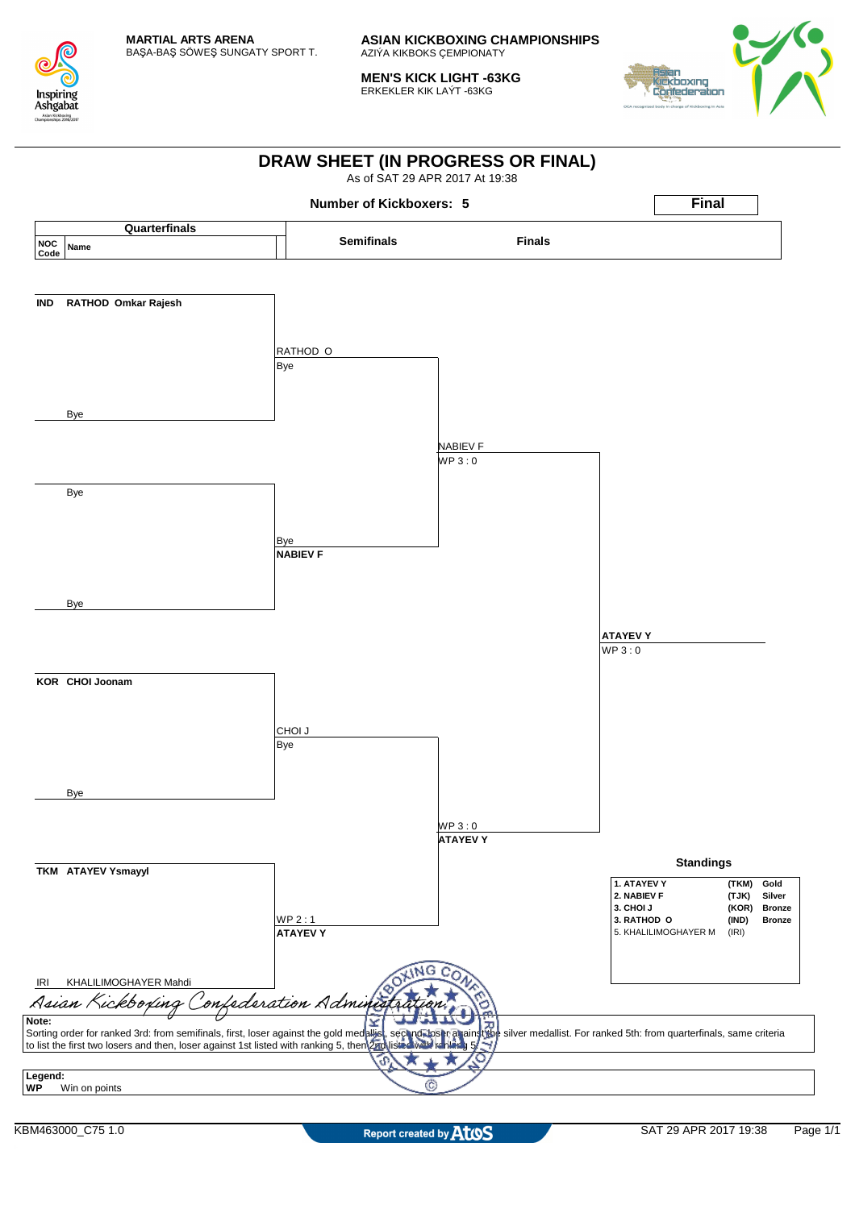

**MEN'S KICK LIGHT -63KG** ERKEKLER KIK LAÝT -63KG



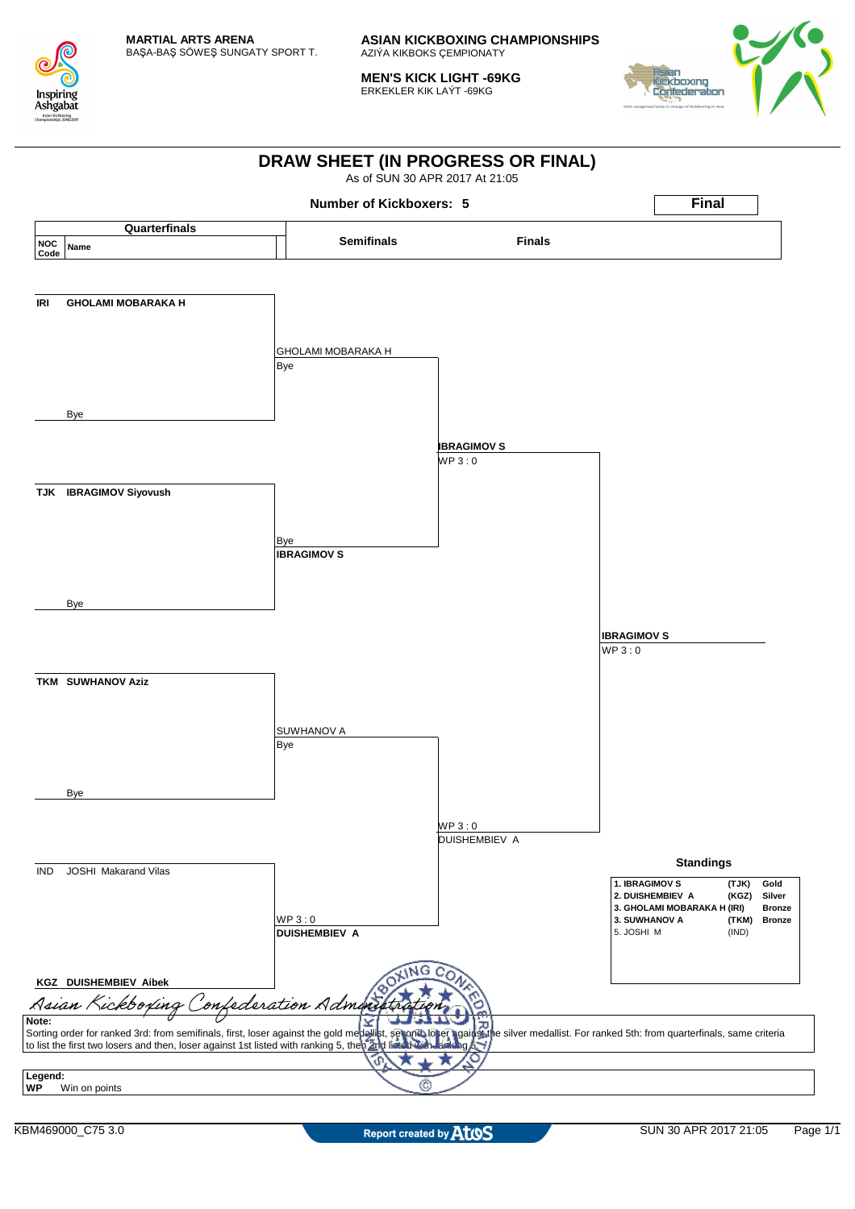

**MEN'S KICK LIGHT -69KG** ERKEKLER KIK LAÝT -69KG



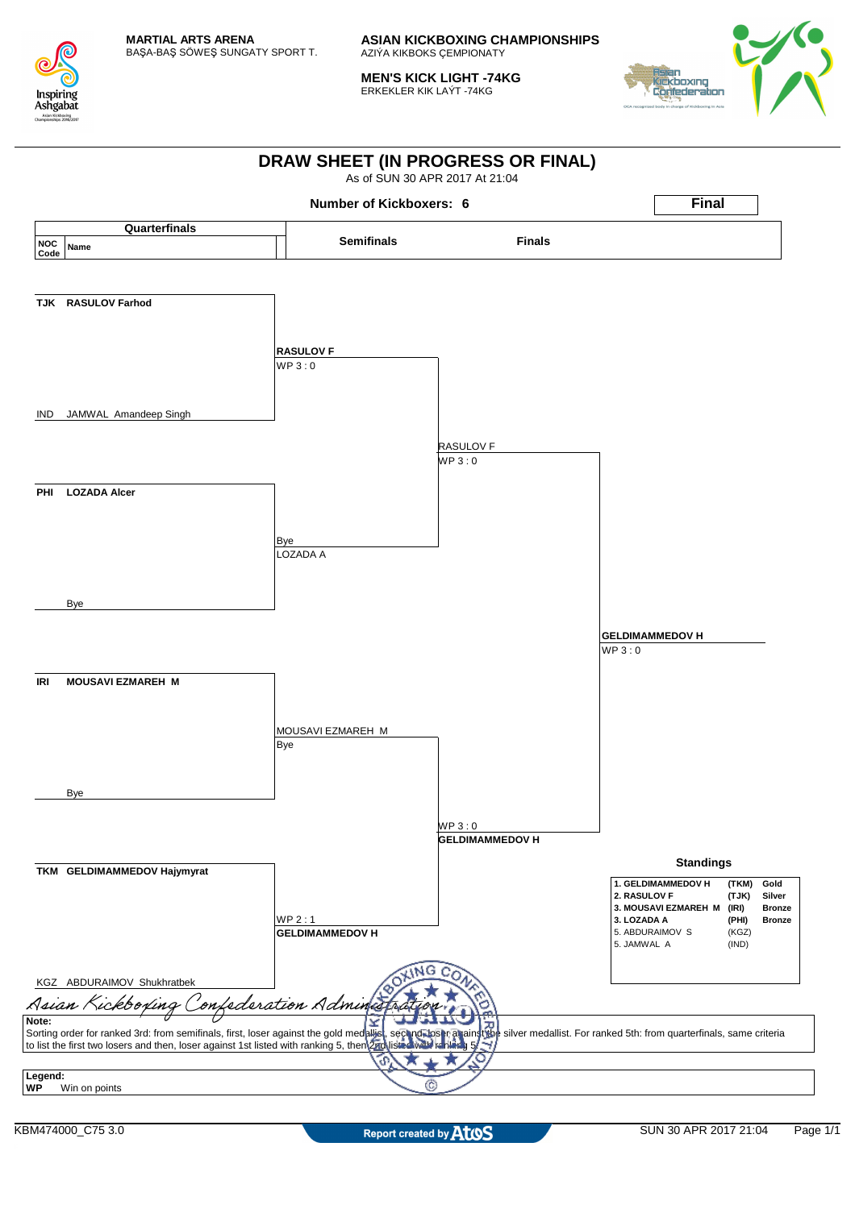

**MEN'S KICK LIGHT -74KG** ERKEKLER KIK LAÝT -74KG



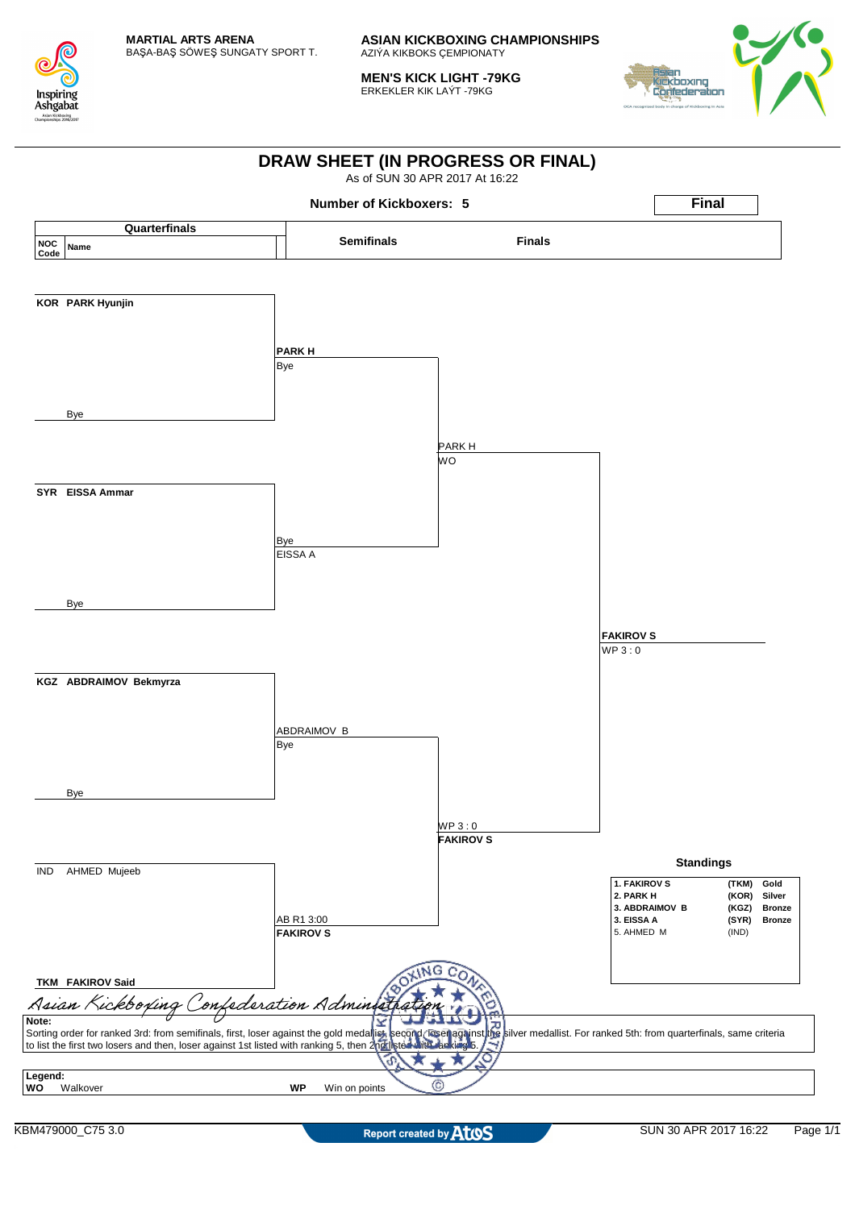

**MEN'S KICK LIGHT -79KG** ERKEKLER KIK LAÝT -79KG



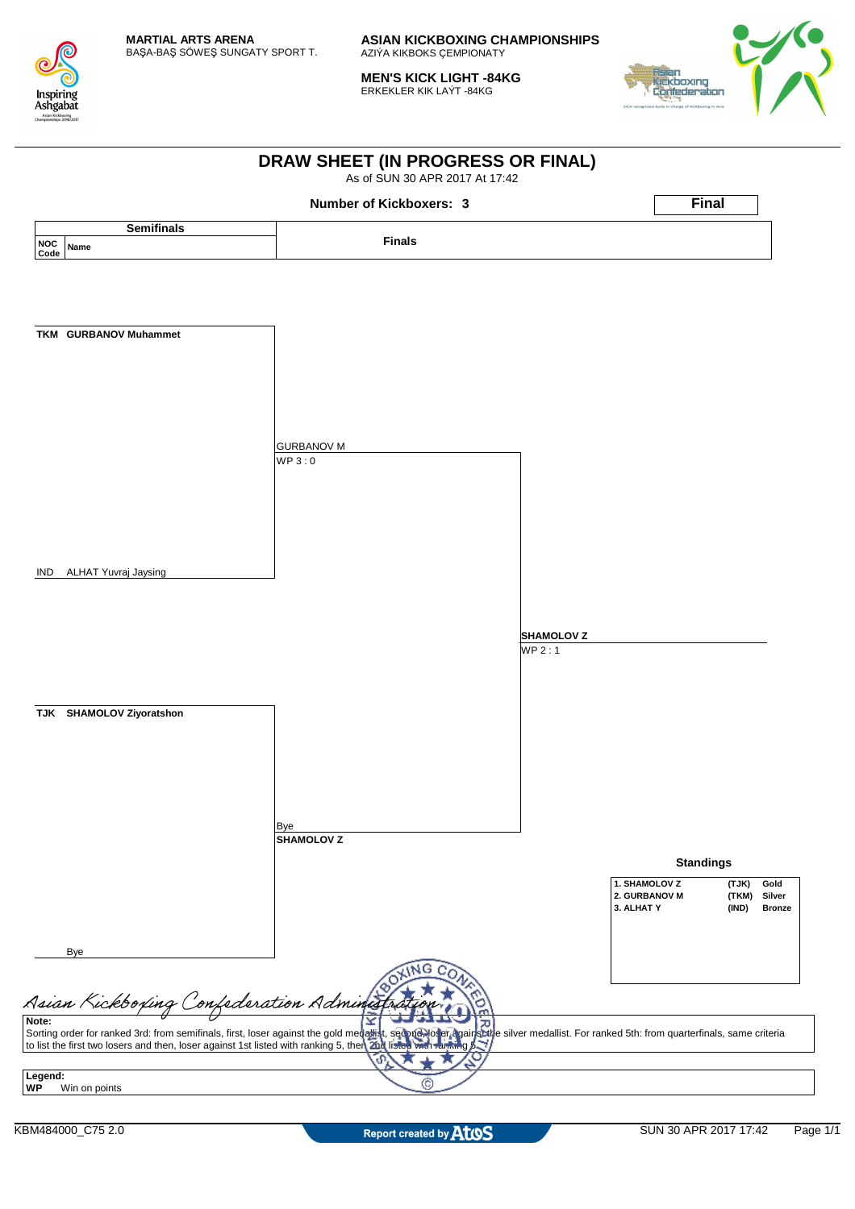

**MEN'S KICK LIGHT -84KG** ERKEKLER KIK LAÝT -84KG



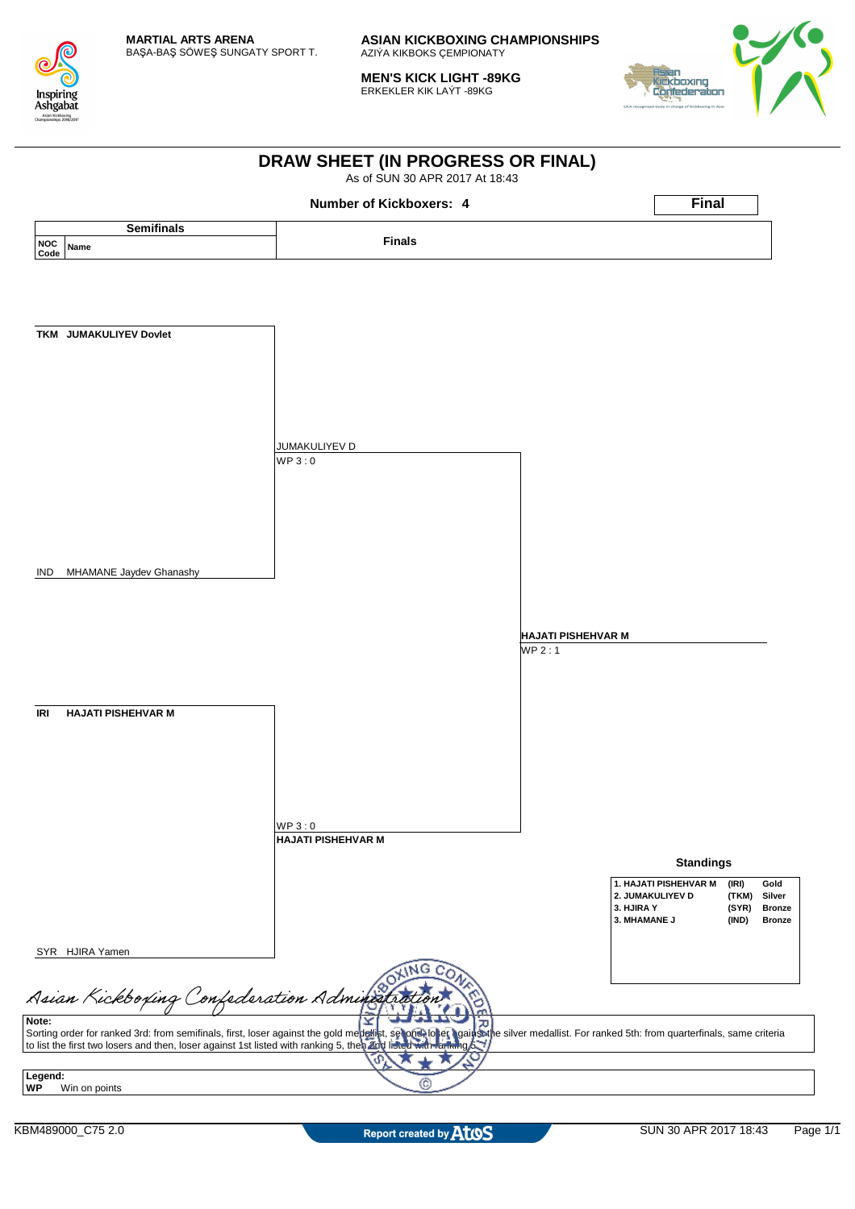

**MEN'S KICK LIGHT -89KG** ERKEKLER KIK LAÝT -89KG



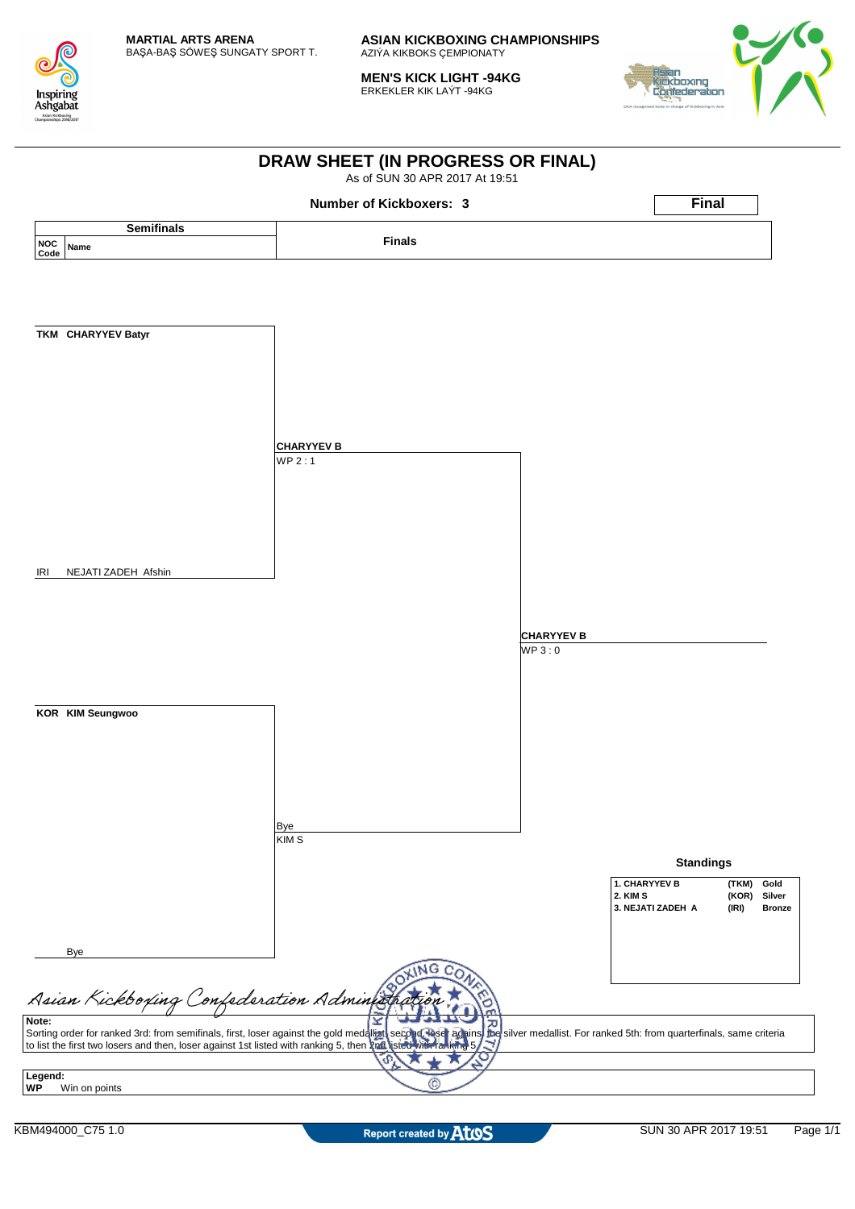

**MEN'S KICK LIGHT -94KG** ERKEKLER KIK LAÝT -94KG



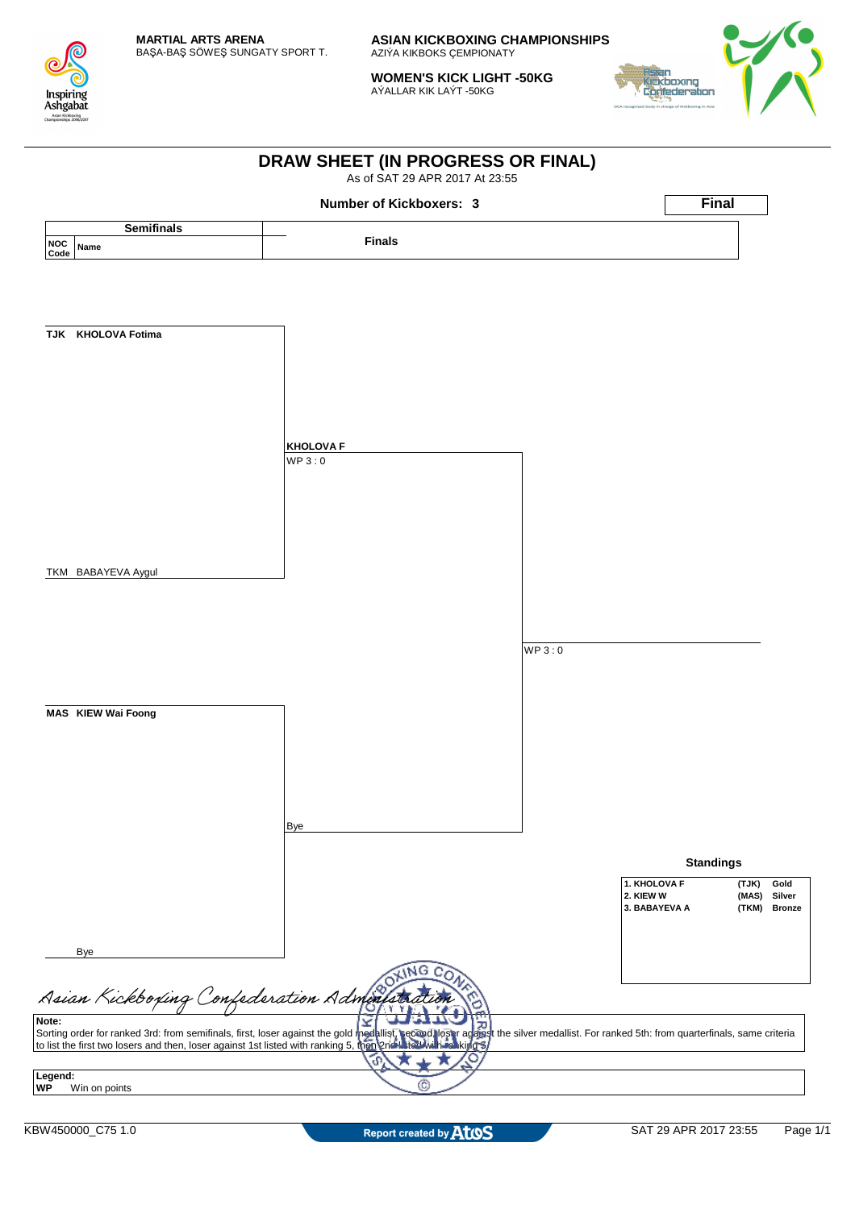

**WOMEN'S KICK LIGHT -50KG** AÝALLAR KIK LAÝT -50KG



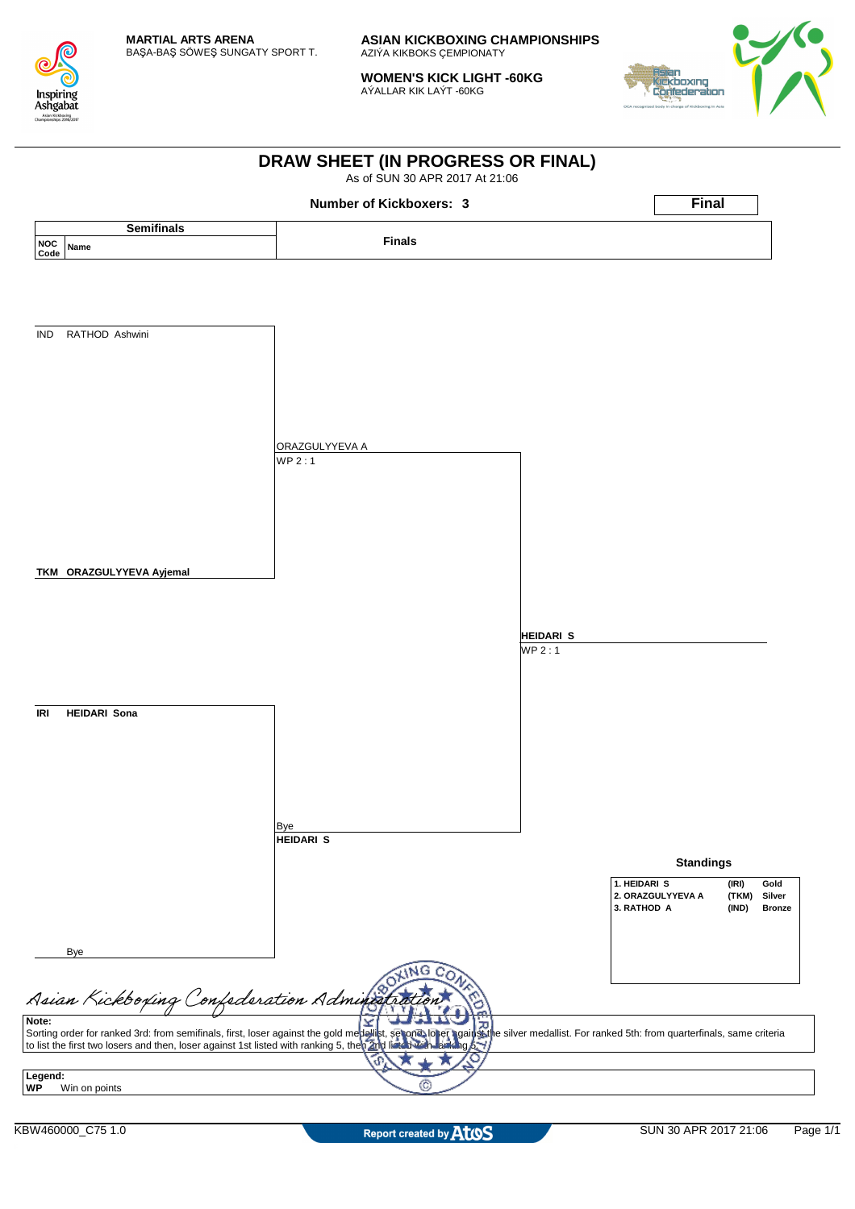

**WOMEN'S KICK LIGHT -60KG** AÝALLAR KIK LAÝT -60KG



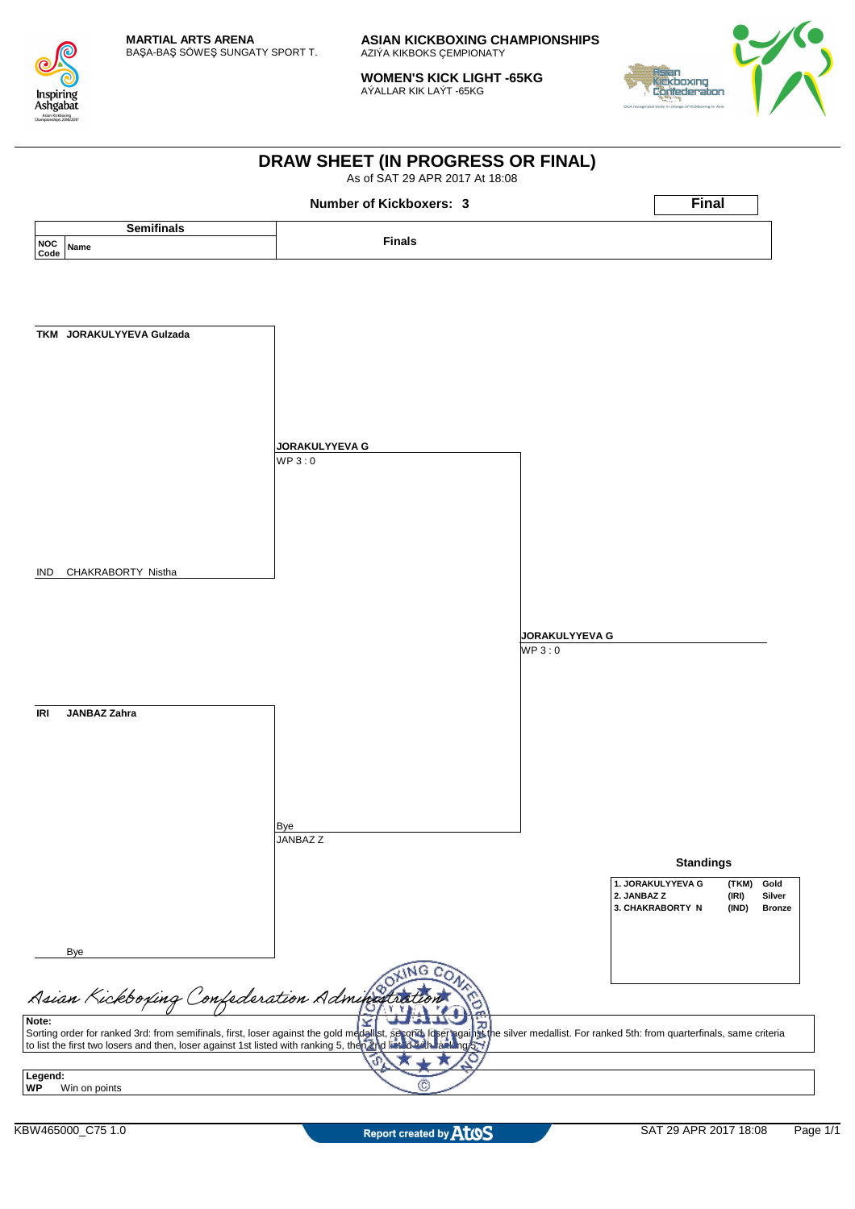

**WOMEN'S KICK LIGHT -65KG** AÝALLAR KIK LAÝT -65KG



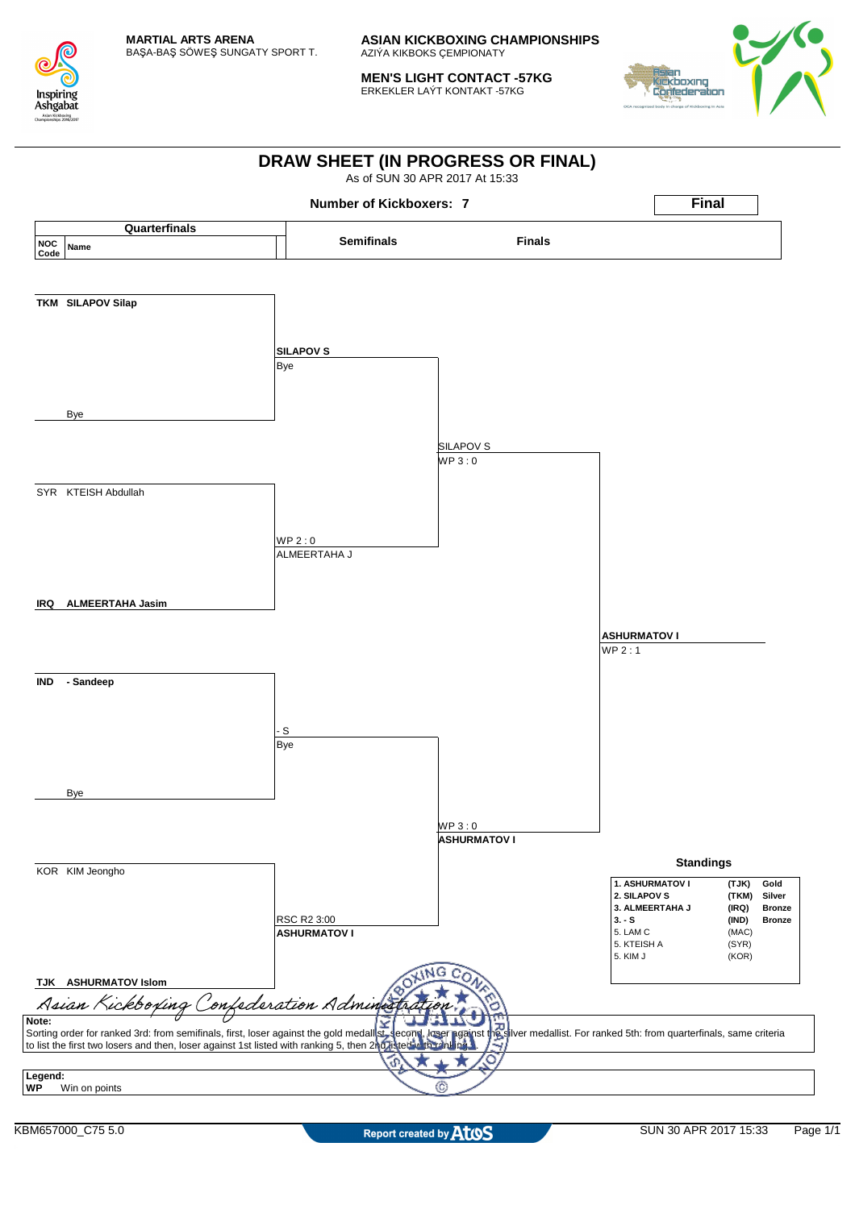

**MEN'S LIGHT CONTACT -57KG** ERKEKLER LAÝT KONTAKT -57KG



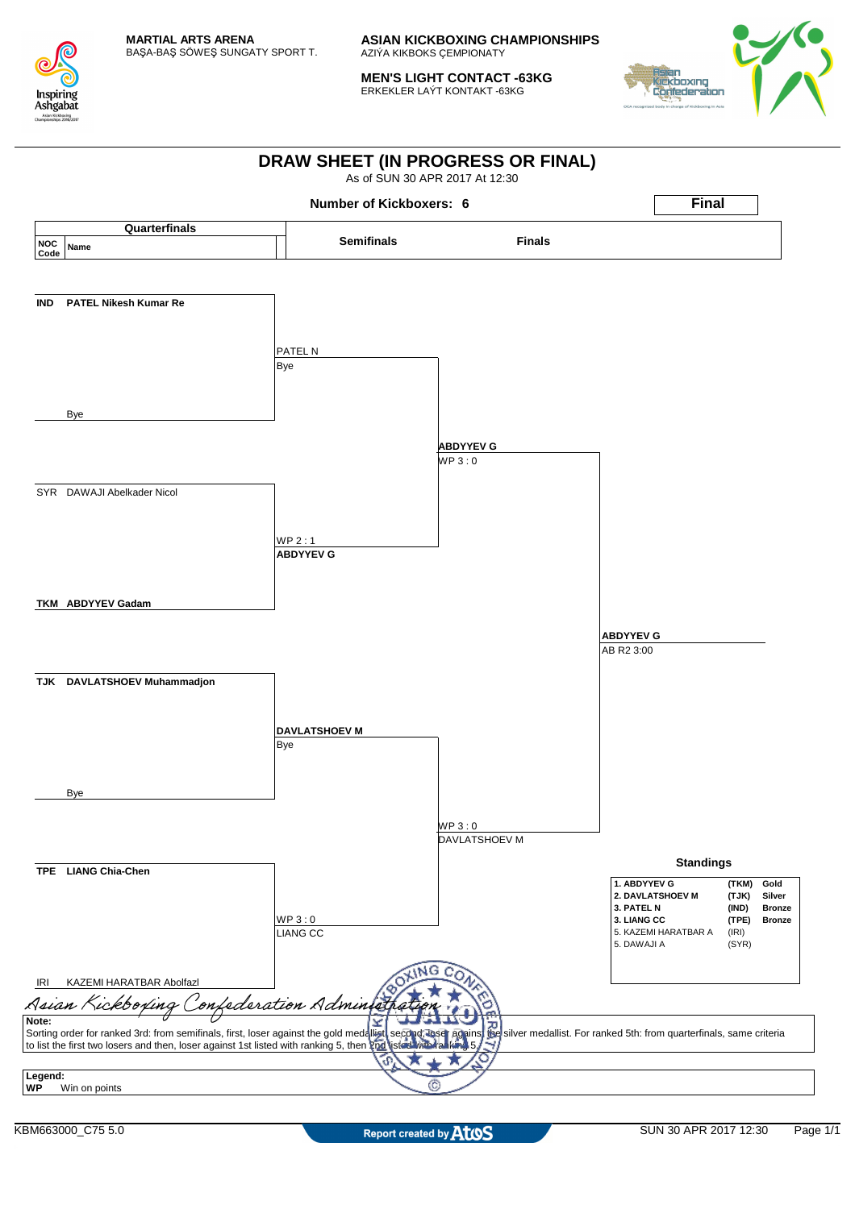

**MEN'S LIGHT CONTACT -63KG** ERKEKLER LAÝT KONTAKT -63KG



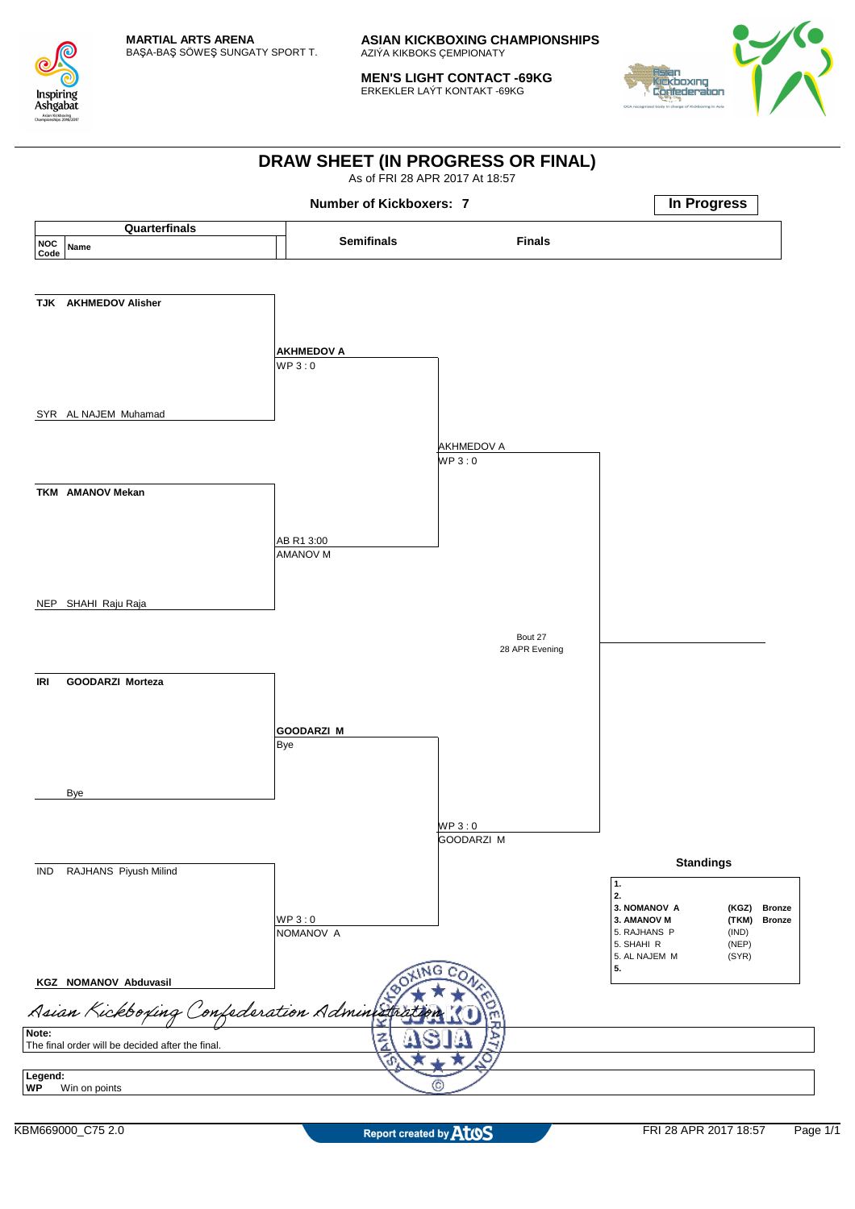

**MEN'S LIGHT CONTACT -69KG** ERKEKLER LAÝT KONTAKT -69KG



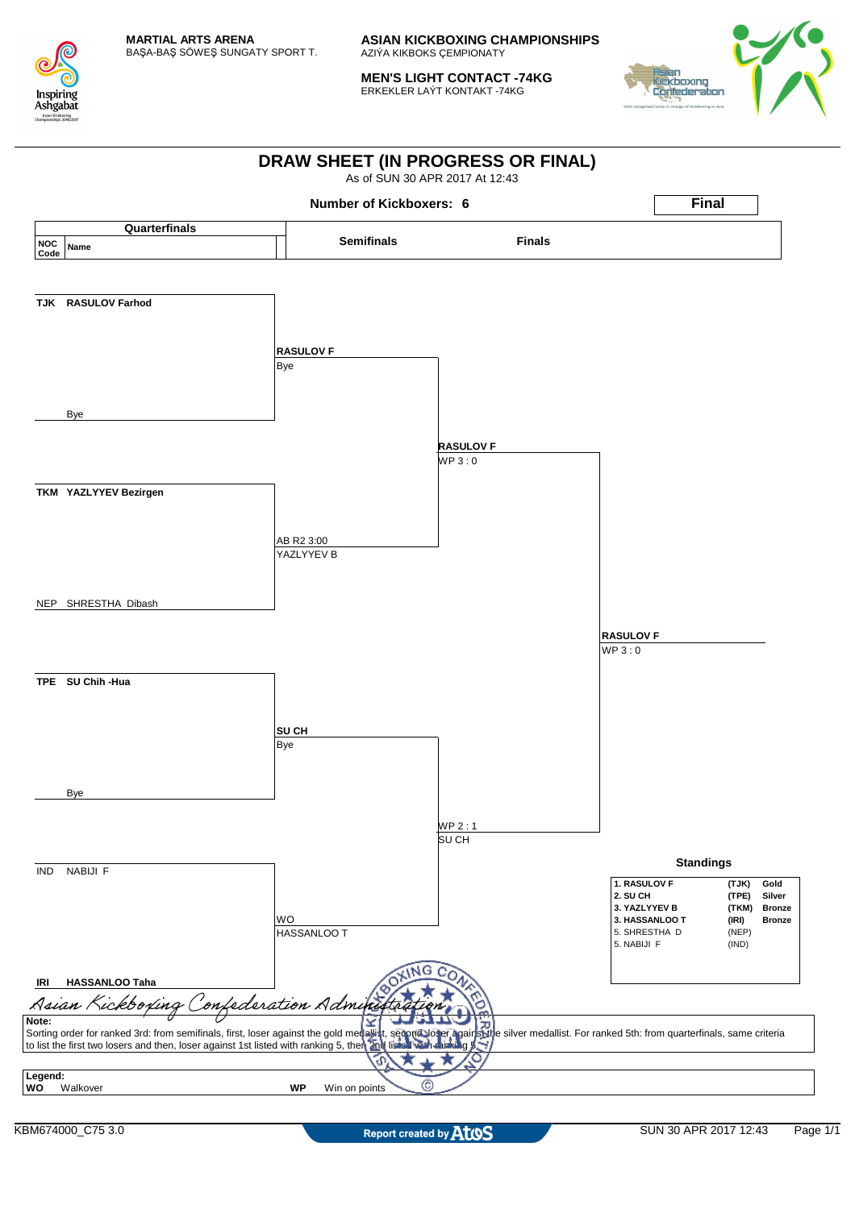

**MEN'S LIGHT CONTACT -74KG** ERKEKLER LAÝT KONTAKT -74KG



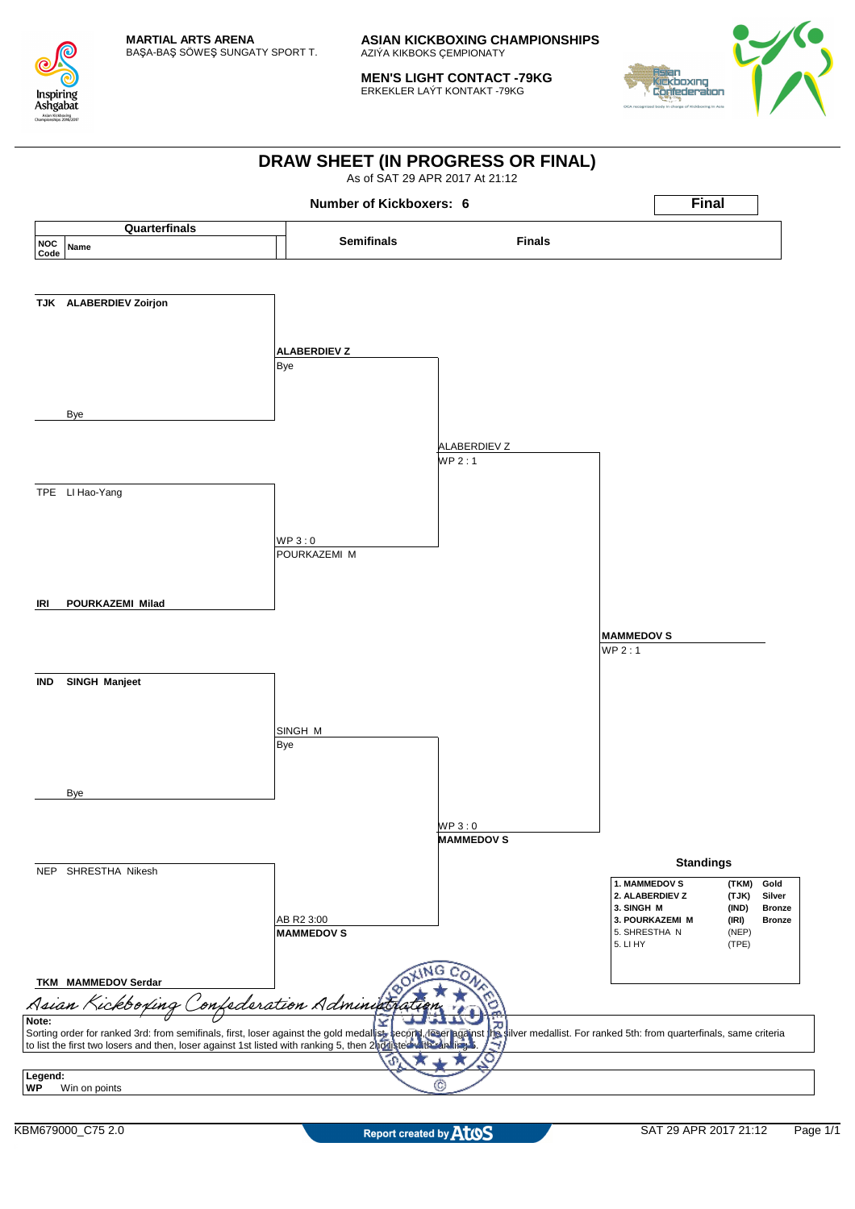

**MEN'S LIGHT CONTACT -79KG** ERKEKLER LAÝT KONTAKT -79KG



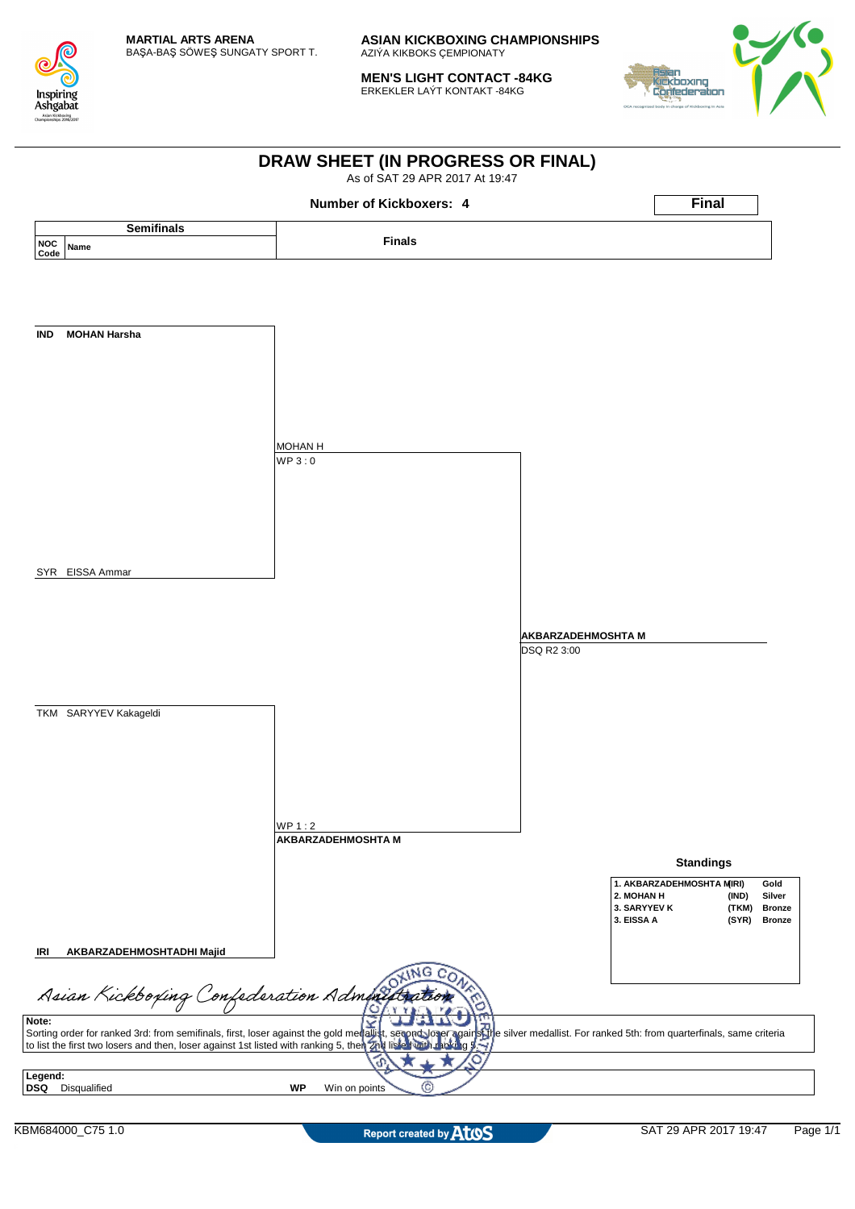

**MEN'S LIGHT CONTACT -84KG** ERKEKLER LAÝT KONTAKT -84KG



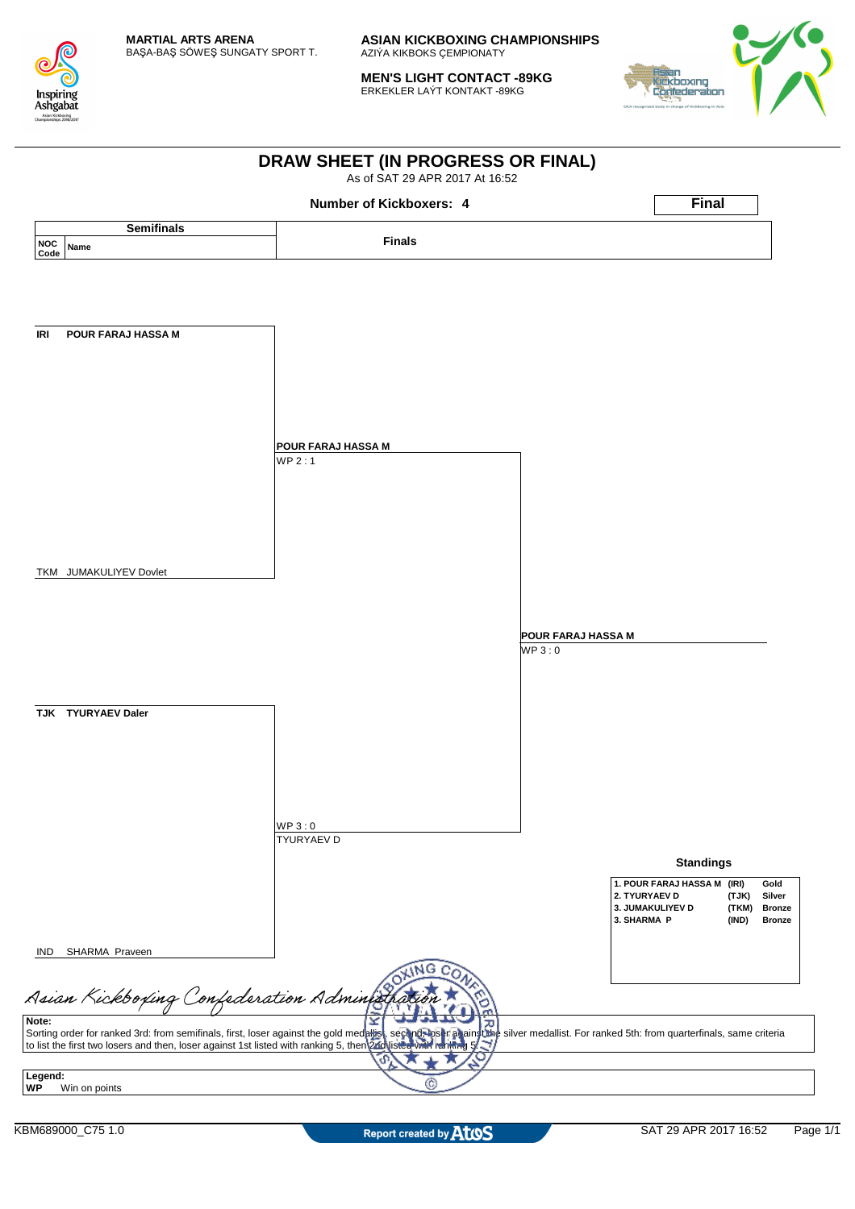

**MEN'S LIGHT CONTACT -89KG** ERKEKLER LAÝT KONTAKT -89KG



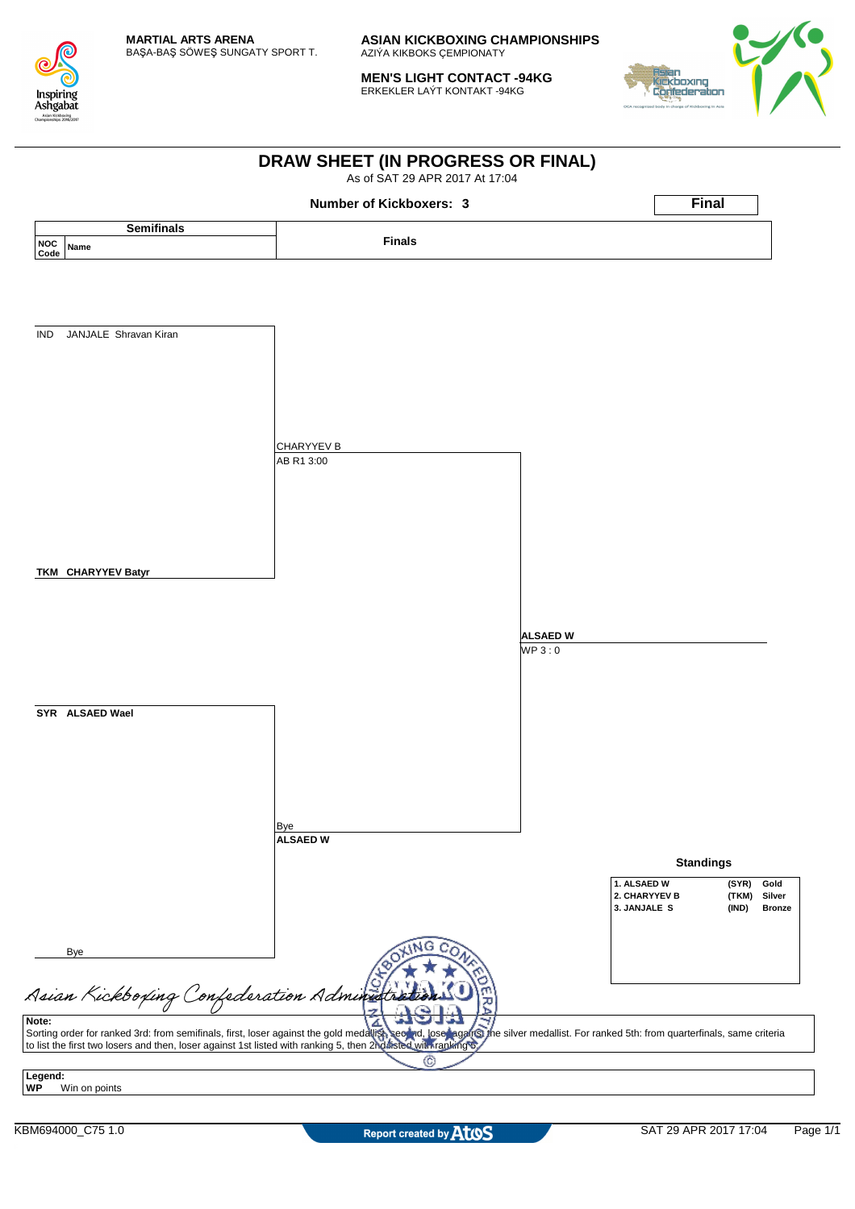

**MEN'S LIGHT CONTACT -94KG** ERKEKLER LAÝT KONTAKT -94KG



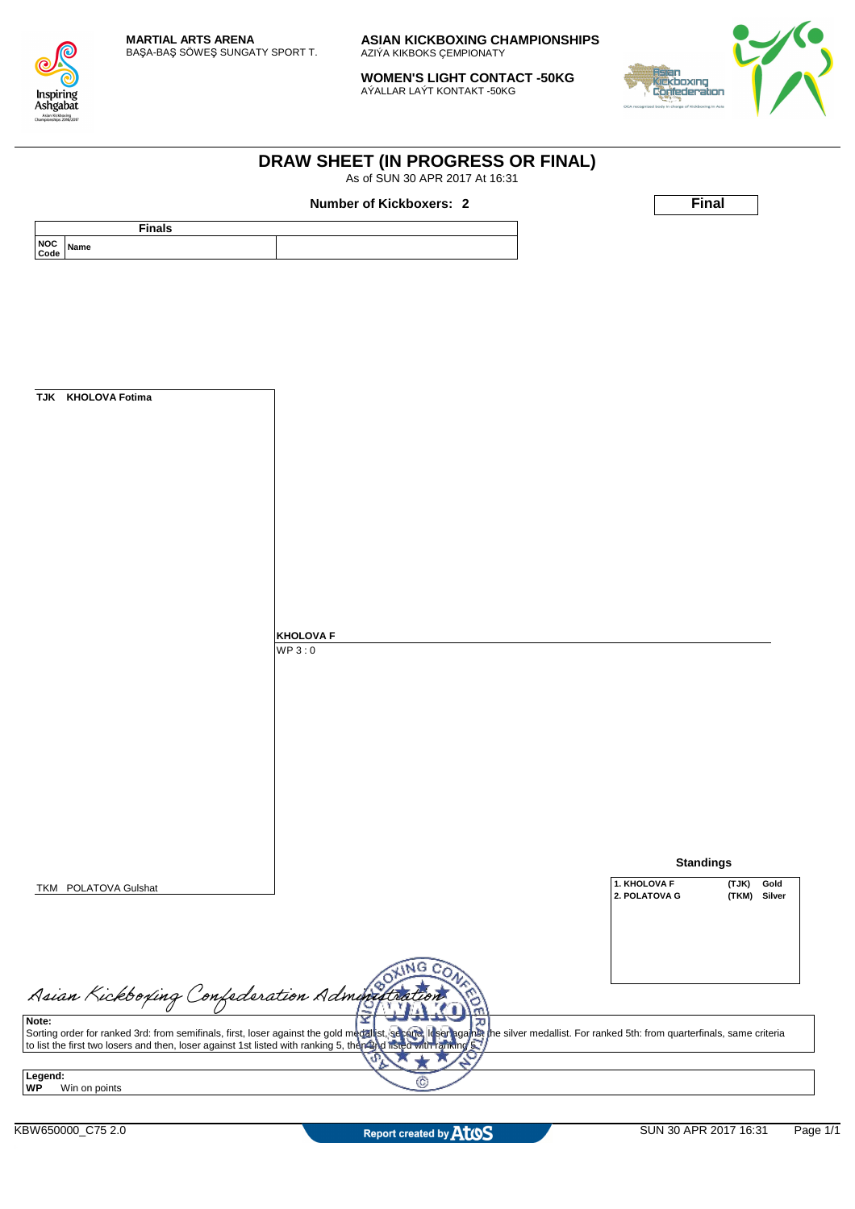

**WOMEN'S LIGHT CONTACT -50KG** AÝALLAR LAÝT KONTAKT -50KG

**DRAW SHEET (IN PROGRESS OR FINAL)** As of SUN 30 APR 2017 At 16:31



|                      |                                                                                                                                                                                                                                  |                  | <b>Number of Kickboxers: 2</b> |                       | Final            |
|----------------------|----------------------------------------------------------------------------------------------------------------------------------------------------------------------------------------------------------------------------------|------------------|--------------------------------|-----------------------|------------------|
|                      | <b>Finals</b>                                                                                                                                                                                                                    |                  |                                |                       |                  |
| <b>NOC</b><br>Code   | Name                                                                                                                                                                                                                             |                  |                                |                       |                  |
|                      |                                                                                                                                                                                                                                  |                  |                                |                       |                  |
|                      |                                                                                                                                                                                                                                  |                  |                                |                       |                  |
|                      |                                                                                                                                                                                                                                  |                  |                                |                       |                  |
|                      |                                                                                                                                                                                                                                  |                  |                                |                       |                  |
|                      |                                                                                                                                                                                                                                  |                  |                                |                       |                  |
|                      |                                                                                                                                                                                                                                  |                  |                                |                       |                  |
|                      | TJK KHOLOVA Fotima                                                                                                                                                                                                               |                  |                                |                       |                  |
|                      |                                                                                                                                                                                                                                  |                  |                                |                       |                  |
|                      |                                                                                                                                                                                                                                  |                  |                                |                       |                  |
|                      |                                                                                                                                                                                                                                  |                  |                                |                       |                  |
|                      |                                                                                                                                                                                                                                  |                  |                                |                       |                  |
|                      |                                                                                                                                                                                                                                  |                  |                                |                       |                  |
|                      |                                                                                                                                                                                                                                  |                  |                                |                       |                  |
|                      |                                                                                                                                                                                                                                  |                  |                                |                       |                  |
|                      |                                                                                                                                                                                                                                  |                  |                                |                       |                  |
|                      |                                                                                                                                                                                                                                  |                  |                                |                       |                  |
|                      |                                                                                                                                                                                                                                  |                  |                                |                       |                  |
|                      |                                                                                                                                                                                                                                  | <b>KHOLOVA F</b> |                                |                       |                  |
|                      |                                                                                                                                                                                                                                  | WP3:0            |                                |                       |                  |
|                      |                                                                                                                                                                                                                                  |                  |                                |                       |                  |
|                      |                                                                                                                                                                                                                                  |                  |                                |                       |                  |
|                      |                                                                                                                                                                                                                                  |                  |                                |                       |                  |
|                      |                                                                                                                                                                                                                                  |                  |                                |                       |                  |
|                      |                                                                                                                                                                                                                                  |                  |                                |                       |                  |
|                      |                                                                                                                                                                                                                                  |                  |                                |                       |                  |
|                      |                                                                                                                                                                                                                                  |                  |                                |                       |                  |
|                      |                                                                                                                                                                                                                                  |                  |                                |                       |                  |
|                      |                                                                                                                                                                                                                                  |                  |                                |                       |                  |
|                      |                                                                                                                                                                                                                                  |                  |                                |                       | <b>Standings</b> |
|                      |                                                                                                                                                                                                                                  |                  |                                | 1. KHOLOVA F          | (TJK)<br>Gold    |
|                      | TKM POLATOVA Gulshat                                                                                                                                                                                                             |                  |                                | 2. POLATOVA G         | (TKM)<br>Silver  |
|                      |                                                                                                                                                                                                                                  |                  |                                |                       |                  |
|                      |                                                                                                                                                                                                                                  |                  |                                |                       |                  |
|                      |                                                                                                                                                                                                                                  |                  | <b>ING</b>                     |                       |                  |
|                      |                                                                                                                                                                                                                                  |                  |                                |                       |                  |
|                      | Asian Kickboxing Confederation Administration                                                                                                                                                                                    |                  |                                |                       |                  |
| Note:                |                                                                                                                                                                                                                                  |                  | 고                              |                       |                  |
|                      | Sorting order for ranked 3rd: from semifinals, first, loser against the gold medallist, separe, it ser against the silver medallist. For ranked 5th: from quarterfinals, same criteria<br>to list the first two losers and then, |                  |                                |                       |                  |
|                      |                                                                                                                                                                                                                                  |                  | ď.                             |                       |                  |
| Legend:<br><b>WP</b> | Win on points                                                                                                                                                                                                                    |                  | C                              |                       |                  |
|                      |                                                                                                                                                                                                                                  |                  |                                |                       |                  |
|                      | KBW650000_C75 2.0                                                                                                                                                                                                                |                  | Report created by AtoS         | SUN 30 APR 2017 16:31 | Page 1/1         |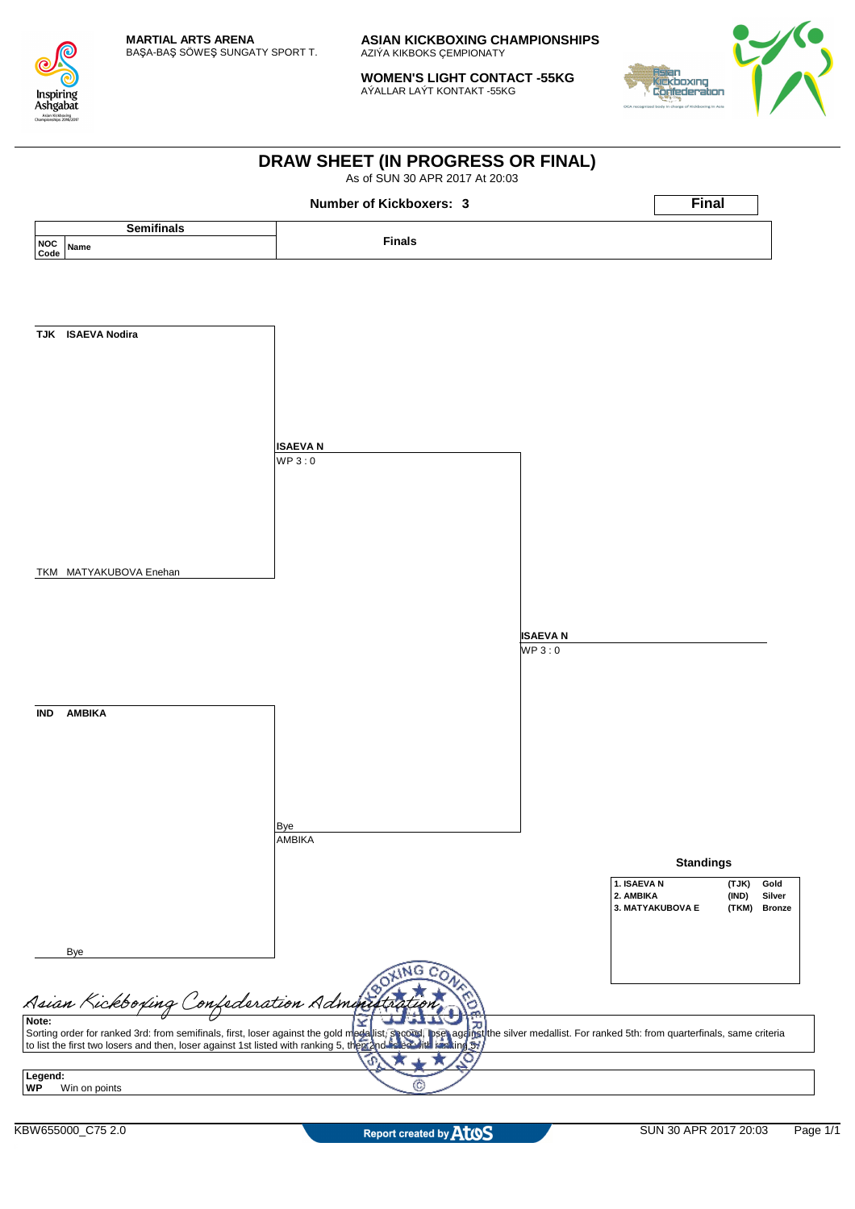

**WOMEN'S LIGHT CONTACT -55KG** AÝALLAR LAÝT KONTAKT -55KG



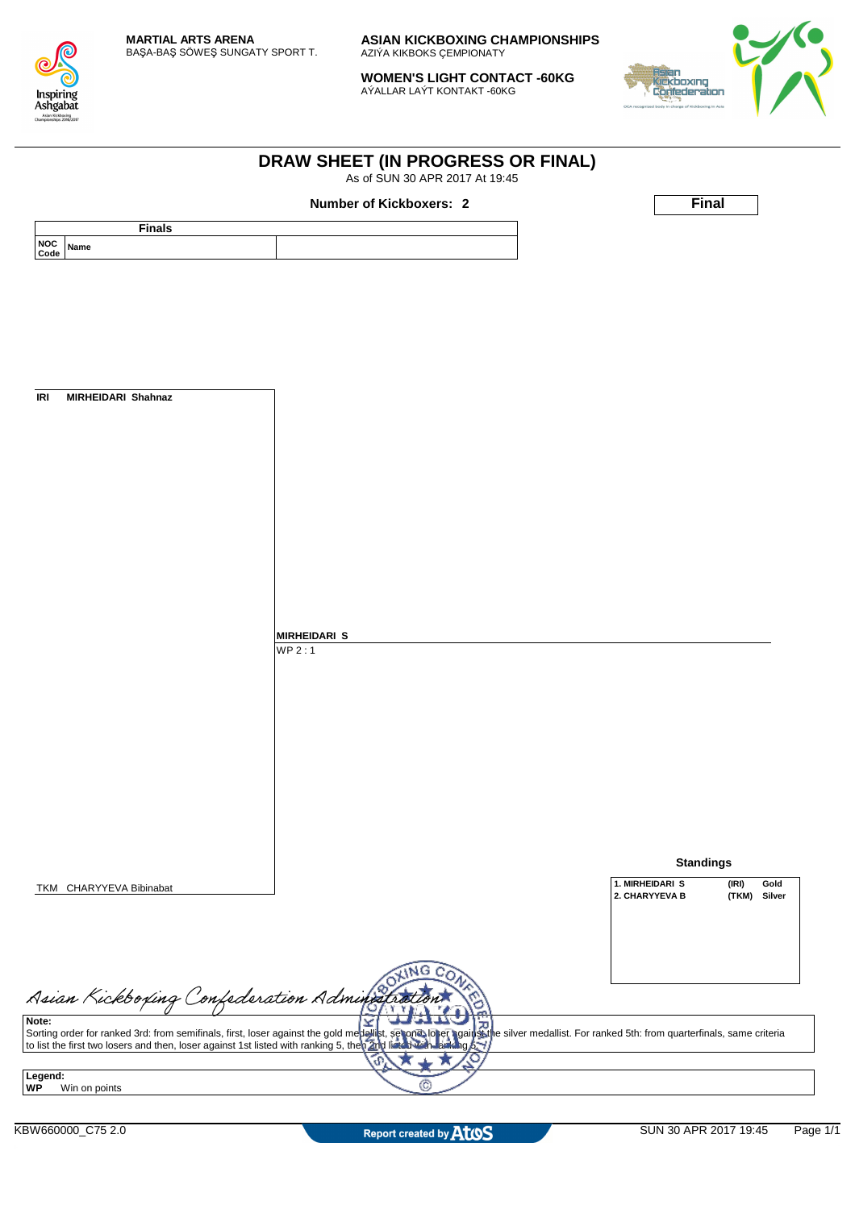

**WOMEN'S LIGHT CONTACT -60KG** AÝALLAR LAÝT KONTAKT -60KG

**DRAW SHEET (IN PROGRESS OR FINAL)**



|                                                         | Number of Kickboxers: 2                                                                                                                                                                                                           | <b>Final</b>                                                          |
|---------------------------------------------------------|-----------------------------------------------------------------------------------------------------------------------------------------------------------------------------------------------------------------------------------|-----------------------------------------------------------------------|
|                                                         |                                                                                                                                                                                                                                   |                                                                       |
| <b>Finals</b>                                           |                                                                                                                                                                                                                                   |                                                                       |
| NOC<br>Name<br>Code                                     |                                                                                                                                                                                                                                   |                                                                       |
|                                                         |                                                                                                                                                                                                                                   |                                                                       |
|                                                         |                                                                                                                                                                                                                                   |                                                                       |
|                                                         |                                                                                                                                                                                                                                   |                                                                       |
|                                                         |                                                                                                                                                                                                                                   |                                                                       |
|                                                         |                                                                                                                                                                                                                                   |                                                                       |
|                                                         |                                                                                                                                                                                                                                   |                                                                       |
|                                                         |                                                                                                                                                                                                                                   |                                                                       |
| $\ensuremath{\mathsf{IR}}\xspace$<br>MIRHEIDARI Shahnaz |                                                                                                                                                                                                                                   |                                                                       |
|                                                         |                                                                                                                                                                                                                                   |                                                                       |
|                                                         |                                                                                                                                                                                                                                   |                                                                       |
|                                                         |                                                                                                                                                                                                                                   |                                                                       |
|                                                         |                                                                                                                                                                                                                                   |                                                                       |
|                                                         |                                                                                                                                                                                                                                   |                                                                       |
|                                                         |                                                                                                                                                                                                                                   |                                                                       |
|                                                         |                                                                                                                                                                                                                                   |                                                                       |
|                                                         |                                                                                                                                                                                                                                   |                                                                       |
|                                                         |                                                                                                                                                                                                                                   |                                                                       |
|                                                         |                                                                                                                                                                                                                                   |                                                                       |
|                                                         |                                                                                                                                                                                                                                   |                                                                       |
|                                                         | <b>MIRHEIDARI S</b>                                                                                                                                                                                                               |                                                                       |
|                                                         | WP2:1                                                                                                                                                                                                                             |                                                                       |
|                                                         |                                                                                                                                                                                                                                   |                                                                       |
|                                                         |                                                                                                                                                                                                                                   |                                                                       |
|                                                         |                                                                                                                                                                                                                                   |                                                                       |
|                                                         |                                                                                                                                                                                                                                   |                                                                       |
|                                                         |                                                                                                                                                                                                                                   |                                                                       |
|                                                         |                                                                                                                                                                                                                                   |                                                                       |
|                                                         |                                                                                                                                                                                                                                   |                                                                       |
|                                                         |                                                                                                                                                                                                                                   |                                                                       |
|                                                         |                                                                                                                                                                                                                                   |                                                                       |
|                                                         |                                                                                                                                                                                                                                   |                                                                       |
|                                                         |                                                                                                                                                                                                                                   | <b>Standings</b>                                                      |
| TKM CHARYYEVA Bibinabat                                 |                                                                                                                                                                                                                                   | 1. MIRHEIDARI S<br>(IRI)<br>Gold<br>2. CHARYYEVA B<br>(TKM)<br>Silver |
|                                                         |                                                                                                                                                                                                                                   |                                                                       |
|                                                         |                                                                                                                                                                                                                                   |                                                                       |
|                                                         |                                                                                                                                                                                                                                   |                                                                       |
|                                                         | LING<br>$c_{\Omega}$                                                                                                                                                                                                              |                                                                       |
| Asian Kickboxing Confederation Administra               |                                                                                                                                                                                                                                   |                                                                       |
|                                                         |                                                                                                                                                                                                                                   |                                                                       |
|                                                         | Sorting order for ranked 3rd: from semifinals, first, loser against the gold mediality, senong lober against the silver medallist. For ranked 5th: from quarterfinals, same criteria<br>to list the first two losers and then, lo |                                                                       |
|                                                         |                                                                                                                                                                                                                                   |                                                                       |
|                                                         | G.                                                                                                                                                                                                                                |                                                                       |
| Legend:<br>Win on points                                | œ                                                                                                                                                                                                                                 |                                                                       |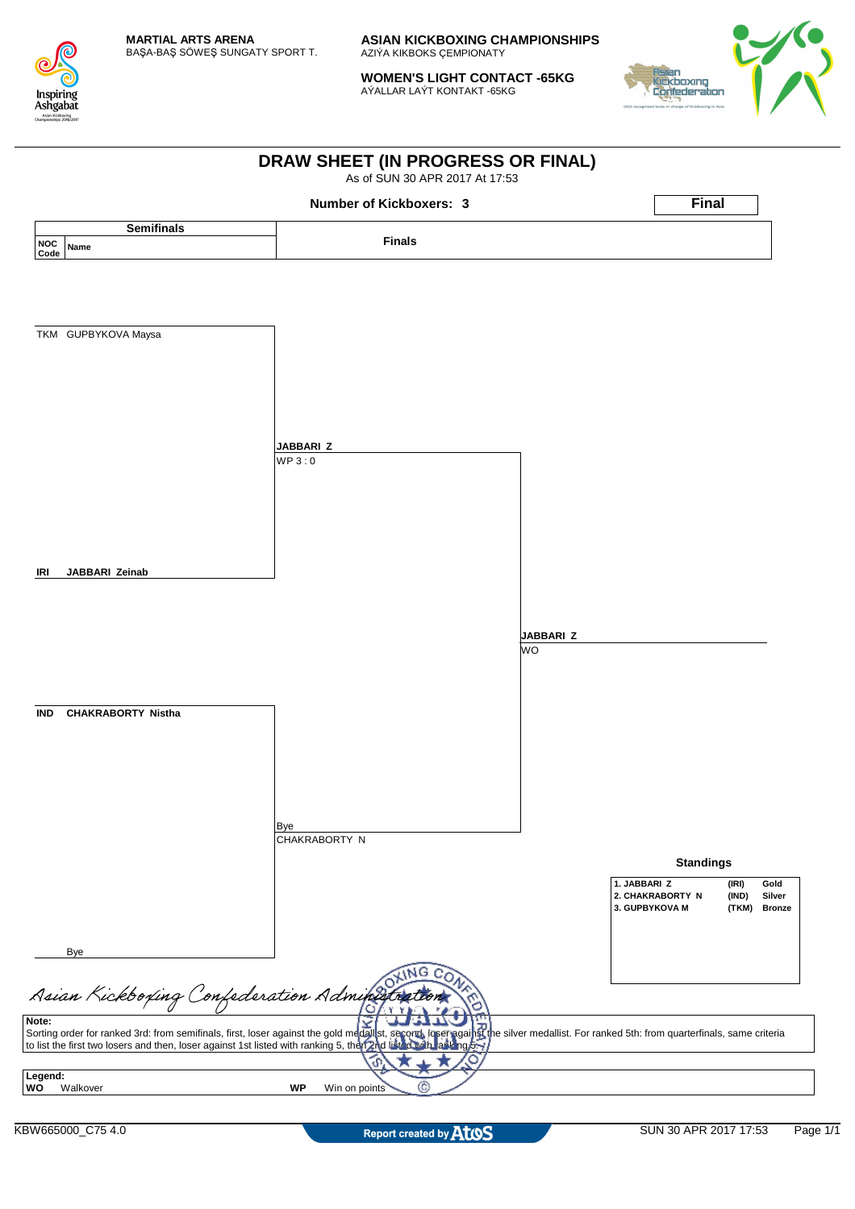

**WOMEN'S LIGHT CONTACT -65KG** AÝALLAR LAÝT KONTAKT -65KG



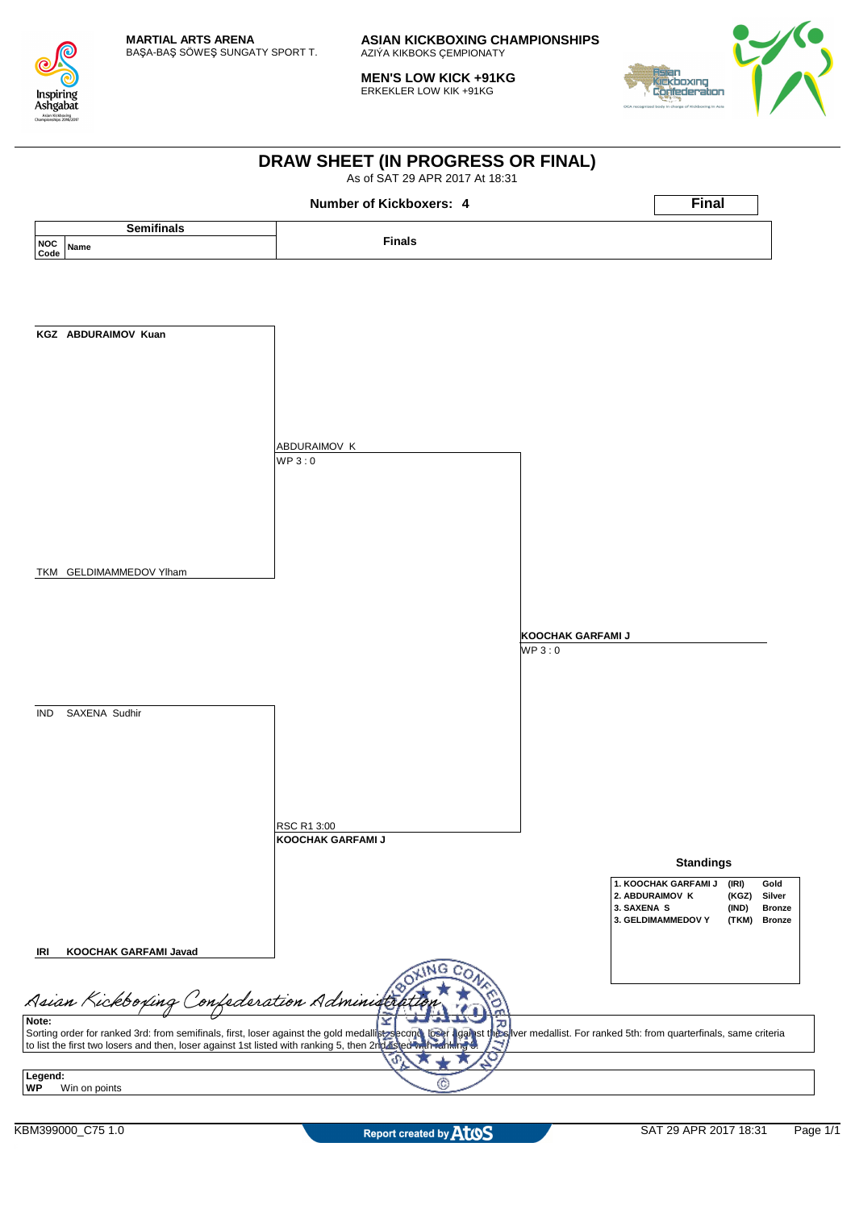

**MEN'S LOW KICK +91KG** ERKEKLER LOW KIK +91KG



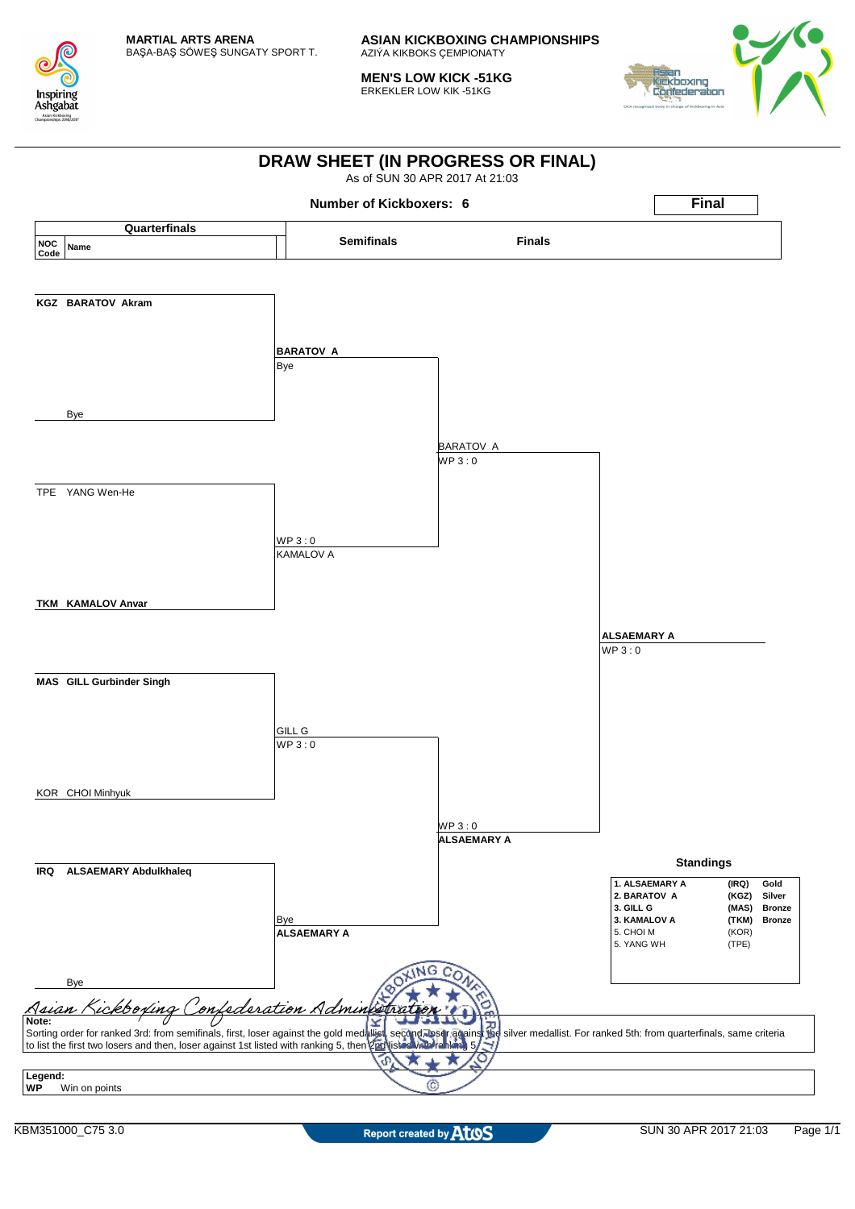

**MEN'S LOW KICK -51KG** ERKEKLER LOW KIK -51KG



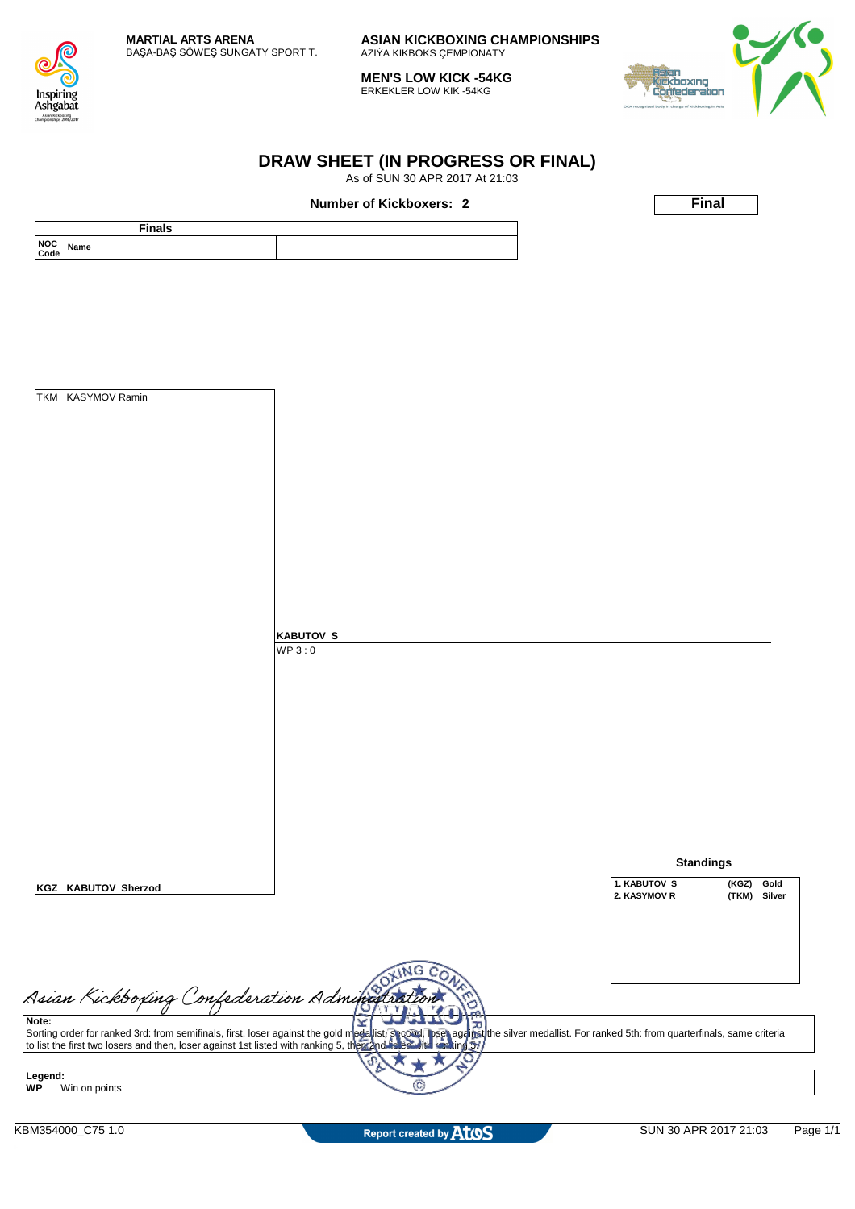

**MEN'S LOW KICK -54KG** ERKEKLER LOW KIK -54KG



|                                           | As of SUN 30 APR 2017 At 21:03                                                                                                                                                                                    |                                                                                      |
|-------------------------------------------|-------------------------------------------------------------------------------------------------------------------------------------------------------------------------------------------------------------------|--------------------------------------------------------------------------------------|
|                                           | Number of Kickboxers: 2                                                                                                                                                                                           | <b>Final</b>                                                                         |
| <b>Finals</b><br><b>NOC</b>               |                                                                                                                                                                                                                   |                                                                                      |
| Name<br>Code                              |                                                                                                                                                                                                                   |                                                                                      |
|                                           |                                                                                                                                                                                                                   |                                                                                      |
|                                           |                                                                                                                                                                                                                   |                                                                                      |
|                                           |                                                                                                                                                                                                                   |                                                                                      |
|                                           |                                                                                                                                                                                                                   |                                                                                      |
|                                           |                                                                                                                                                                                                                   |                                                                                      |
|                                           |                                                                                                                                                                                                                   |                                                                                      |
| TKM KASYMOV Ramin                         |                                                                                                                                                                                                                   |                                                                                      |
|                                           |                                                                                                                                                                                                                   |                                                                                      |
|                                           |                                                                                                                                                                                                                   |                                                                                      |
|                                           |                                                                                                                                                                                                                   |                                                                                      |
|                                           |                                                                                                                                                                                                                   |                                                                                      |
|                                           |                                                                                                                                                                                                                   |                                                                                      |
|                                           |                                                                                                                                                                                                                   |                                                                                      |
|                                           |                                                                                                                                                                                                                   |                                                                                      |
|                                           |                                                                                                                                                                                                                   |                                                                                      |
|                                           |                                                                                                                                                                                                                   |                                                                                      |
|                                           |                                                                                                                                                                                                                   |                                                                                      |
|                                           |                                                                                                                                                                                                                   |                                                                                      |
|                                           | <b>KABUTOV S</b><br>WP3:0                                                                                                                                                                                         |                                                                                      |
|                                           |                                                                                                                                                                                                                   |                                                                                      |
|                                           |                                                                                                                                                                                                                   |                                                                                      |
|                                           |                                                                                                                                                                                                                   |                                                                                      |
|                                           |                                                                                                                                                                                                                   |                                                                                      |
|                                           |                                                                                                                                                                                                                   |                                                                                      |
|                                           |                                                                                                                                                                                                                   |                                                                                      |
|                                           |                                                                                                                                                                                                                   |                                                                                      |
|                                           |                                                                                                                                                                                                                   |                                                                                      |
|                                           |                                                                                                                                                                                                                   |                                                                                      |
|                                           |                                                                                                                                                                                                                   |                                                                                      |
|                                           |                                                                                                                                                                                                                   | <b>Standings</b>                                                                     |
| <b>KGZ KABUTOV Sherzod</b>                |                                                                                                                                                                                                                   | 1. KABUTOV S<br>(KGZ)<br>Gold<br>2. KASYMOV R<br>(TKM)<br>Silver                     |
|                                           |                                                                                                                                                                                                                   |                                                                                      |
|                                           |                                                                                                                                                                                                                   |                                                                                      |
|                                           |                                                                                                                                                                                                                   |                                                                                      |
|                                           | NG                                                                                                                                                                                                                |                                                                                      |
| Asian Kickboxing Confederation Administra |                                                                                                                                                                                                                   |                                                                                      |
|                                           |                                                                                                                                                                                                                   |                                                                                      |
|                                           | Σ<br>ᠽ                                                                                                                                                                                                            | pset against the silver medallist. For ranked 5th: from quarterfinals, same criteria |
|                                           | Sorting order for ranked 3rd: from semifinals, first, loser against the gold medalist, specied to list the first two losers and then, loser against 1st listed with ranking 5, the manufacture with<br>ranking 51 |                                                                                      |
| Legend:                                   | O<br>P                                                                                                                                                                                                            |                                                                                      |
| Win on points                             | (C                                                                                                                                                                                                                |                                                                                      |
|                                           |                                                                                                                                                                                                                   |                                                                                      |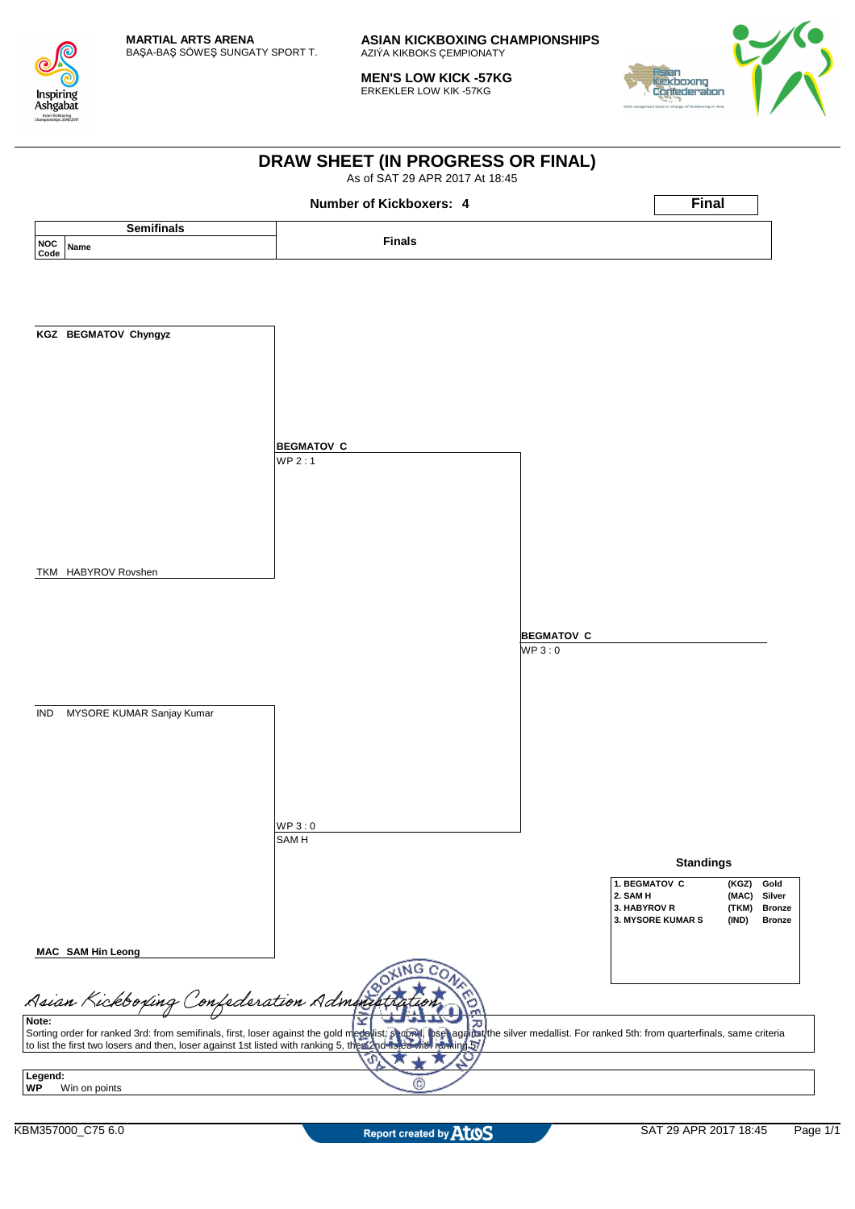

**MEN'S LOW KICK -57KG** ERKEKLER LOW KIK -57KG



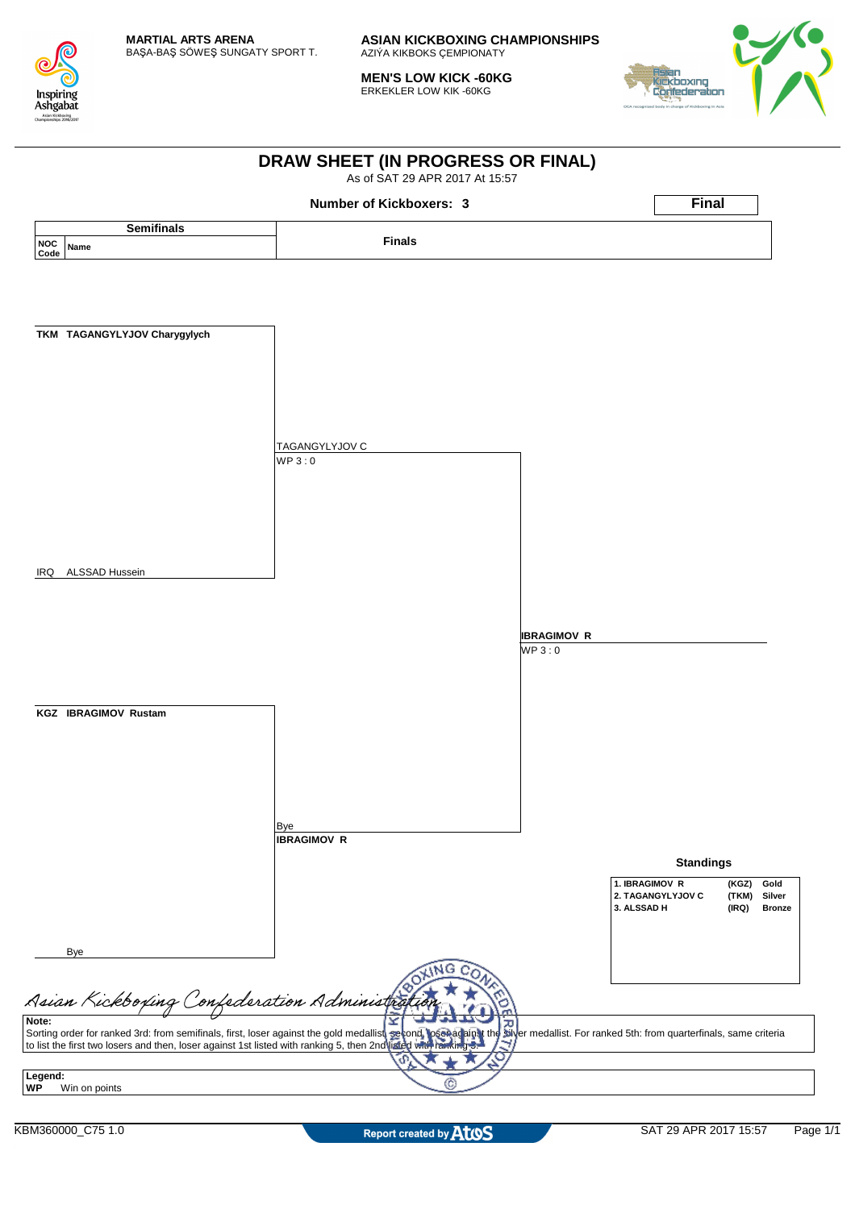

**MEN'S LOW KICK -60KG** ERKEKLER LOW KIK -60KG



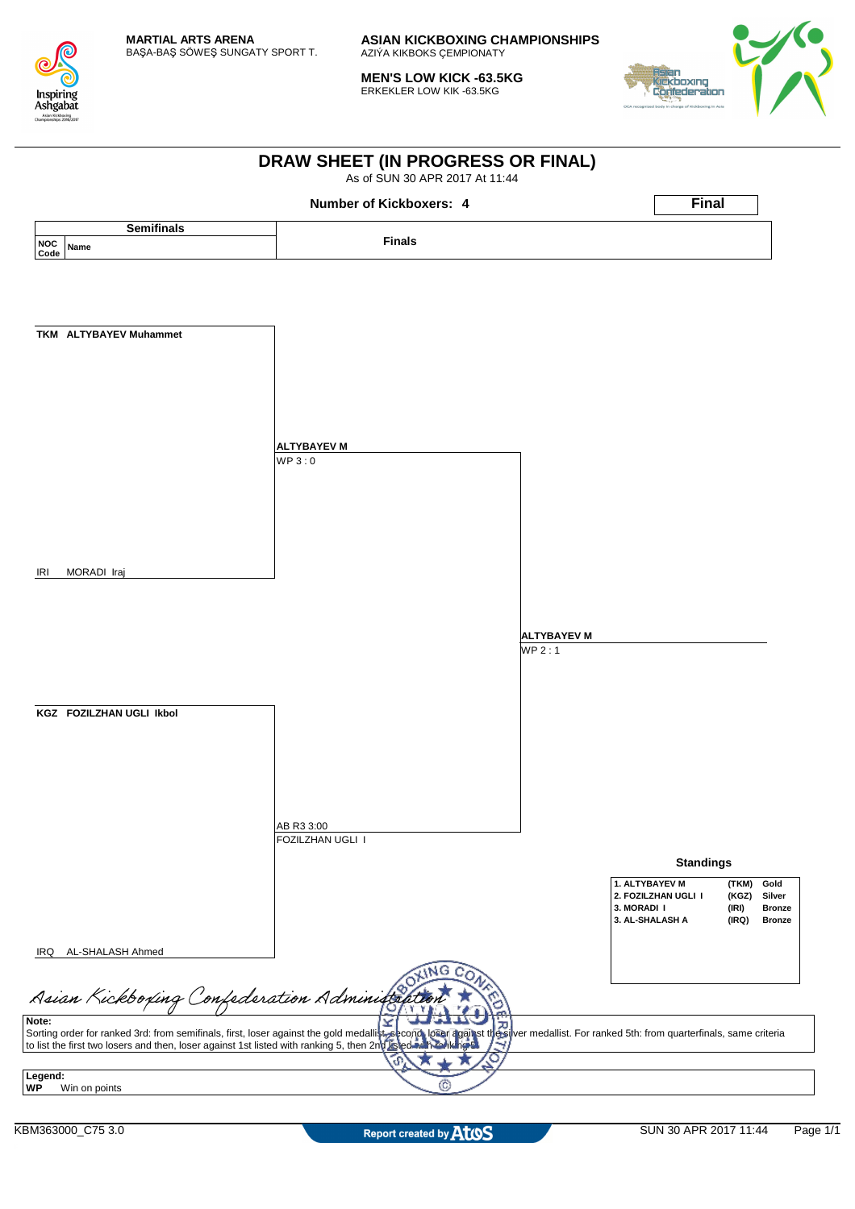

**MEN'S LOW KICK -63.5KG** ERKEKLER LOW KIK -63.5KG



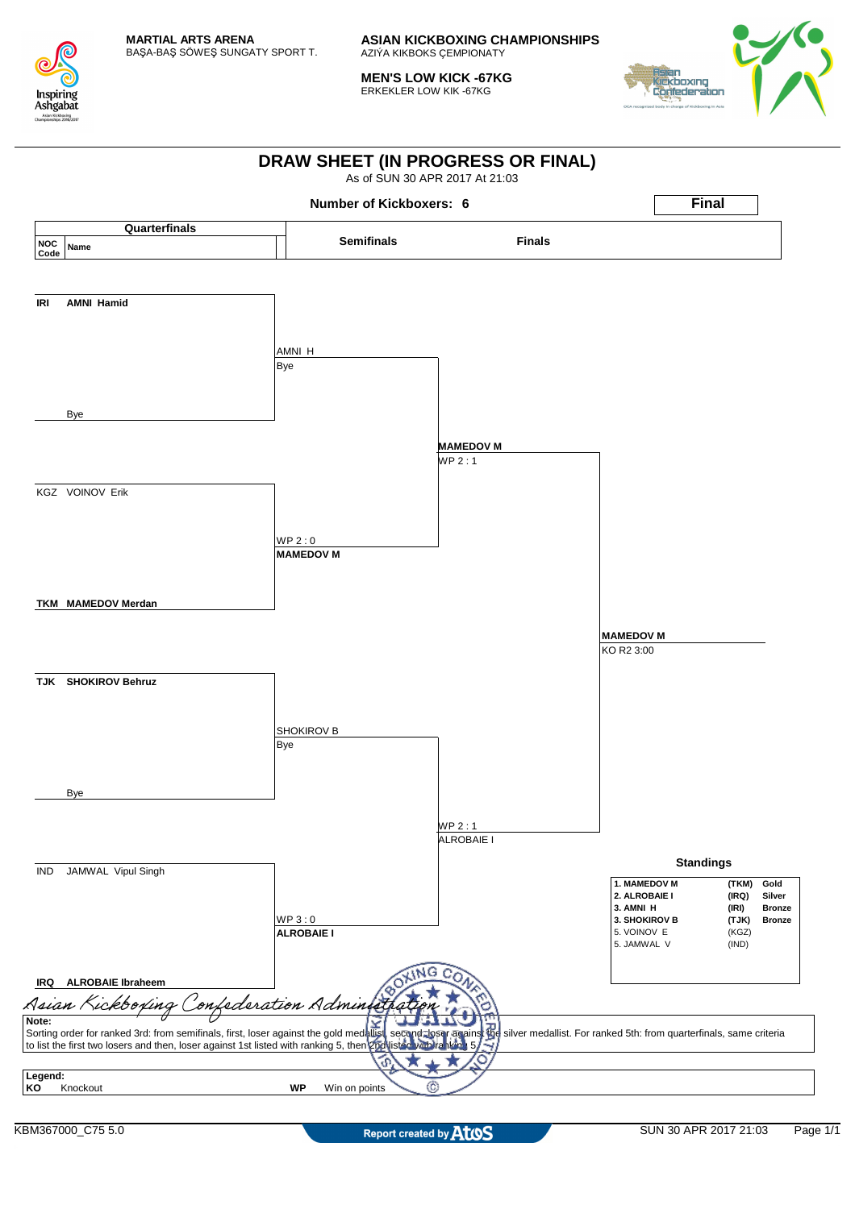

**MEN'S LOW KICK -67KG** ERKEKLER LOW KIK -67KG



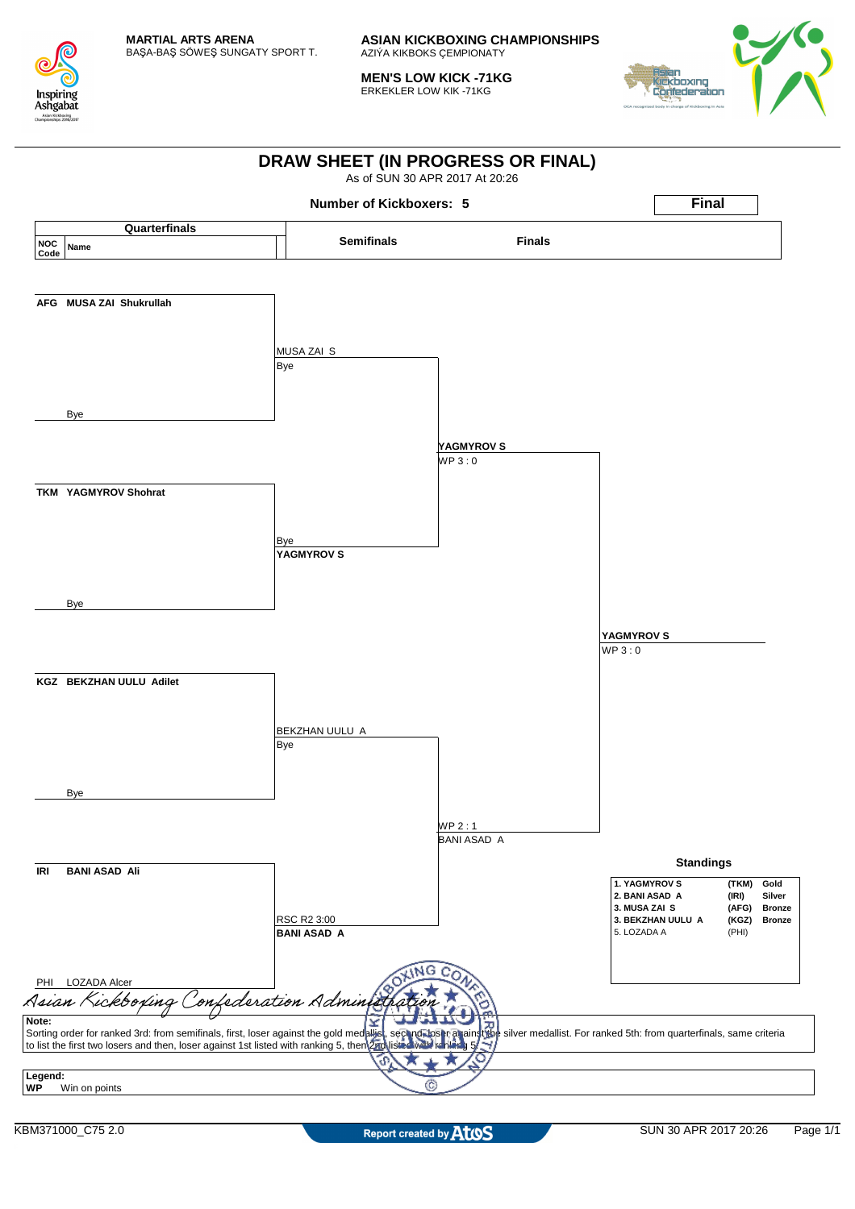

**MEN'S LOW KICK -71KG** ERKEKLER LOW KIK -71KG



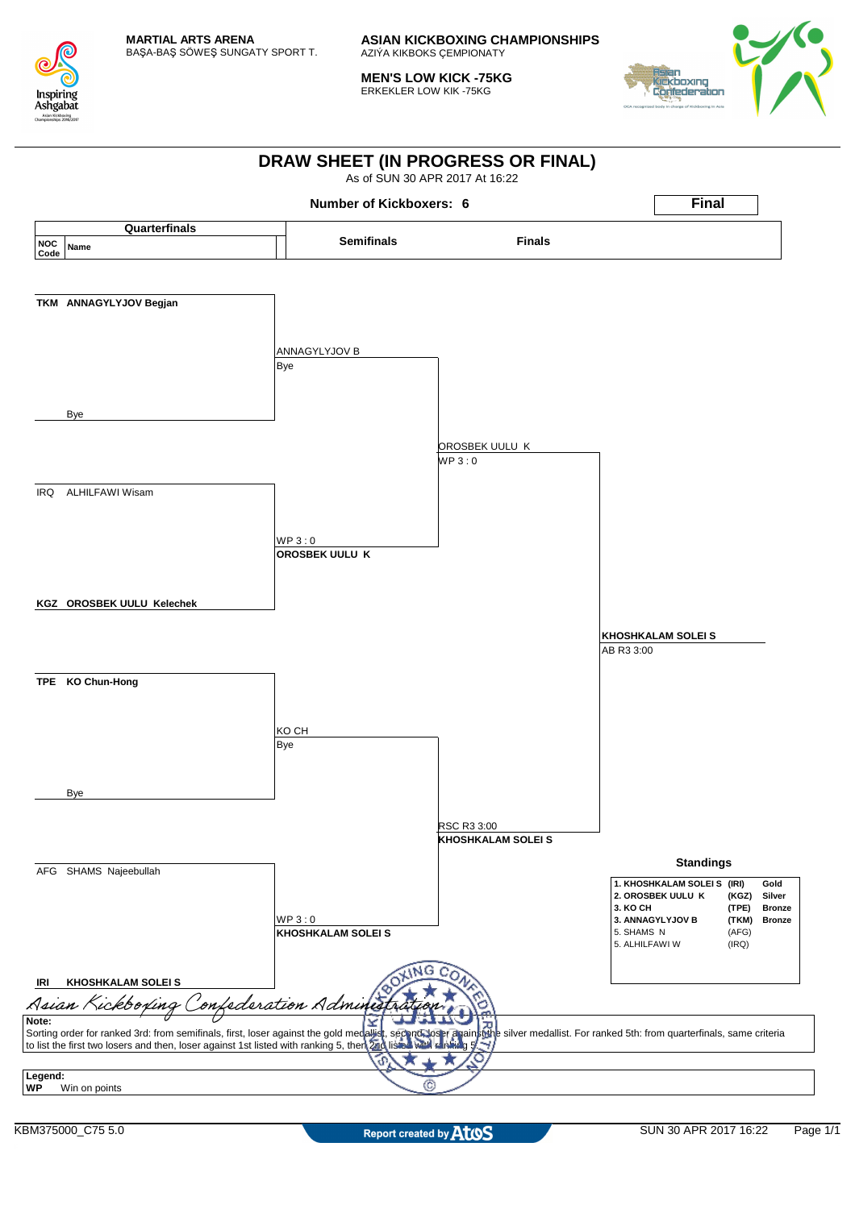

**MEN'S LOW KICK -75KG** ERKEKLER LOW KIK -75KG



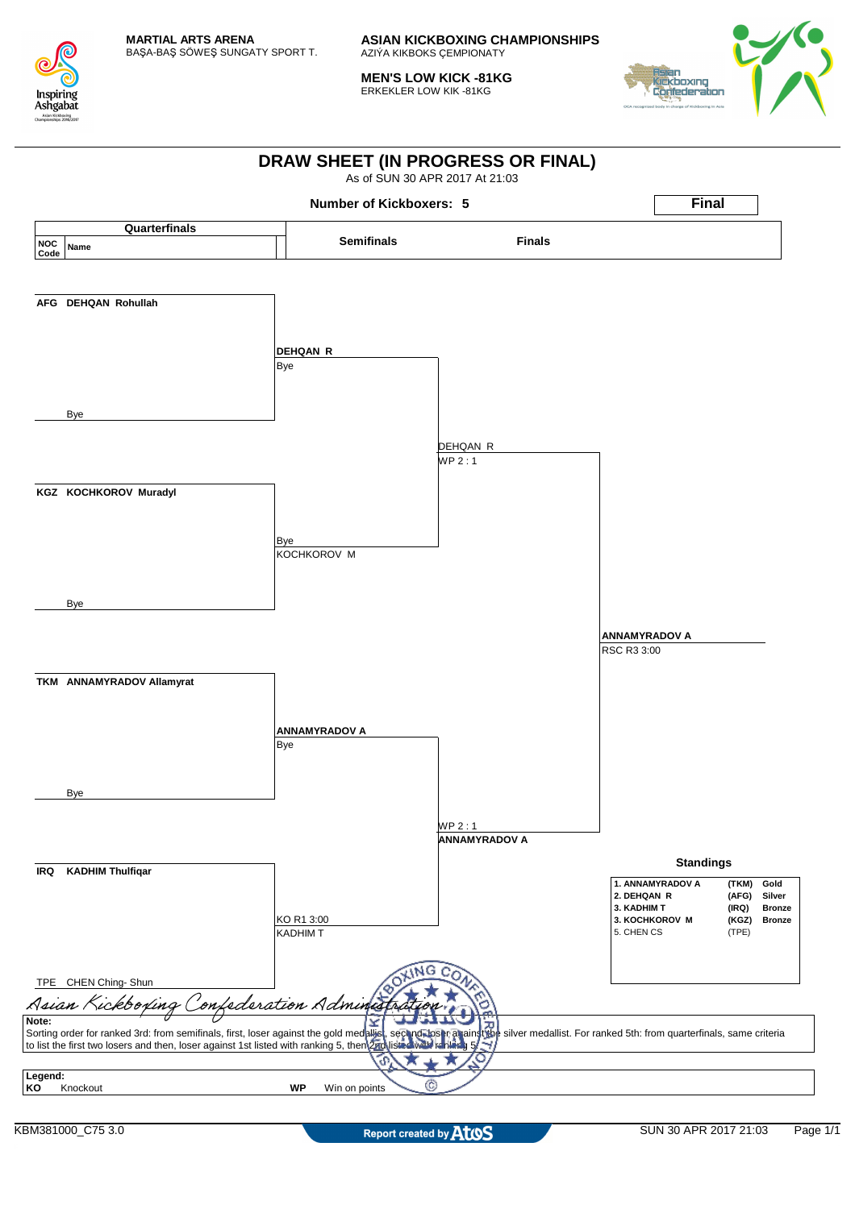

**MEN'S LOW KICK -81KG** ERKEKLER LOW KIK -81KG



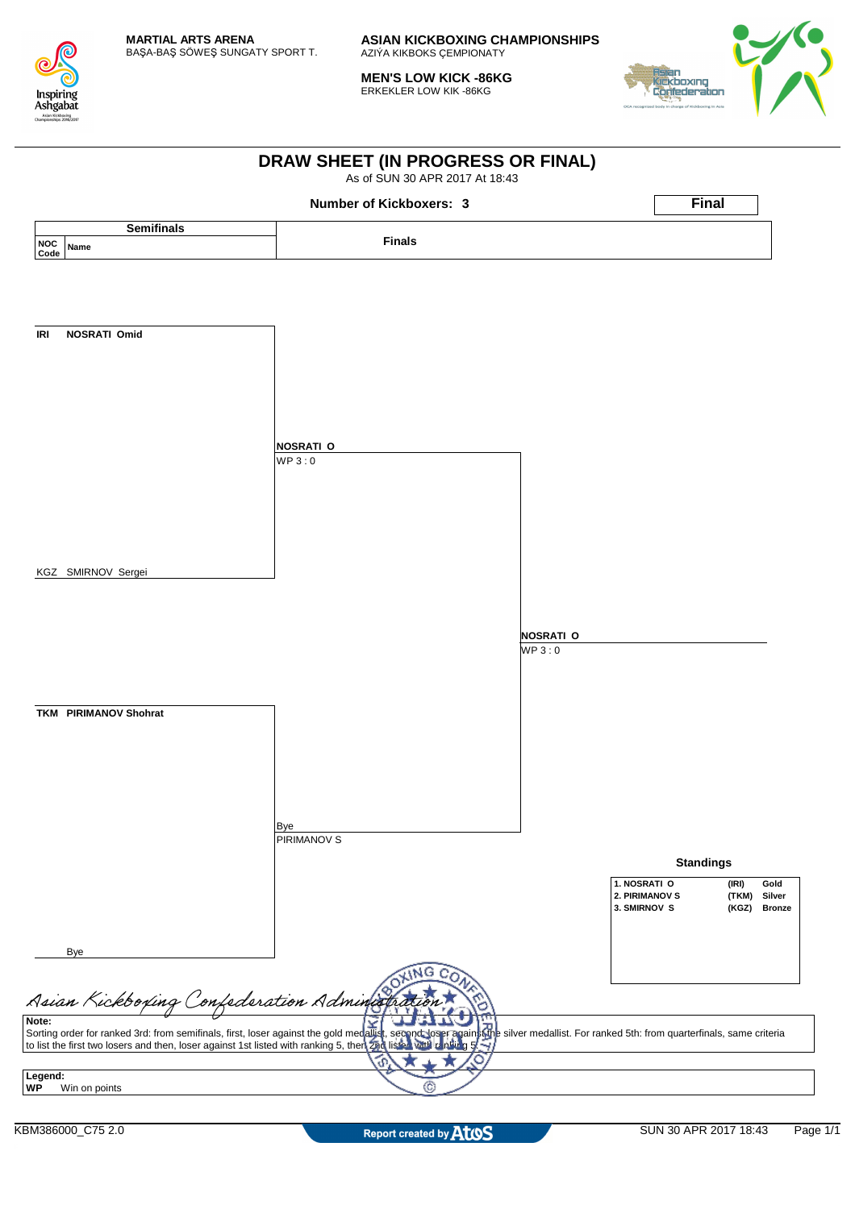

**MEN'S LOW KICK -86KG** ERKEKLER LOW KIK -86KG



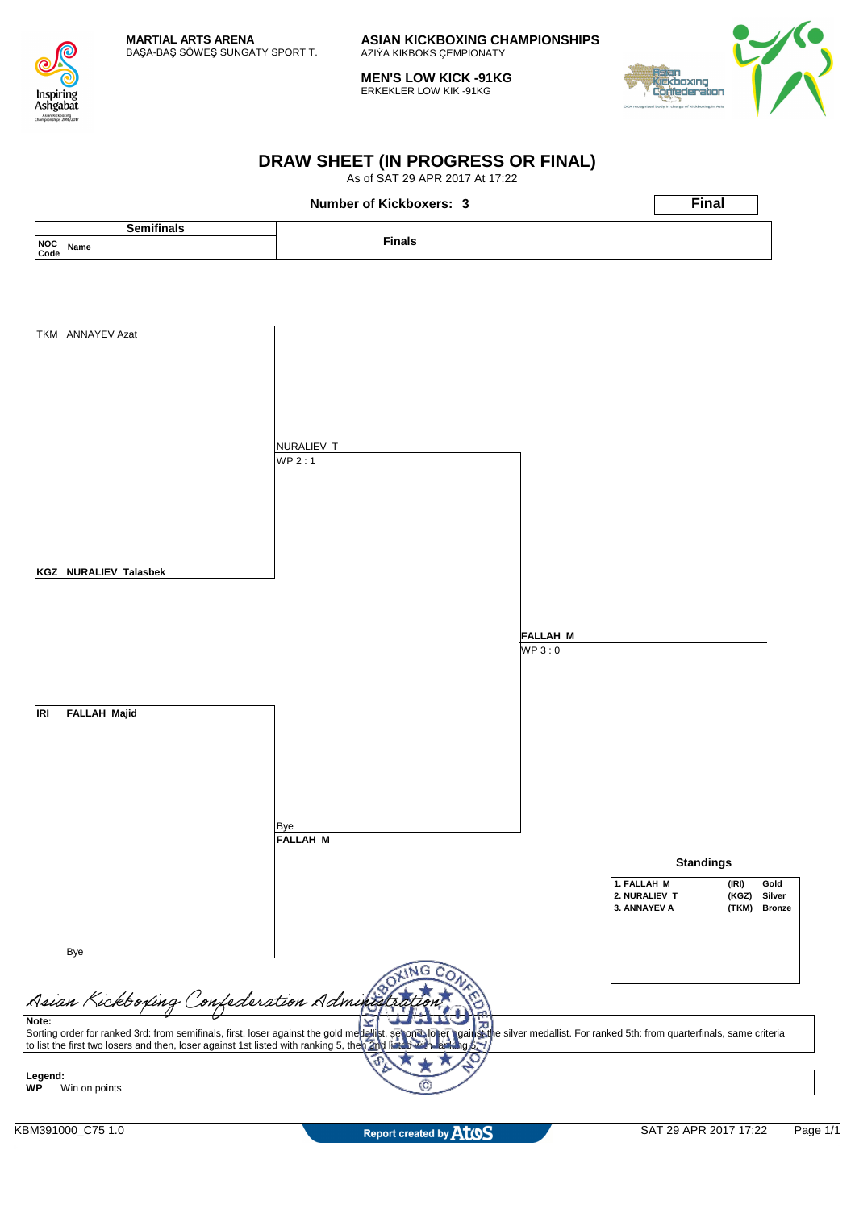

**MEN'S LOW KICK -91KG** ERKEKLER LOW KIK -91KG



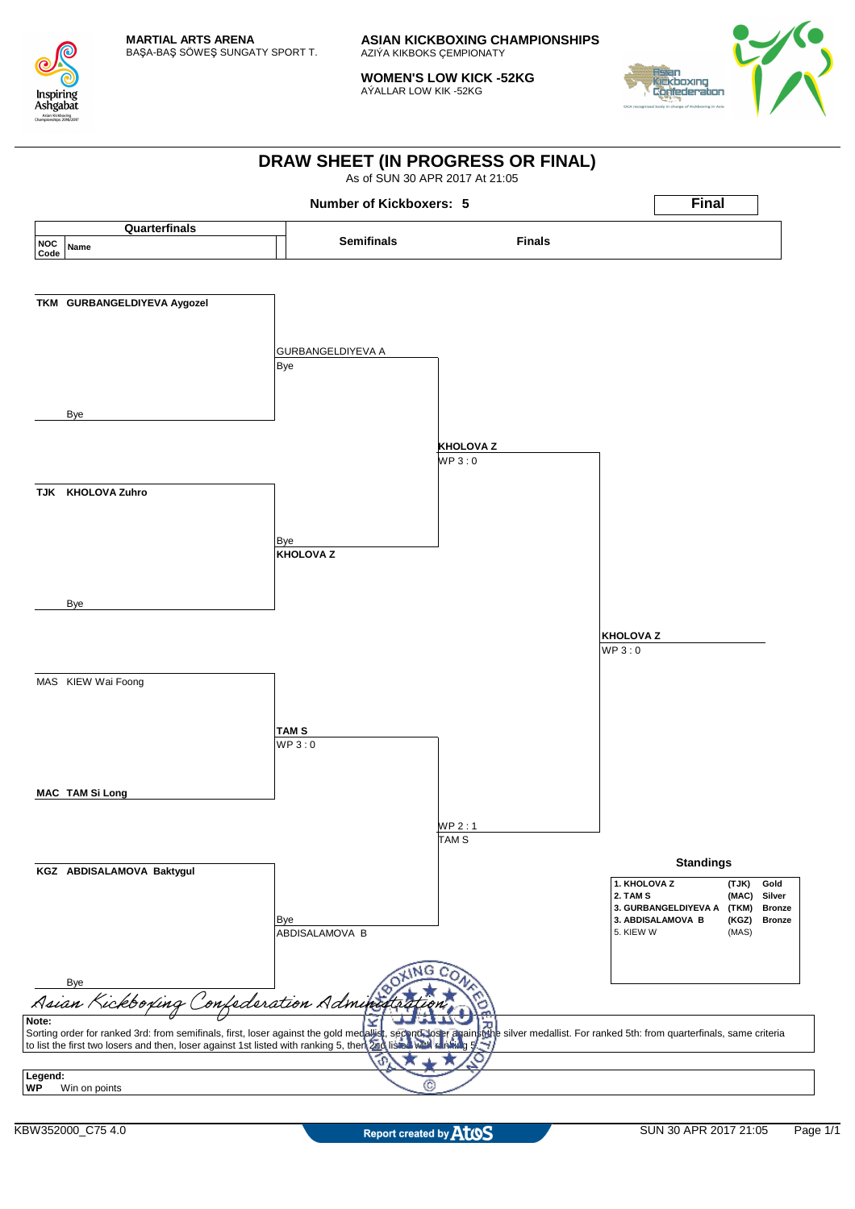

**WOMEN'S LOW KICK -52KG** AÝALLAR LOW KIK -52KG



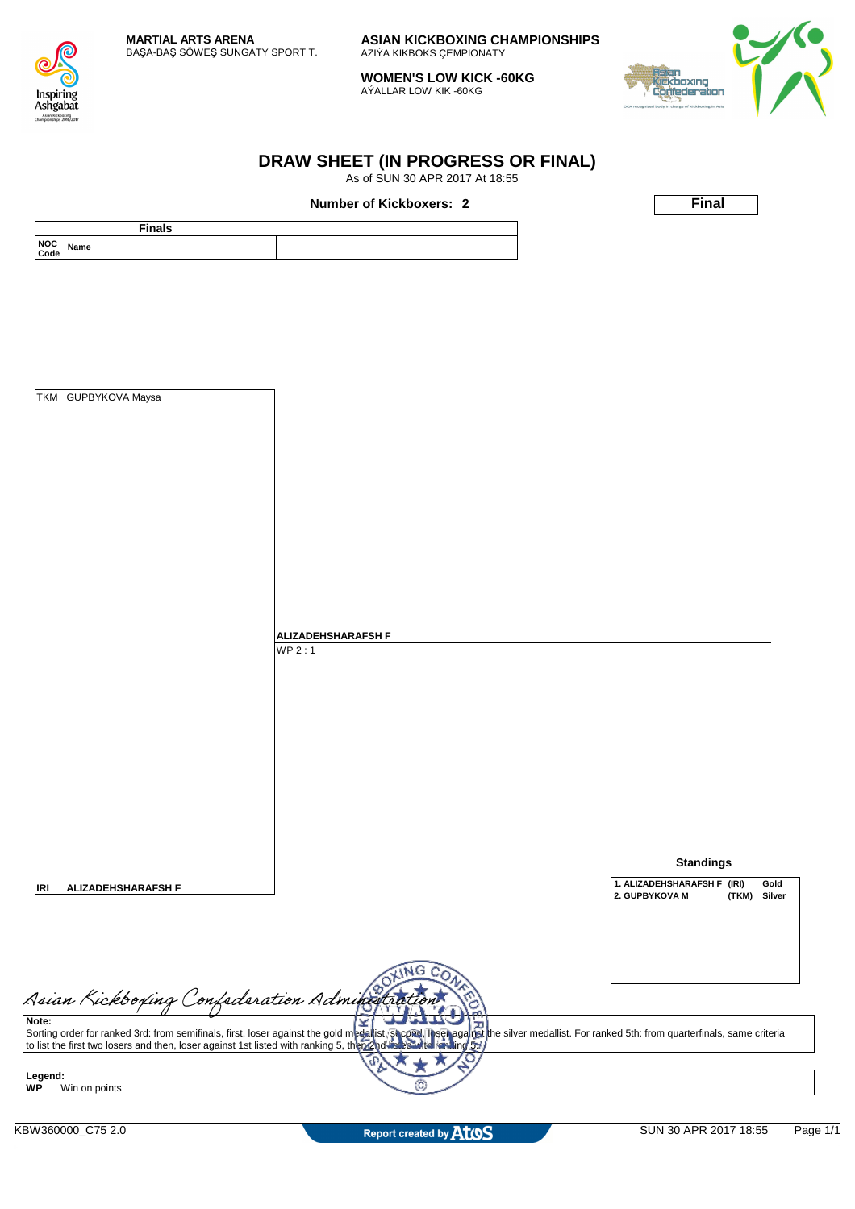

**WOMEN'S LOW KICK -60KG** AÝALLAR LOW KIK -60KG

**DRAW SHEET (IN PROGRESS OR FINAL)** As of SUN 30 APR 2017 At 18:55



|                                               | <b>Number of Kickboxers: 2</b>                                                                                                                                                                                                    | <b>Final</b>                        |
|-----------------------------------------------|-----------------------------------------------------------------------------------------------------------------------------------------------------------------------------------------------------------------------------------|-------------------------------------|
| <b>Finals</b><br><b>NOC</b>                   |                                                                                                                                                                                                                                   |                                     |
| Name<br>Code                                  |                                                                                                                                                                                                                                   |                                     |
|                                               |                                                                                                                                                                                                                                   |                                     |
|                                               |                                                                                                                                                                                                                                   |                                     |
|                                               |                                                                                                                                                                                                                                   |                                     |
|                                               |                                                                                                                                                                                                                                   |                                     |
|                                               |                                                                                                                                                                                                                                   |                                     |
| TKM GUPBYKOVA Maysa                           |                                                                                                                                                                                                                                   |                                     |
|                                               |                                                                                                                                                                                                                                   |                                     |
|                                               |                                                                                                                                                                                                                                   |                                     |
|                                               |                                                                                                                                                                                                                                   |                                     |
|                                               |                                                                                                                                                                                                                                   |                                     |
|                                               |                                                                                                                                                                                                                                   |                                     |
|                                               |                                                                                                                                                                                                                                   |                                     |
|                                               |                                                                                                                                                                                                                                   |                                     |
|                                               |                                                                                                                                                                                                                                   |                                     |
|                                               |                                                                                                                                                                                                                                   |                                     |
|                                               |                                                                                                                                                                                                                                   |                                     |
|                                               | <b>ALIZADEHSHARAFSH F</b>                                                                                                                                                                                                         |                                     |
|                                               | WP2:1                                                                                                                                                                                                                             |                                     |
|                                               |                                                                                                                                                                                                                                   |                                     |
|                                               |                                                                                                                                                                                                                                   |                                     |
|                                               |                                                                                                                                                                                                                                   |                                     |
|                                               |                                                                                                                                                                                                                                   |                                     |
|                                               |                                                                                                                                                                                                                                   |                                     |
|                                               |                                                                                                                                                                                                                                   |                                     |
|                                               |                                                                                                                                                                                                                                   |                                     |
|                                               |                                                                                                                                                                                                                                   |                                     |
|                                               |                                                                                                                                                                                                                                   | <b>Standings</b>                    |
|                                               |                                                                                                                                                                                                                                   | 1. ALIZADEHSHARAFSH F (IRI)<br>Gold |
| <b>ALIZADEHSHARAFSH F</b>                     |                                                                                                                                                                                                                                   | 2. GUPBYKOVA M<br>(TKM)<br>Silver   |
|                                               |                                                                                                                                                                                                                                   |                                     |
|                                               |                                                                                                                                                                                                                                   |                                     |
|                                               | ۱NG                                                                                                                                                                                                                               |                                     |
|                                               |                                                                                                                                                                                                                                   |                                     |
| Asian Kickboxing Confederation Administration |                                                                                                                                                                                                                                   |                                     |
| Note:                                         | Sorting order for ranked 3rd: from semifinals, first, loser against the gold medallist, shooted in service is the silver medallist. For ranked 5th: from quarterfinals, same criteria<br>to list the first two losers and then, l |                                     |
|                                               | ഹ                                                                                                                                                                                                                                 |                                     |
| Legend:                                       |                                                                                                                                                                                                                                   |                                     |
| Win on points                                 |                                                                                                                                                                                                                                   |                                     |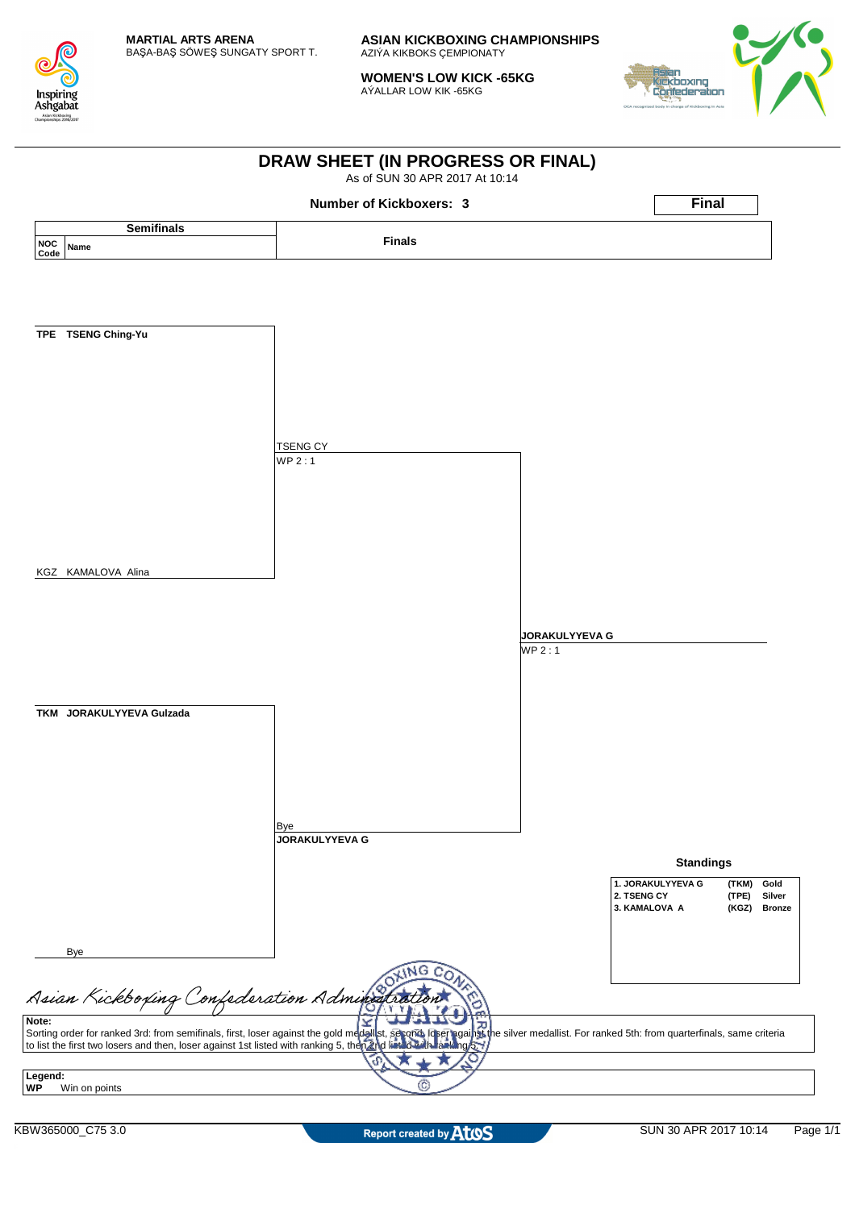

**WOMEN'S LOW KICK -65KG** AÝALLAR LOW KIK -65KG



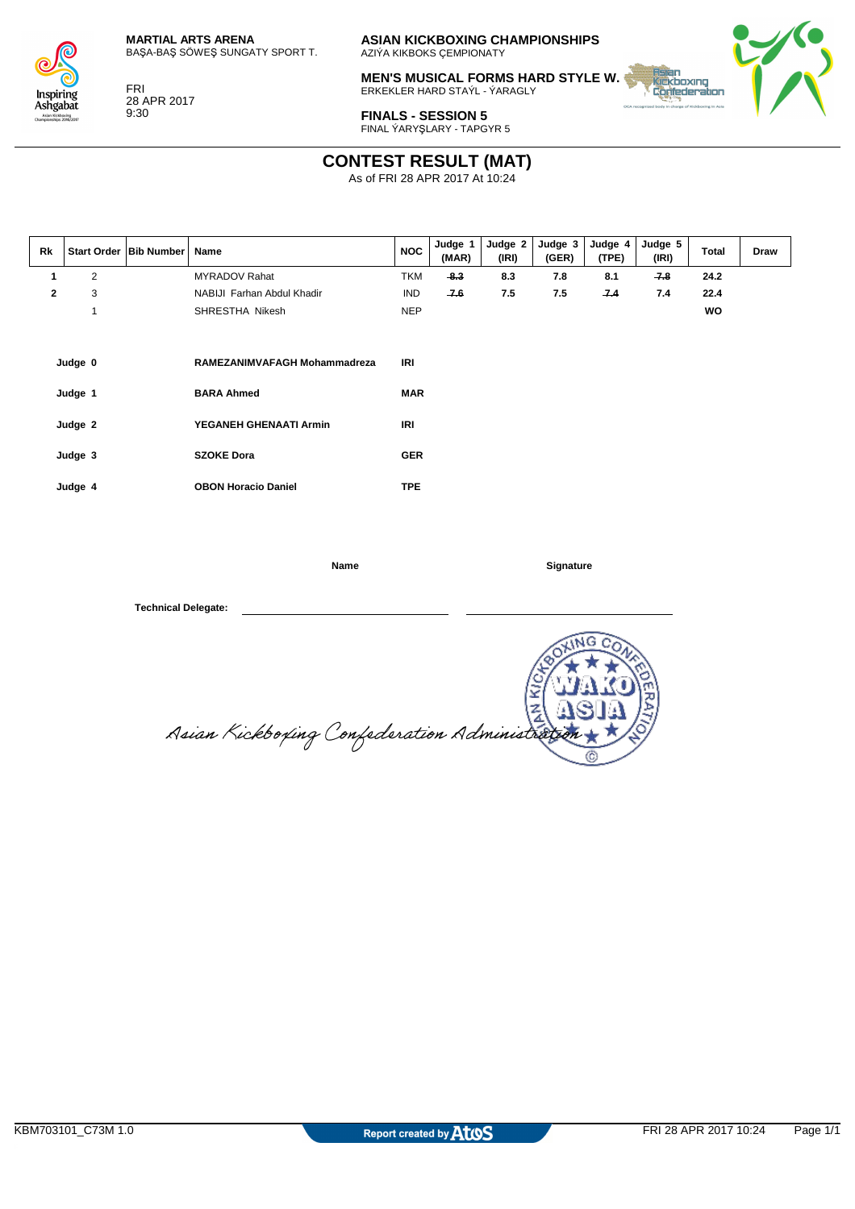



FRI 28 APR 2017 9:30

**ASIAN KICKBOXING CHAMPIONSHIPS** AZIÝA KIKBOKS ÇEMPIONATY

**MEN'S MUSICAL FORMS HARD STYLE W.** ERKEKLER HARD STAÝL - ÝARAGLY



**FINALS - SESSION 5** FINAL ÝARYŞLARY - TAPGYR 5

# **CONTEST RESULT (MAT)**

As of FRI 28 APR 2017 At 10:24

| $\overline{2}$<br>$-8.3$<br><b>TKM</b><br>8.3<br>8.1<br>$-7.8$<br>24.2<br>MYRADOV Rahat<br>7.8<br>1<br>3<br>$\mathbf{2}$<br>$-7.6$<br>7.5<br>7.5<br>7.4<br>22.4<br>NABIJI Farhan Abdul Khadir<br><b>IND</b><br>7.4<br>1<br><b>NEP</b><br>wo<br>SHRESTHA Nikesh<br>IRI<br>Judge 0<br>RAMEZANIMVAFAGH Mohammadreza<br><b>MAR</b><br><b>BARA Ahmed</b><br>Judge 1 | Rk | Draw |
|----------------------------------------------------------------------------------------------------------------------------------------------------------------------------------------------------------------------------------------------------------------------------------------------------------------------------------------------------------------|----|------|
|                                                                                                                                                                                                                                                                                                                                                                |    |      |
|                                                                                                                                                                                                                                                                                                                                                                |    |      |
|                                                                                                                                                                                                                                                                                                                                                                |    |      |
| <b>IRI</b><br>YEGANEH GHENAATI Armin<br>Judge 2<br><b>SZOKE Dora</b><br><b>GER</b><br>Judge 3<br><b>TPE</b><br><b>OBON Horacio Daniel</b><br>Judge 4                                                                                                                                                                                                           |    |      |

**Name Signature** 

 $\frac{K}{4}$ Asian Kickboxing Confederation Administra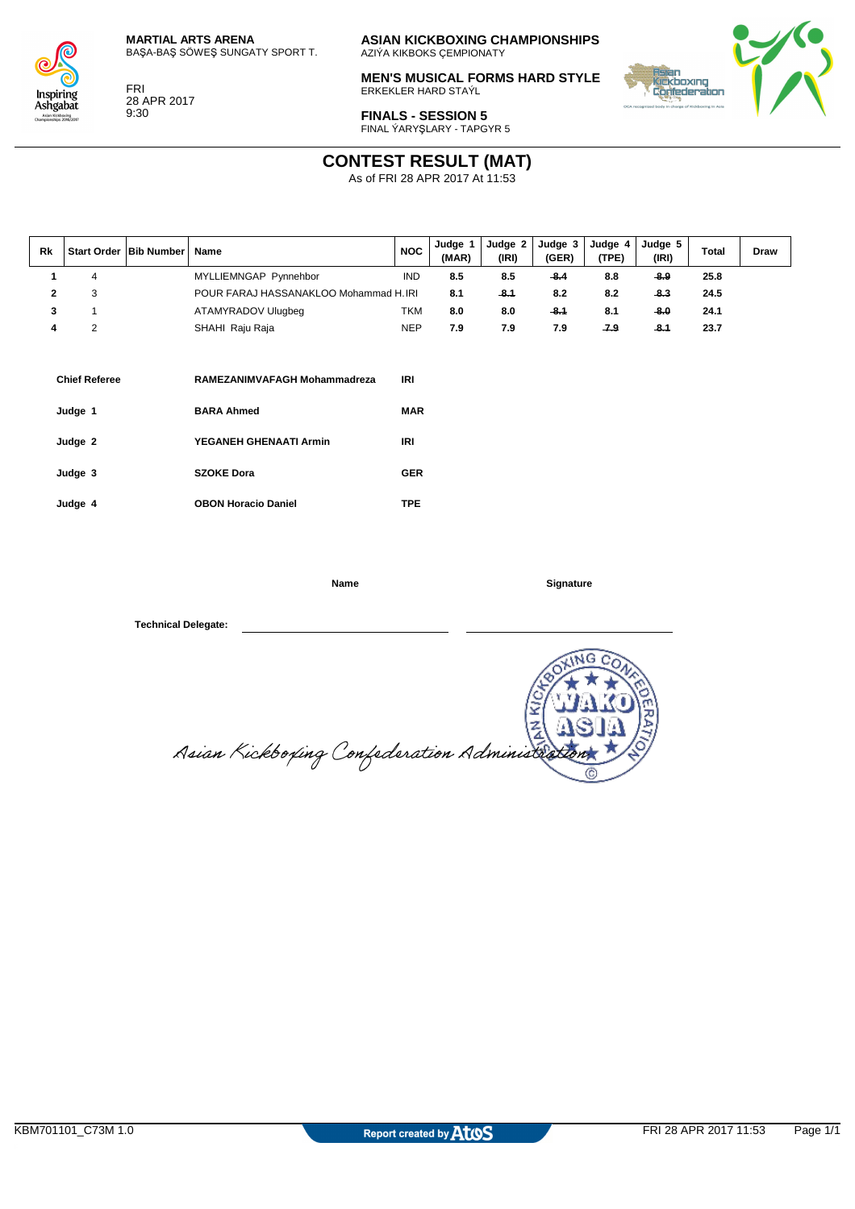



FRI 28 APR 2017 9:30

**ASIAN KICKBOXING CHAMPIONSHIPS** AZIÝA KIKBOKS ÇEMPIONATY

**MEN'S MUSICAL FORMS HARD STYLE** ERKEKLER HARD STAÝL



**FINALS - SESSION 5** FINAL ÝARYŞLARY - TAPGYR 5

## **CONTEST RESULT (MAT)**

As of FRI 28 APR 2017 At 11:53

| Rk |   | Start Order   Bib Number | Name                                   | <b>NOC</b> | Judge 1<br>(MAR) | Judge 2<br>(IRI) | Judge 3<br>(GER) | Judge 4<br>(TPE) | Judge 5<br>(IRI) | <b>Total</b> | Draw |
|----|---|--------------------------|----------------------------------------|------------|------------------|------------------|------------------|------------------|------------------|--------------|------|
|    | 4 |                          | MYLLIEMNGAP Pynnehbor                  | <b>IND</b> | 8.5              | 8.5              | $-8.4$           | 8.8              | $-8.9$           | 25.8         |      |
|    | 3 |                          | POUR FARAJ HASSANAKLOO Mohammad H. IRI |            | 8.1              | $-8.1$           | 8.2              | 8.2              | $-8.3$           | 24.5         |      |
| 3  |   |                          | ATAMYRADOV Ulugbeg                     | <b>TKM</b> | 8.0              | 8.0              | $-8.1$           | 8.1              | $-8.0$           | 24.1         |      |
| 4  | 2 |                          | SHAHI Raju Raja                        | <b>NEP</b> | 7.9              | 7.9              | 7.9              | $-7.9$           | $-8.1$           | 23.7         |      |
|    |   |                          |                                        |            |                  |                  |                  |                  |                  |              |      |
|    |   |                          |                                        |            |                  |                  |                  |                  |                  |              |      |

| <b>Chief Referee</b> | RAMEZANIMVAFAGH Mohammadreza | IRI        |
|----------------------|------------------------------|------------|
| Judge 1              | <b>BARA Ahmed</b>            | <b>MAR</b> |
| Judge 2              | YEGANEH GHENAATI Armin       | IRI        |
| Judge 3              | <b>SZOKE Dora</b>            | <b>GER</b> |
| Judge 4              | <b>OBON Horacio Daniel</b>   | TPE.       |

**Name Signature** 

 $M$ G ¥  $\overline{z}$ Asian Kickboxing Confederation Administr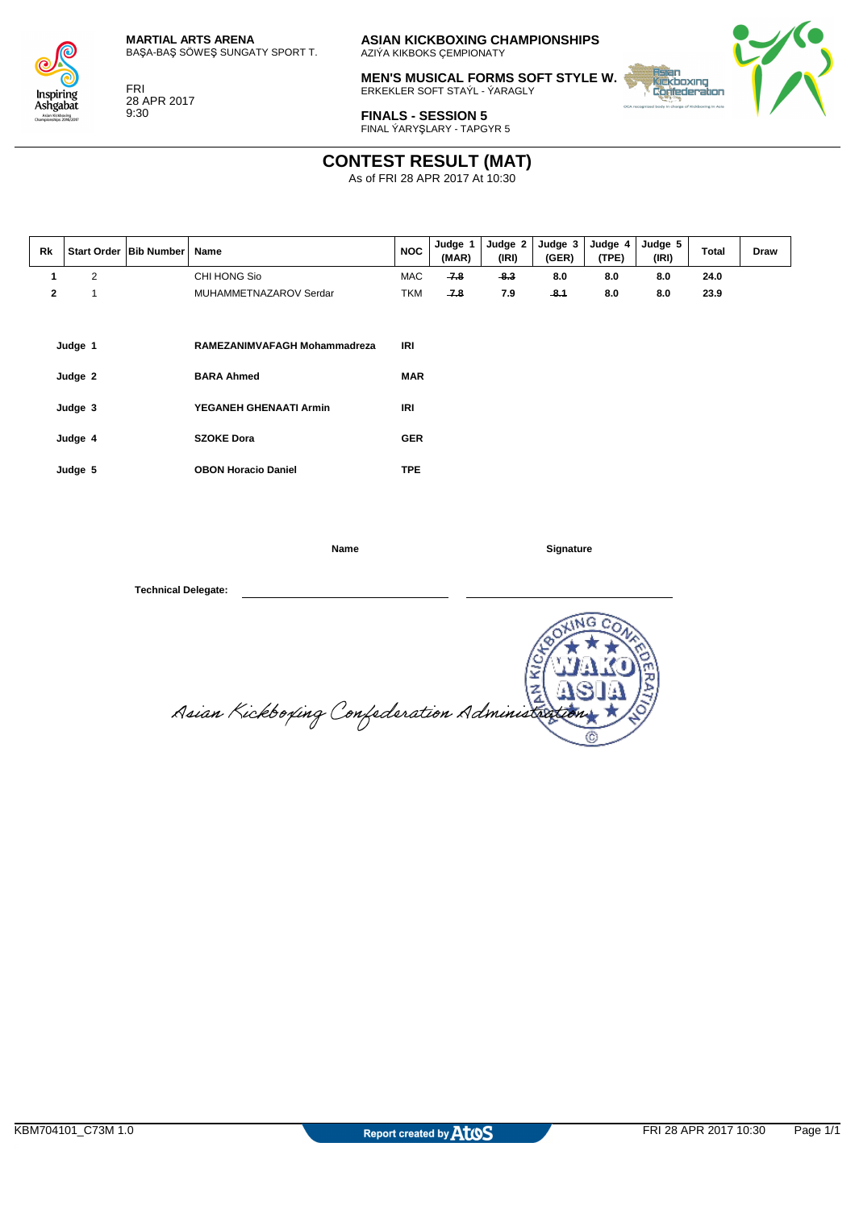

Insnirino Ashgabat kickboxing<br>sehine 2016/2011

FRI 28 APR 2017 9:30

**ASIAN KICKBOXING CHAMPIONSHIPS** AZIÝA KIKBOKS ÇEMPIONATY

**MEN'S MUSICAL FORMS SOFT STYLE W.** ERKEKLER SOFT STAÝL - ÝARAGLY



**FINALS - SESSION 5** FINAL ÝARYŞLARY - TAPGYR 5

### **CONTEST RESULT (MAT)**

As of FRI 28 APR 2017 At 10:30

| <b>Rk</b>    |                               | Start Order   Bib Number | Name                                                                        | <b>NOC</b>               | Judge 1<br>(MAR) | Judge 2<br>(IRI) | Judge 3<br>(GER) | Judge 4<br>(TPE) | Judge 5<br>(IRI) | <b>Total</b> | Draw |
|--------------|-------------------------------|--------------------------|-----------------------------------------------------------------------------|--------------------------|------------------|------------------|------------------|------------------|------------------|--------------|------|
| $\mathbf{1}$ | 2                             |                          | CHI HONG Sio                                                                | MAC                      | $-7.8$           | $-8.3$           | 8.0              | 8.0              | 8.0              | 24.0         |      |
| $\mathbf{2}$ | $\overline{1}$                |                          | MUHAMMETNAZAROV Serdar                                                      | <b>TKM</b>               | $-7.8$           | 7.9              | 8.1              | 8.0              | 8.0              | 23.9         |      |
|              | Judge 1<br>Judge 2<br>Judge 3 |                          | RAMEZANIMVAFAGH Mohammadreza<br><b>BARA Ahmed</b><br>YEGANEH GHENAATI Armin | IRI<br><b>MAR</b><br>IRI |                  |                  |                  |                  |                  |              |      |
|              | Judge 4                       |                          | <b>SZOKE Dora</b>                                                           | <b>GER</b>               |                  |                  |                  |                  |                  |              |      |
|              | Judge 5                       |                          | <b>OBON Horacio Daniel</b>                                                  | <b>TPE</b>               |                  |                  |                  |                  |                  |              |      |

**Name Signature** 

G  $\frac{1}{2}$ Asian Kickboxing Confederation Administra Ō.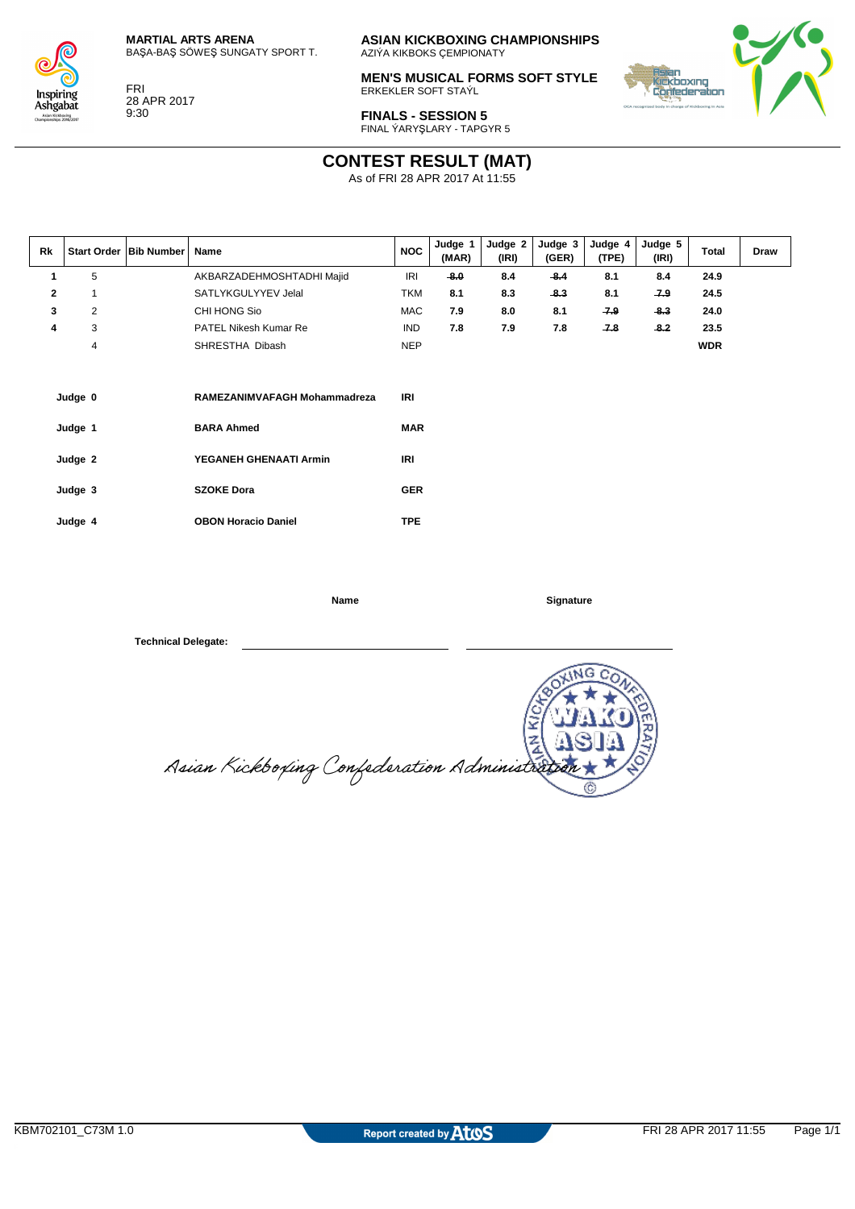



FRI 28 APR 2017 9:30

**ASIAN KICKBOXING CHAMPIONSHIPS** AZIÝA KIKBOKS ÇEMPIONATY

**MEN'S MUSICAL FORMS SOFT STYLE** ERKEKLER SOFT STAÝL



**FINALS - SESSION 5** FINAL ÝARYŞLARY - TAPGYR 5

### **CONTEST RESULT (MAT)**

As of FRI 28 APR 2017 At 11:55

| Rk           |              | Start Order   Bib Number | Name                         | <b>NOC</b> | Judge 1<br>(MAR) | Judge 2<br>(IRI) | Judge 3<br>(GER) | Judge 4<br>(TPE) | Judge 5<br>(IRI) | <b>Total</b> | Draw |
|--------------|--------------|--------------------------|------------------------------|------------|------------------|------------------|------------------|------------------|------------------|--------------|------|
| 1            | 5            |                          | AKBARZADEHMOSHTADHI Majid    | <b>IRI</b> | $-8.0$           | 8.4              | 8.4              | 8.1              | 8.4              | 24.9         |      |
| $\mathbf{2}$ | $\mathbf{1}$ |                          | SATLYKGULYYEV Jelal          | <b>TKM</b> | 8.1              | 8.3              | $-8.3$           | 8.1              | $-7.9$           | 24.5         |      |
| 3            | 2            |                          | CHI HONG Sio                 | <b>MAC</b> | 7.9              | 8.0              | 8.1              | $-7.9$           | $-8.3$           | 24.0         |      |
| 4            | 3            |                          | <b>PATEL Nikesh Kumar Re</b> | <b>IND</b> | 7.8              | 7.9              | 7.8              | $-7.8$           | $-8.2$           | 23.5         |      |
|              | 4            |                          | SHRESTHA Dibash              | <b>NEP</b> |                  |                  |                  |                  |                  | <b>WDR</b>   |      |
|              |              |                          |                              |            |                  |                  |                  |                  |                  |              |      |
|              | Judge 0      |                          | RAMEZANIMVAFAGH Mohammadreza | IRI        |                  |                  |                  |                  |                  |              |      |
|              | Judge 1      |                          | <b>BARA Ahmed</b>            | <b>MAR</b> |                  |                  |                  |                  |                  |              |      |
|              | Judge 2      |                          | YEGANEH GHENAATI Armin       | IRI        |                  |                  |                  |                  |                  |              |      |
|              | Judge 3      |                          | <b>SZOKE Dora</b>            | <b>GER</b> |                  |                  |                  |                  |                  |              |      |
|              | Judge 4      |                          | <b>OBON Horacio Daniel</b>   | <b>TPE</b> |                  |                  |                  |                  |                  |              |      |

**Name Signature** 

s Ē Asian Kickboxing Confederation Administrat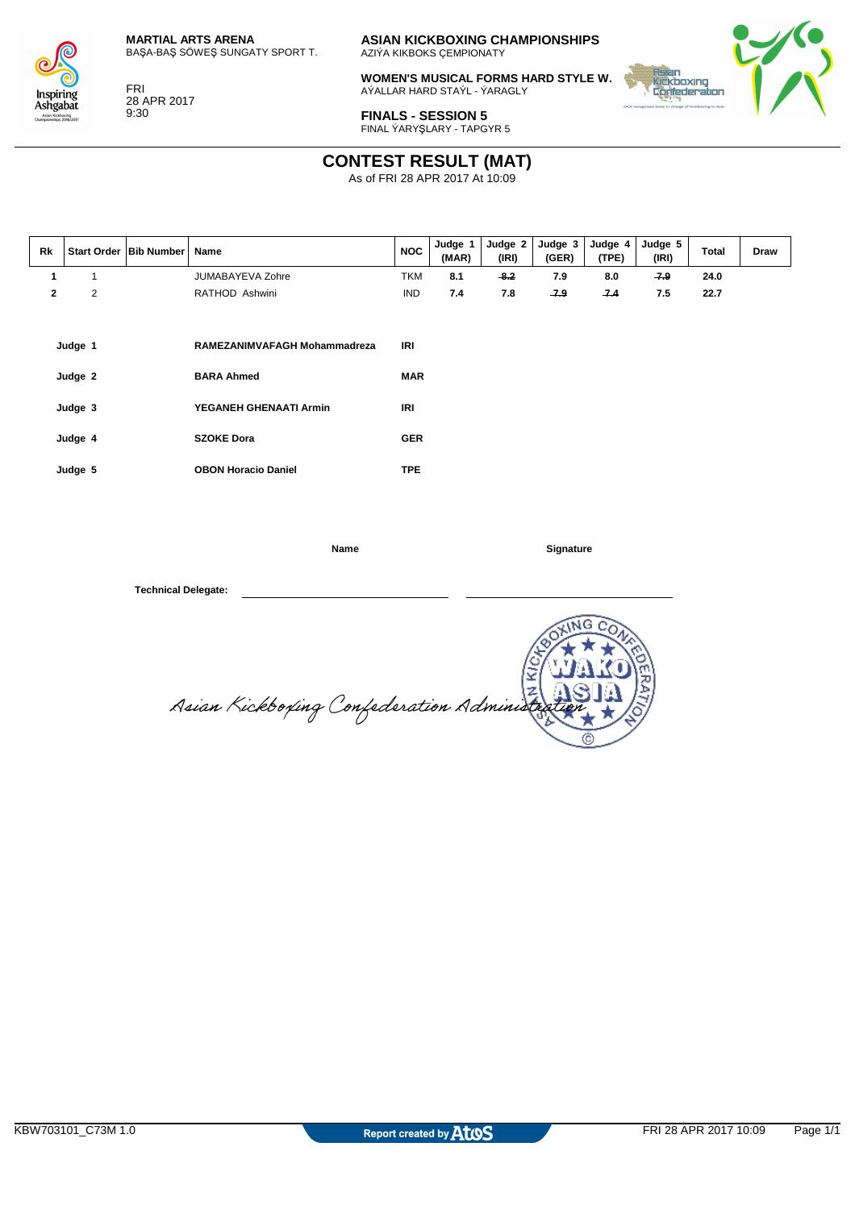

Insnirino Ashgabat kickboxing<br>sehine 2016/2011

FRI 28 APR 2017 9:30

**ASIAN KICKBOXING CHAMPIONSHIPS** AZIÝA KIKBOKS ÇEMPIONATY

**WOMEN'S MUSICAL FORMS HARD STYLE W.** AÝALLAR HARD STAÝL - ÝARAGLY



**FINALS - SESSION 5** FINAL ÝARYŞLARY - TAPGYR 5

## **CONTEST RESULT (MAT)**

As of FRI 28 APR 2017 At 10:09

| Rk           |                                          | Start Order   Bib Number | Name                                                                                             | <b>NOC</b>                                    | Judge 1<br>(MAR) | Judge 2<br>(IRI) | Judge 3<br>(GER) | Judge 4<br>(TPE) | Judge 5<br>(IRI) | <b>Total</b> | Draw |
|--------------|------------------------------------------|--------------------------|--------------------------------------------------------------------------------------------------|-----------------------------------------------|------------------|------------------|------------------|------------------|------------------|--------------|------|
| 1            | 1                                        |                          | <b>JUMABAYEVA Zohre</b>                                                                          | <b>TKM</b>                                    | 8.1              | $-8.2$           | 7.9              | 8.0              | $-7.9$           | 24.0         |      |
| $\mathbf{2}$ | $\overline{2}$                           |                          | RATHOD Ashwini                                                                                   | <b>IND</b>                                    | 7.4              | 7.8              | 7.9              | 7.4              | 7.5              | 22.7         |      |
|              | Judge 1<br>Judge 2<br>Judge 3<br>Judge 4 |                          | RAMEZANIMVAFAGH Mohammadreza<br><b>BARA Ahmed</b><br>YEGANEH GHENAATI Armin<br><b>SZOKE Dora</b> | IRI<br><b>MAR</b><br><b>IRI</b><br><b>GER</b> |                  |                  |                  |                  |                  |              |      |
|              |                                          |                          |                                                                                                  |                                               |                  |                  |                  |                  |                  |              |      |
|              | Judge 5                                  |                          | <b>OBON Horacio Daniel</b>                                                                       | <b>TPE</b>                                    |                  |                  |                  |                  |                  |              |      |

**Name Signature** 

Asian Kickboxing Confederation Adminis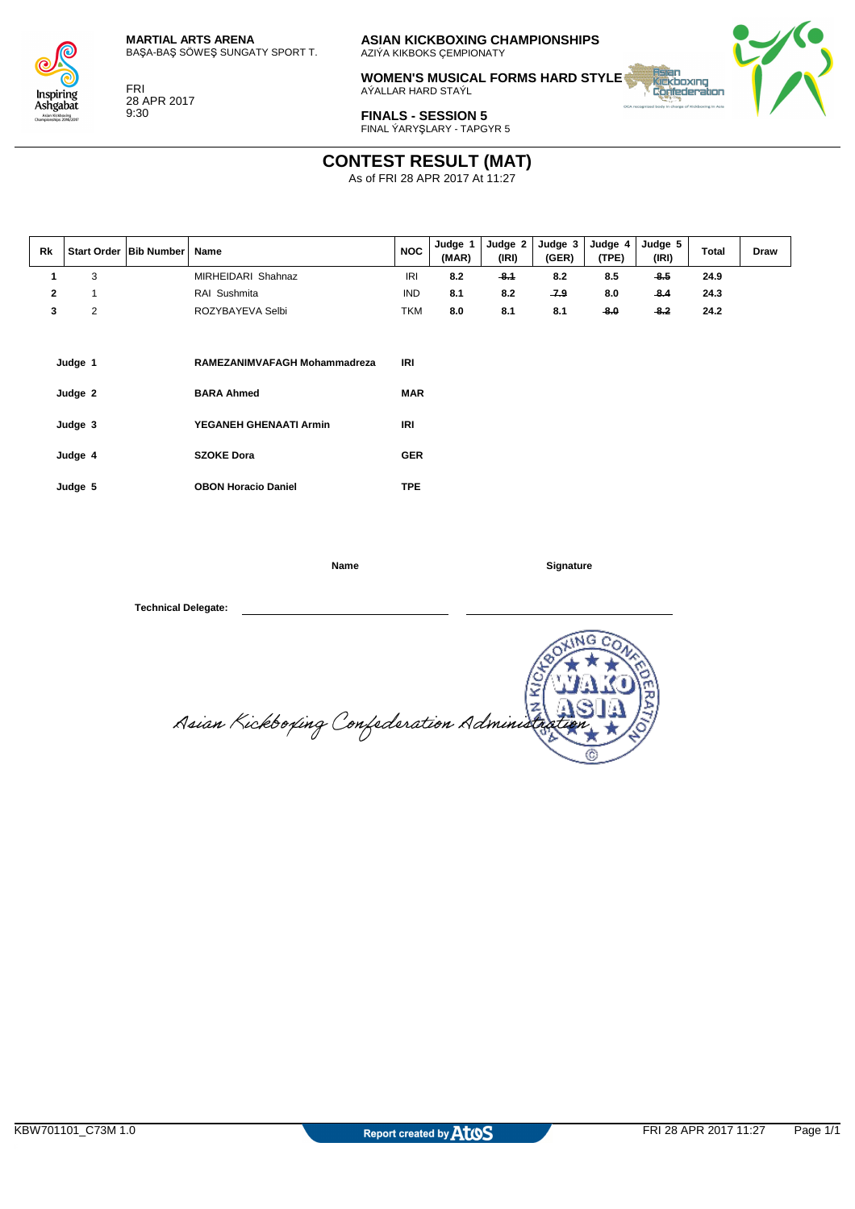

Inspiring Ashgabat n Kickboxing<br>eshine 2016/2011

FRI

28 APR 2017 9:30

**ASIAN KICKBOXING CHAMPIONSHIPS** AZIÝA KIKBOKS ÇEMPIONATY

**WOMEN'S MUSICAL FORMS HARD STYLE** AÝALLAR HARD STAÝL



**FINALS - SESSION 5** FINAL ÝARYŞLARY - TAPGYR 5

#### **CONTEST RESULT (MAT)**

As of FRI 28 APR 2017 At 11:27

| Rk |   | Start Order   Bib Number | Name               | <b>NOC</b> | Judge<br>(MAR) | Judge 2<br>(IRI) | Judge 3<br>(GER) | Judge 4<br>(TPE) | Judge 5<br>(IRI) | <b>Total</b> | Draw |
|----|---|--------------------------|--------------------|------------|----------------|------------------|------------------|------------------|------------------|--------------|------|
|    | 3 |                          | MIRHEIDARI Shahnaz | <b>IRI</b> | 8.2            | -8.1             | 8.2              | 8.5              | -8.5             | 24.9         |      |
|    |   |                          | RAI Sushmita       | <b>IND</b> | 8.1            | 8.2              | -7.9             | 8.0              | $-8.4$           | 24.3         |      |
|    |   |                          | ROZYBAYEVA Selbi   | TKM        | 8.0            | 8.1              | 8.1              | -8.0             | $-8.2$           | 24.2         |      |

| Judge 1 | RAMEZANIMVAFAGH Mohammadreza | IRI        |
|---------|------------------------------|------------|
| Judge 2 | <b>BARA Ahmed</b>            | <b>MAR</b> |
| Judge 3 | YEGANEH GHENAATI Armin       | IRI        |
| Judge 4 | <b>SZOKE Dora</b>            | <b>GER</b> |
| Judge 5 | <b>OBON Horacio Daniel</b>   | TPE        |

**Name Signature** 

 $\frac{5}{2}$ Asian Kickboxing Confederation Adminis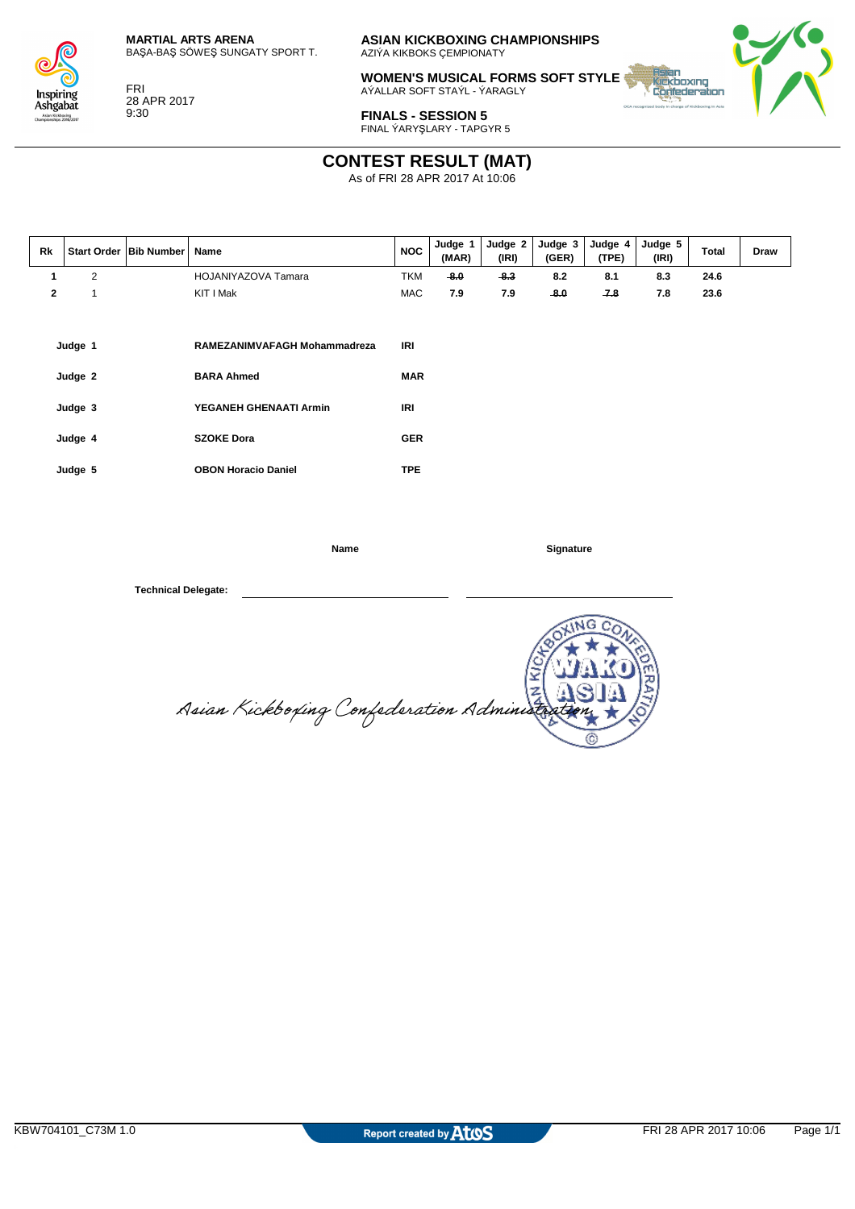

Insnirino Ashgabat kickboxing<br>sehine 2016/2011

FRI 28 APR 2017 9:30

**ASIAN KICKBOXING CHAMPIONSHIPS** AZIÝA KIKBOKS ÇEMPIONATY

**WOMEN'S MUSICAL FORMS SOFT STYLE W.** AÝALLAR SOFT STAÝL - ÝARAGLY



**FINALS - SESSION 5** FINAL ÝARYŞLARY - TAPGYR 5

#### **CONTEST RESULT (MAT)**

As of FRI 28 APR 2017 At 10:06

| Rk           |                    | Start Order   Bib Number | Name                                              | <b>NOC</b>        | Judge 1<br>(MAR) | Judge 2<br>(IRI) | Judge 3<br>(GER) | Judge 4<br>(TPE) | Judge 5<br>(IRI) | Total | Draw |
|--------------|--------------------|--------------------------|---------------------------------------------------|-------------------|------------------|------------------|------------------|------------------|------------------|-------|------|
| 1            | $\overline{2}$     |                          | HOJANIYAZOVA Tamara                               | <b>TKM</b>        | $-8.0$           | $-8.3$           | 8.2              | 8.1              | 8.3              | 24.6  |      |
| $\mathbf{2}$ | $\mathbf{1}$       |                          | KIT I Mak                                         | MAC               | 7.9              | 7.9              | $-8.0$           | 7.8              | 7.8              | 23.6  |      |
|              | Judge 1<br>Judge 2 |                          | RAMEZANIMVAFAGH Mohammadreza<br><b>BARA Ahmed</b> | IRI<br><b>MAR</b> |                  |                  |                  |                  |                  |       |      |
|              |                    |                          |                                                   |                   |                  |                  |                  |                  |                  |       |      |
|              | Judge 3            |                          | YEGANEH GHENAATI Armin                            | IRI               |                  |                  |                  |                  |                  |       |      |
|              | Judge 4            |                          | <b>SZOKE Dora</b>                                 | <b>GER</b>        |                  |                  |                  |                  |                  |       |      |
|              | Judge 5            |                          | <b>OBON Horacio Daniel</b>                        | <b>TPE</b>        |                  |                  |                  |                  |                  |       |      |

**Name Signature** 

x E Asian Kickboxing Confederation Administ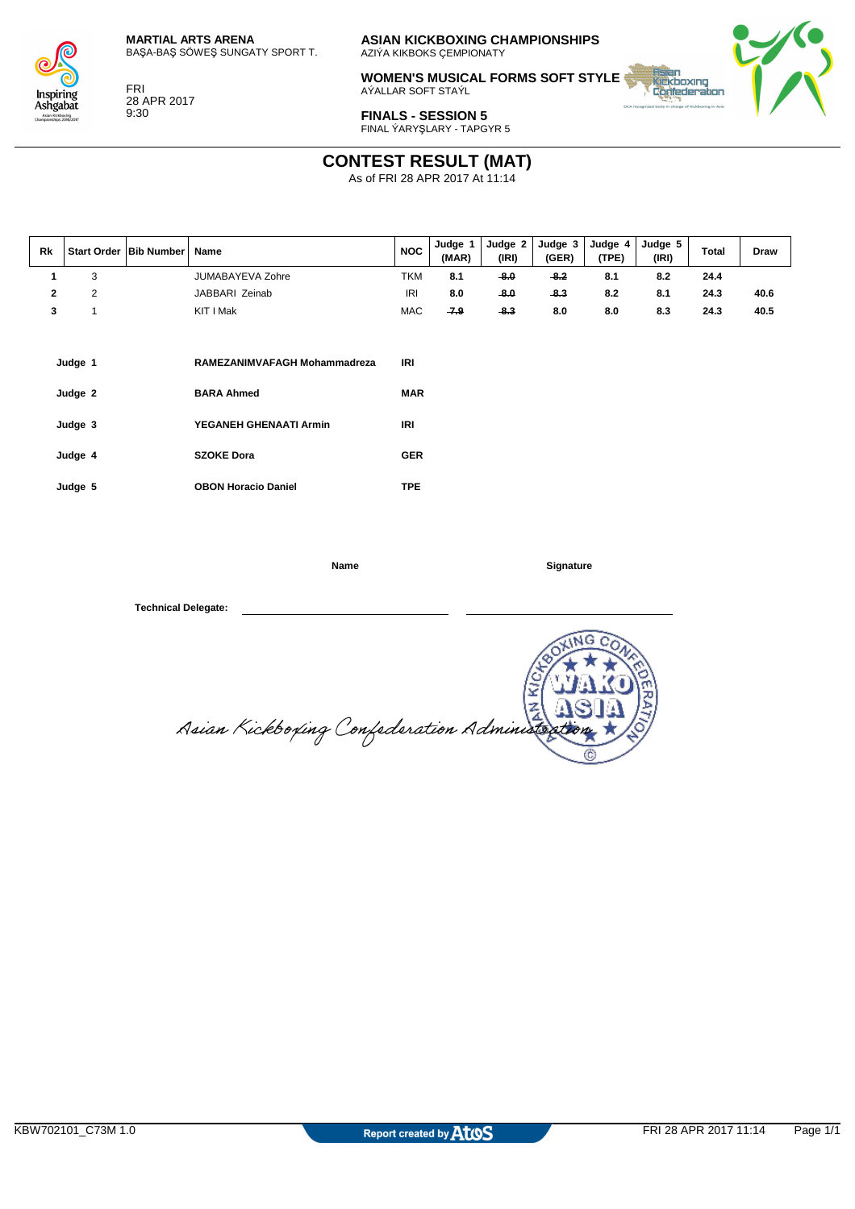

Inspiring Ashgabat n Kickboxing<br>eshine 2016/2011

FRI 28 APR 2017

9:30

**ASIAN KICKBOXING CHAMPIONSHIPS** AZIÝA KIKBOKS ÇEMPIONATY

**WOMEN'S MUSICAL FORMS SOFT STYLE** AÝALLAR SOFT STAÝL



**FINALS - SESSION 5** FINAL ÝARYŞLARY - TAPGYR 5

# **CONTEST RESULT (MAT)**

As of FRI 28 APR 2017 At 11:14

| Rk |   | Start Order   Bib Number   Name |                  | <b>NOC</b> | Judge<br>(MAR) | Judge 2<br>(IRI) | Judge 3<br>(GER) | Judge 4<br>(TPE) | Judge 5<br>(IRI) | <b>Total</b> | <b>Draw</b> |
|----|---|---------------------------------|------------------|------------|----------------|------------------|------------------|------------------|------------------|--------------|-------------|
|    | 3 |                                 | JUMABAYEVA Zohre | TKM        | 8.1            | -8.0             | $-8.2$           | 8.1              | 8.2              | 24.4         |             |
|    | າ |                                 | JABBARI Zeinab   | <b>IRI</b> | 8.0            | -8.0             | -8.3             | 8.2              | 8.1              | 24.3         | 40.6        |
|    |   |                                 | KIT I Mak        | <b>MAC</b> | $-7.9$         | -8.3             | 8.0              | 8.0              | 8.3              | 24.3         | 40.5        |

| Judge 1 | RAMEZANIMVAFAGH Mohammadreza | IRI        |
|---------|------------------------------|------------|
| Judge 2 | <b>BARA Ahmed</b>            | <b>MAR</b> |
| Judge 3 | YEGANEH GHENAATI Armin       | IRI        |
| Judge 4 | <b>SZOKE Dora</b>            | <b>GER</b> |
| Judge 5 | <b>OBON Horacio Daniel</b>   | TPE.       |

**Name Signature** 

Σ Asian Kickboxing Confederation Administr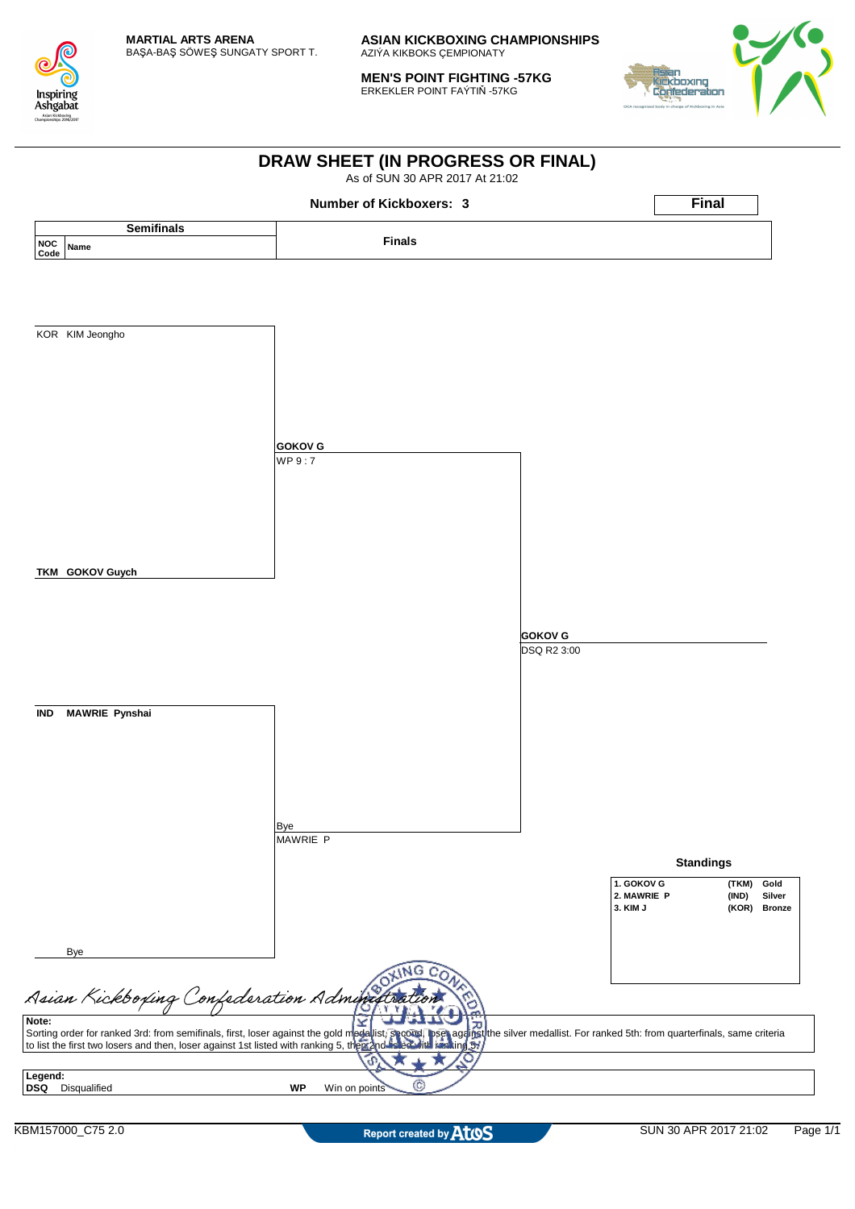

**MEN'S POINT FIGHTING -57KG** ERKEKLER POINT FAÝTIŇ -57KG



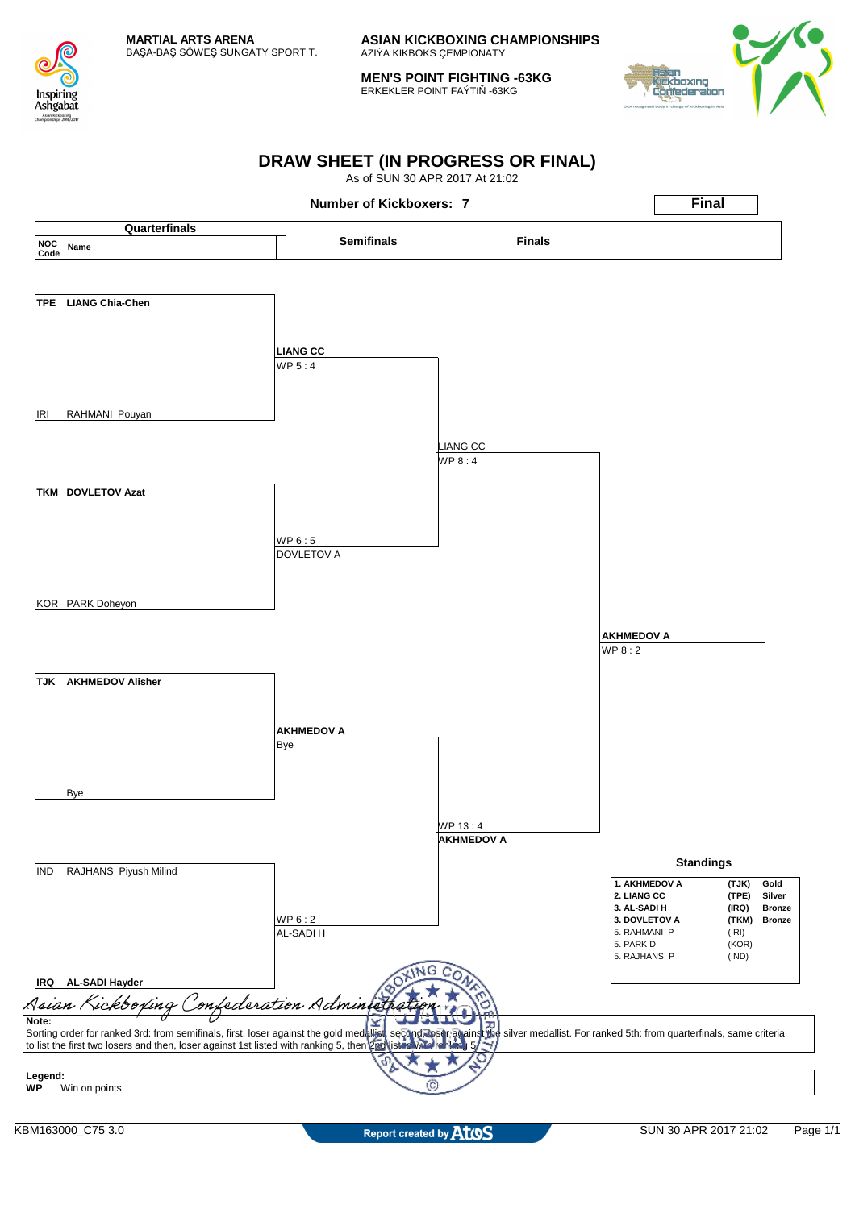

**MEN'S POINT FIGHTING -63KG** ERKEKLER POINT FAÝTIŇ -63KG



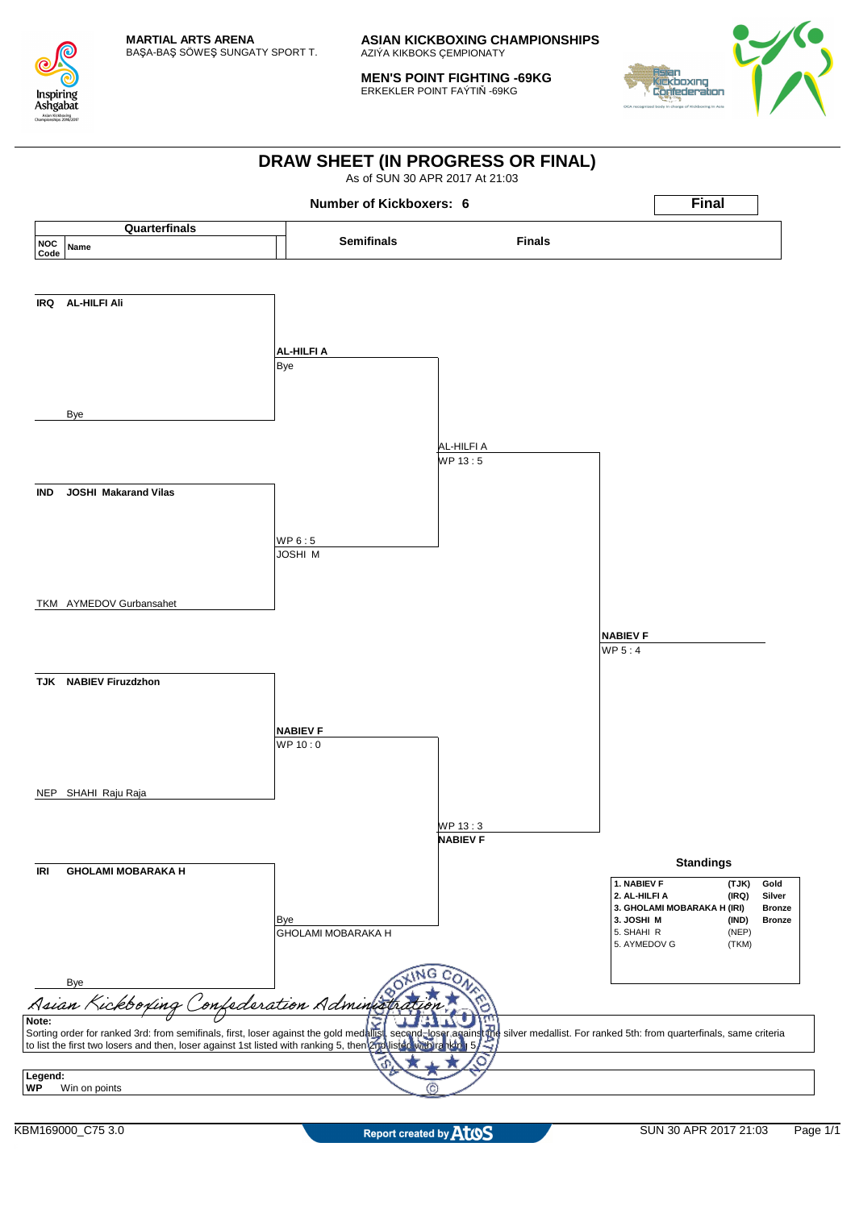

**MEN'S POINT FIGHTING -69KG** ERKEKLER POINT FAÝTIŇ -69KG



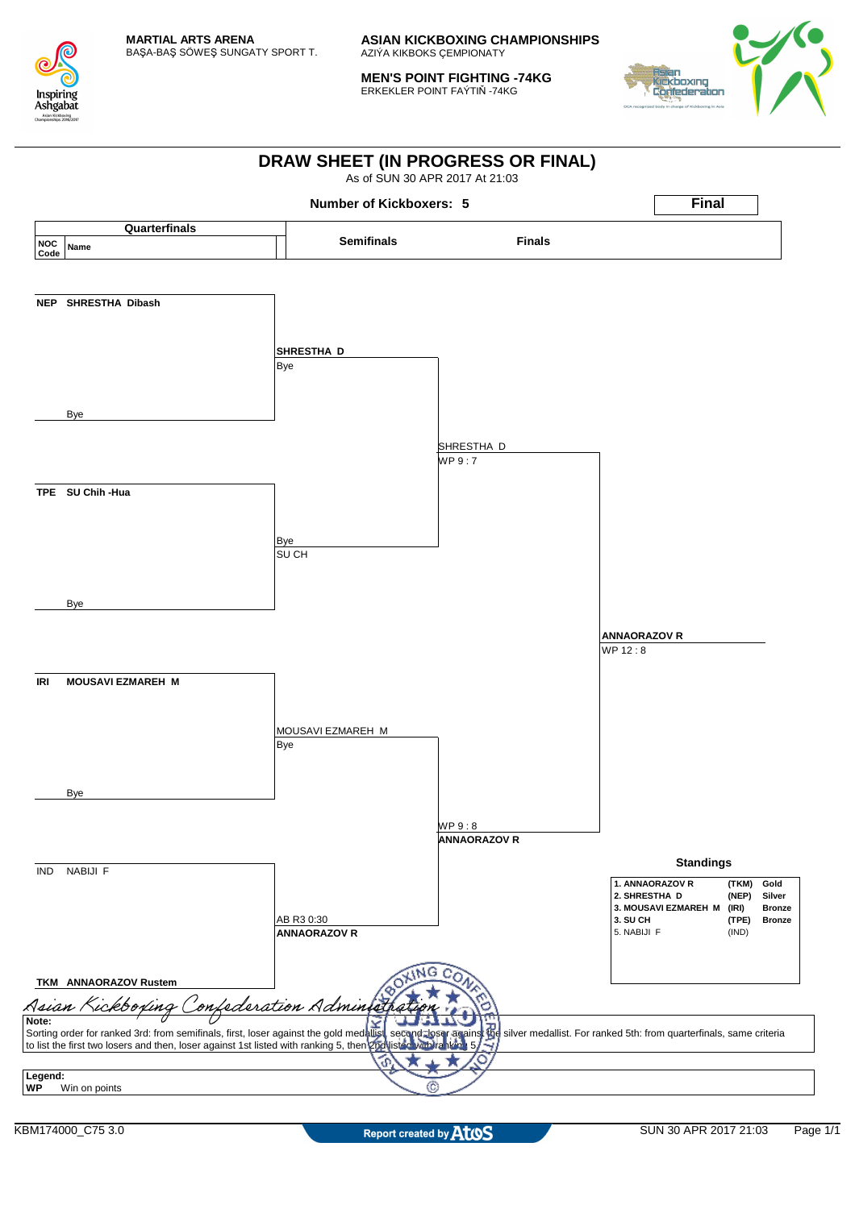

**MEN'S POINT FIGHTING -74KG** ERKEKLER POINT FAÝTIŇ -74KG



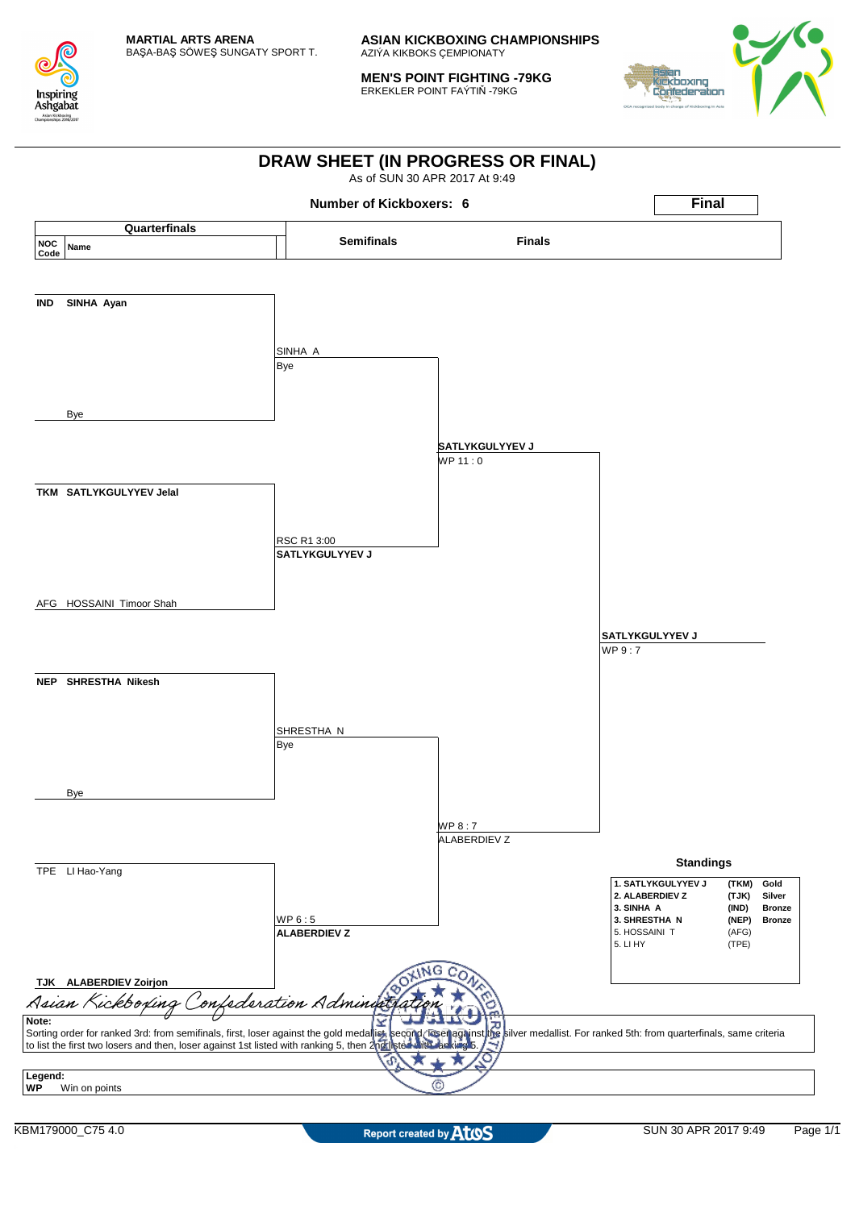

**MEN'S POINT FIGHTING -79KG** ERKEKLER POINT FAÝTIŇ -79KG



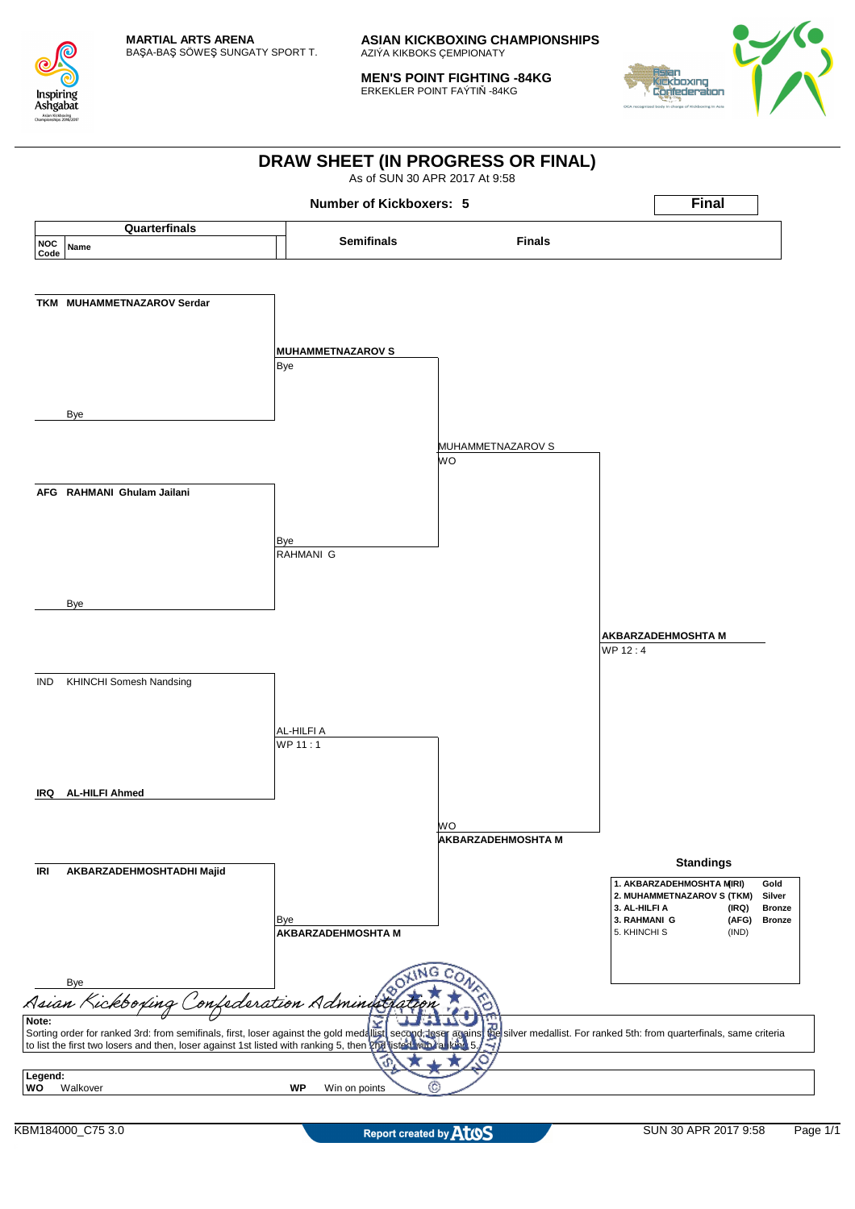

**MEN'S POINT FIGHTING -84KG** ERKEKLER POINT FAÝTIŇ -84KG



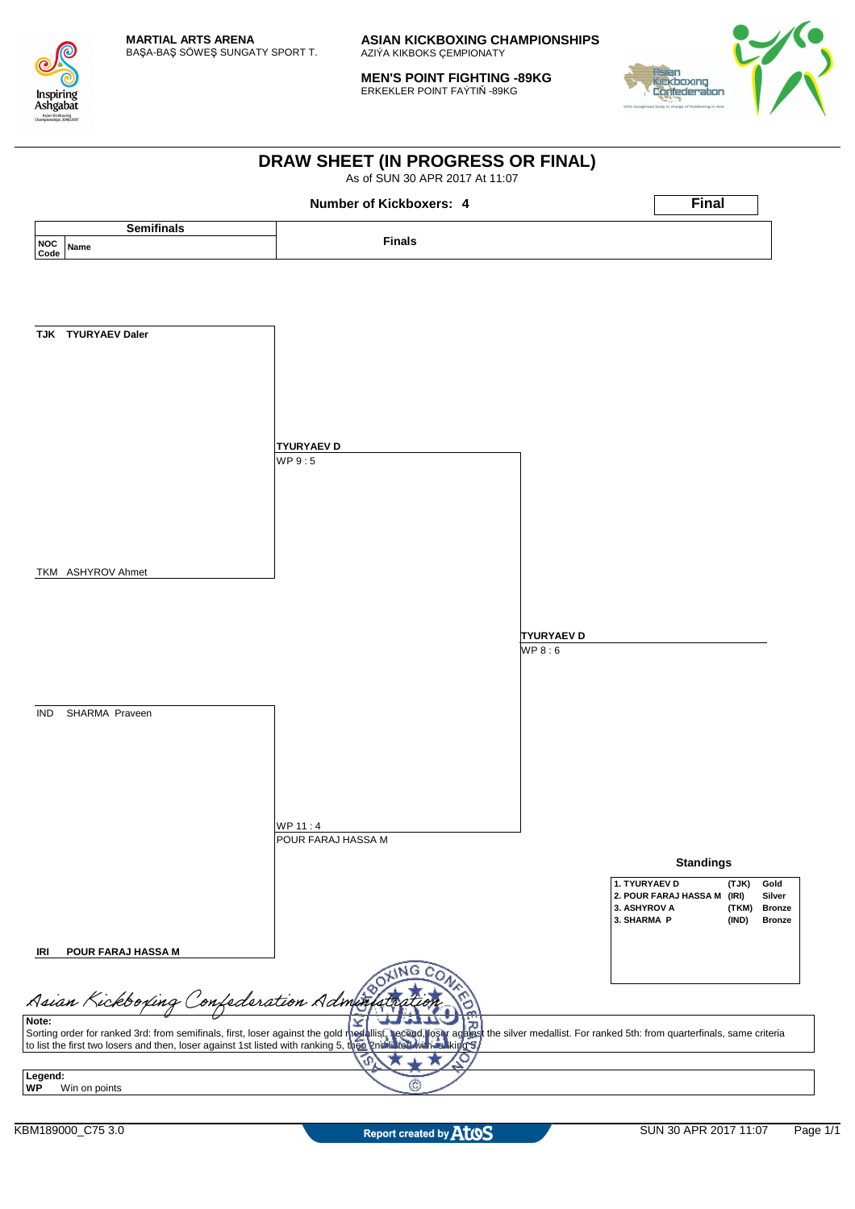

**MEN'S POINT FIGHTING -89KG** ERKEKLER POINT FAÝTIŇ -89KG



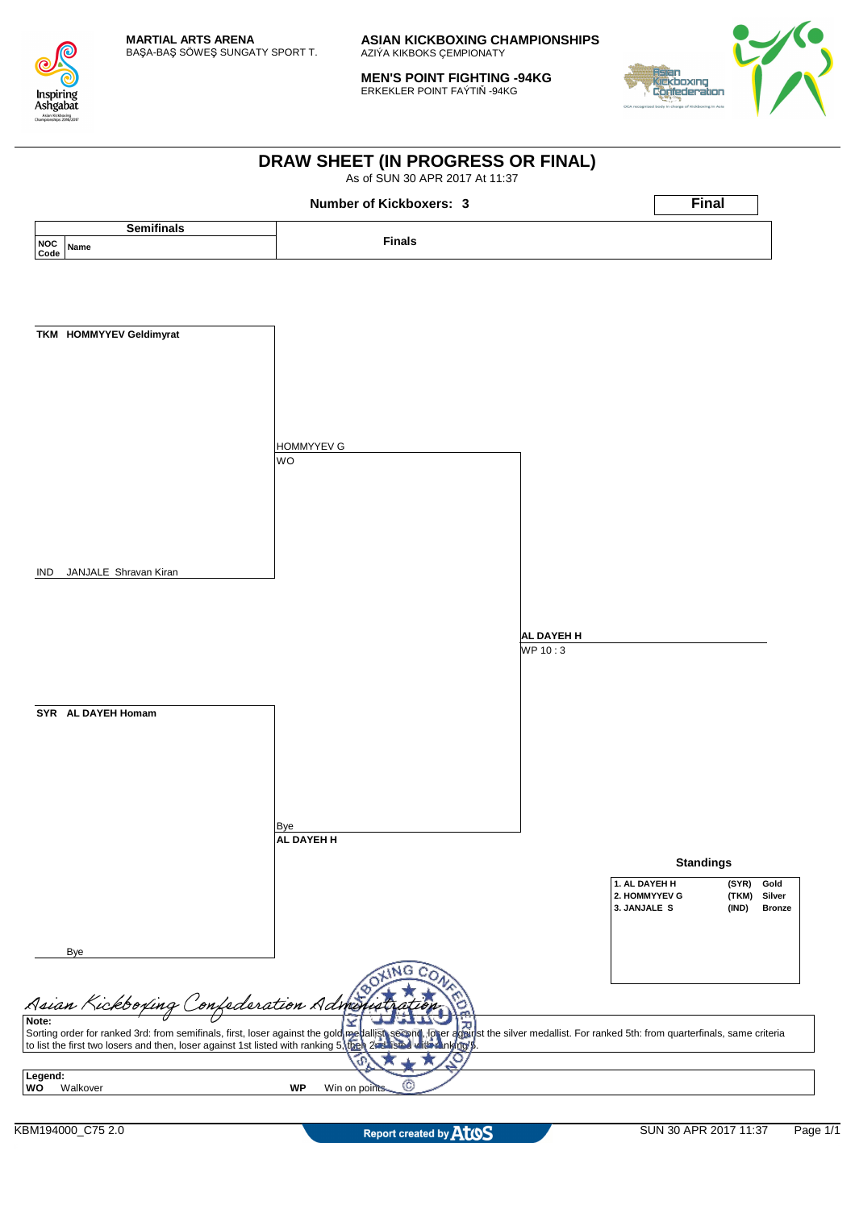

**MEN'S POINT FIGHTING -94KG** ERKEKLER POINT FAÝTIŇ -94KG



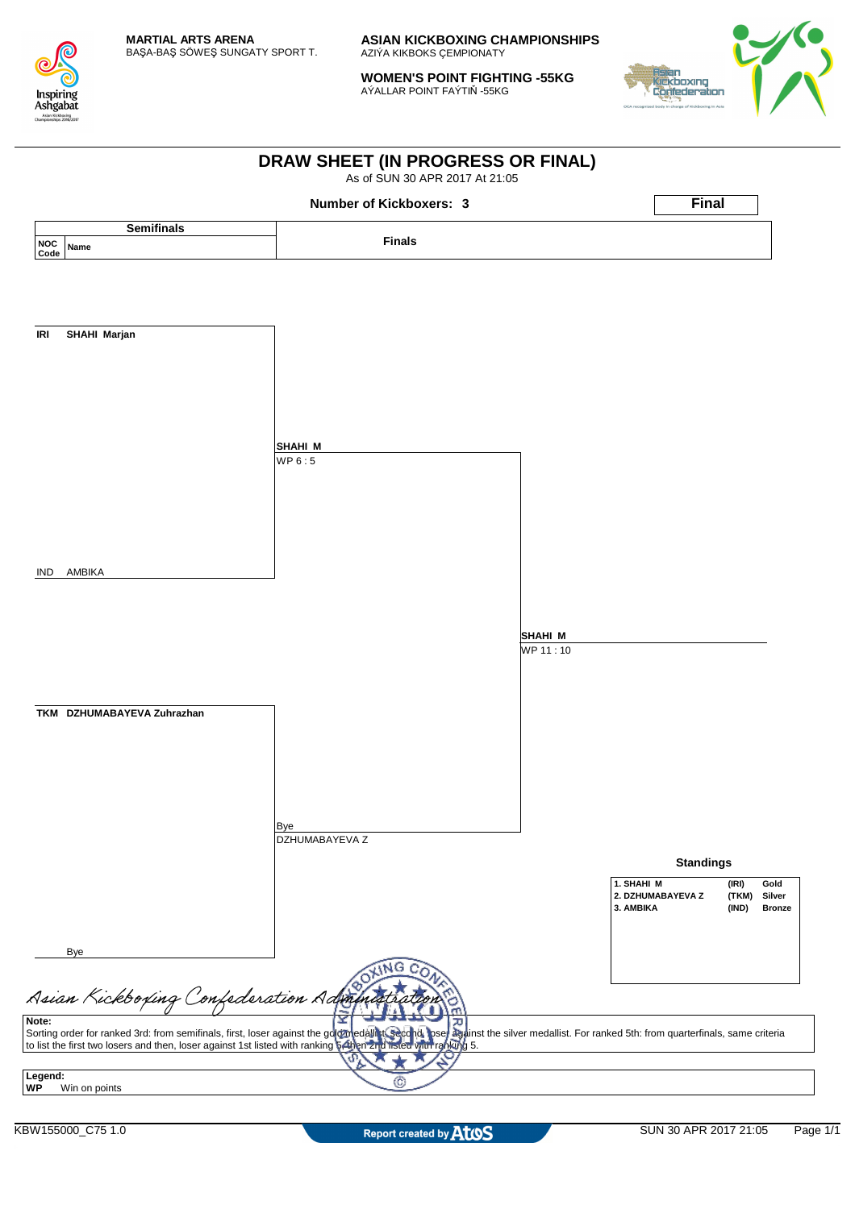

**WOMEN'S POINT FIGHTING -55KG** AÝALLAR POINT FAÝTIŇ -55KG



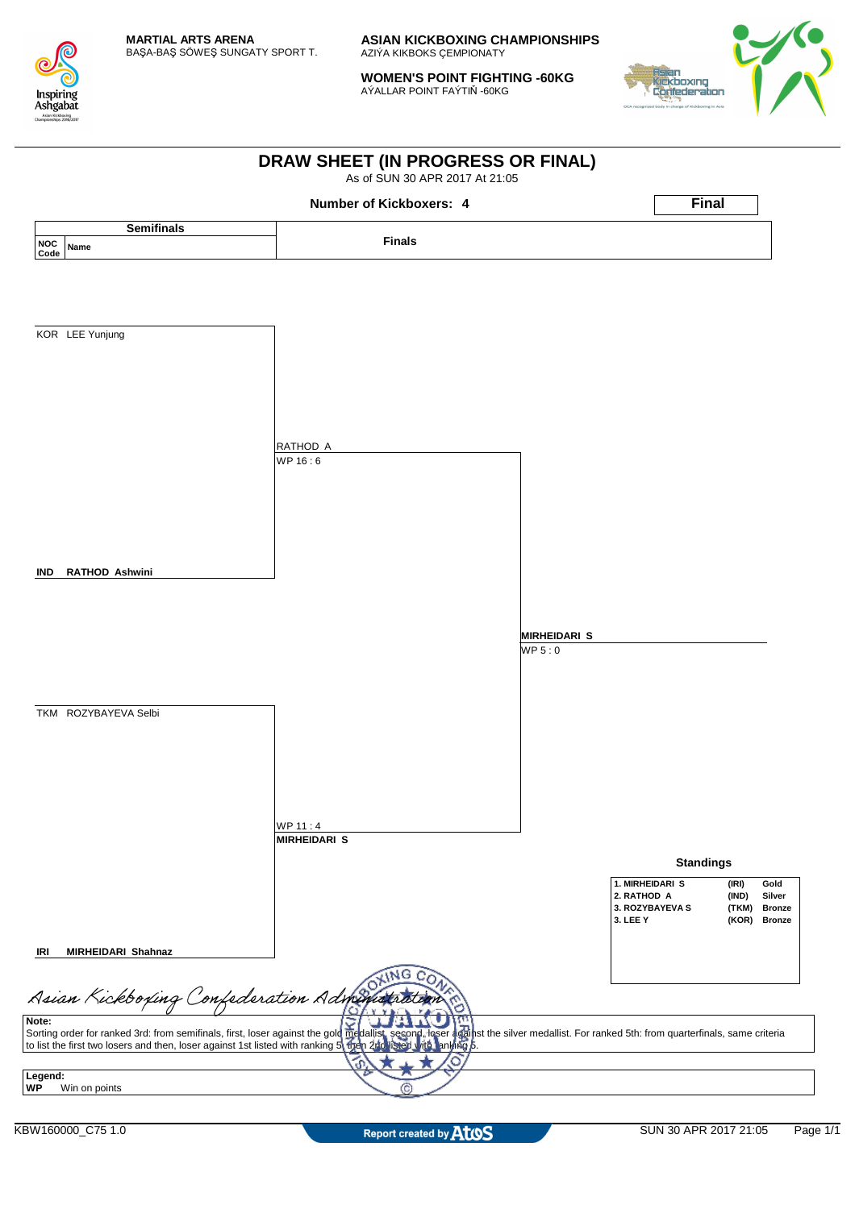

**WOMEN'S POINT FIGHTING -60KG** AÝALLAR POINT FAÝTIŇ -60KG